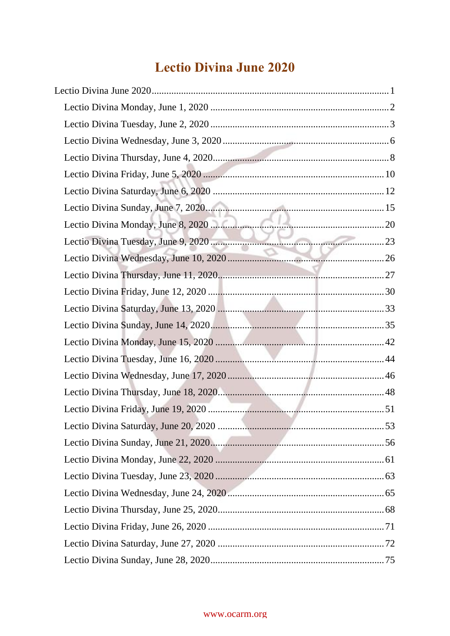# **Lectio Divina June 2020**

<span id="page-0-0"></span>

#### www.ocarm.org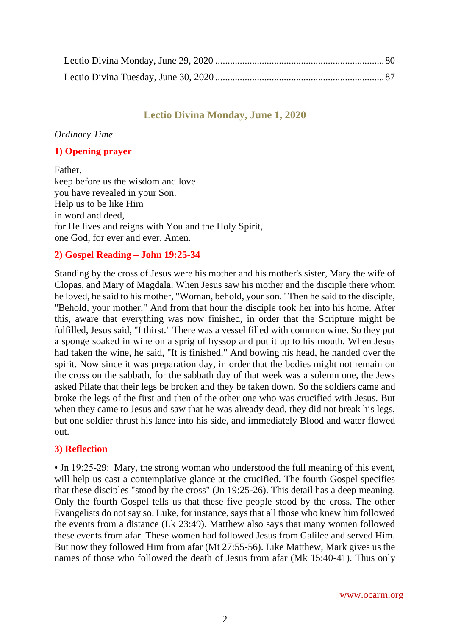# **Lectio Divina Monday, June 1, 2020**

<span id="page-1-0"></span>*Ordinary Time*

# **1) Opening prayer**

Father,

keep before us the wisdom and love you have revealed in your Son. Help us to be like Him in word and deed, for He lives and reigns with You and the Holy Spirit, one God, for ever and ever. Amen.

# **2) Gospel Reading – John 19:25-34**

Standing by the cross of Jesus were his mother and his mother's sister, Mary the wife of Clopas, and Mary of Magdala. When Jesus saw his mother and the disciple there whom he loved, he said to his mother, "Woman, behold, your son." Then he said to the disciple, "Behold, your mother." And from that hour the disciple took her into his home. After this, aware that everything was now finished, in order that the Scripture might be fulfilled, Jesus said, "I thirst." There was a vessel filled with common wine. So they put a sponge soaked in wine on a sprig of hyssop and put it up to his mouth. When Jesus had taken the wine, he said, "It is finished." And bowing his head, he handed over the spirit. Now since it was preparation day, in order that the bodies might not remain on the cross on the sabbath, for the sabbath day of that week was a solemn one, the Jews asked Pilate that their legs be broken and they be taken down. So the soldiers came and broke the legs of the first and then of the other one who was crucified with Jesus. But when they came to Jesus and saw that he was already dead, they did not break his legs, but one soldier thrust his lance into his side, and immediately Blood and water flowed out.

# **3) Reflection**

• Jn 19:25-29: Mary, the strong woman who understood the full meaning of this event, will help us cast a contemplative glance at the crucified. The fourth Gospel specifies that these disciples "stood by the cross" (Jn 19:25-26). This detail has a deep meaning. Only the fourth Gospel tells us that these five people stood by the cross. The other Evangelists do not say so. Luke, for instance, says that all those who knew him followed the events from a distance (Lk 23:49). Matthew also says that many women followed these events from afar. These women had followed Jesus from Galilee and served Him. But now they followed Him from afar (Mt 27:55-56). Like Matthew, Mark gives us the names of those who followed the death of Jesus from afar (Mk 15:40-41). Thus only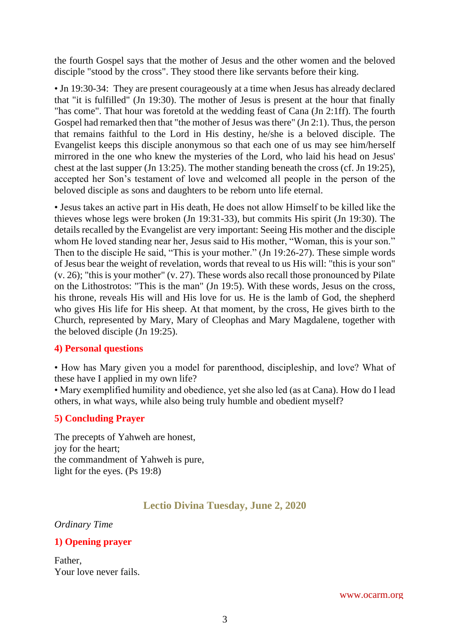the fourth Gospel says that the mother of Jesus and the other women and the beloved disciple "stood by the cross". They stood there like servants before their king.

• Jn 19:30-34: They are present courageously at a time when Jesus has already declared that "it is fulfilled" (Jn 19:30). The mother of Jesus is present at the hour that finally "has come". That hour was foretold at the wedding feast of Cana (Jn 2:1ff). The fourth Gospel had remarked then that "the mother of Jesus was there" (Jn 2:1). Thus, the person that remains faithful to the Lord in His destiny, he/she is a beloved disciple. The Evangelist keeps this disciple anonymous so that each one of us may see him/herself mirrored in the one who knew the mysteries of the Lord, who laid his head on Jesus' chest at the last supper (Jn 13:25). The mother standing beneath the cross (cf. Jn 19:25), accepted her Son's testament of love and welcomed all people in the person of the beloved disciple as sons and daughters to be reborn unto life eternal.

• Jesus takes an active part in His death, He does not allow Himself to be killed like the thieves whose legs were broken (Jn 19:31-33), but commits His spirit (Jn 19:30). The details recalled by the Evangelist are very important: Seeing His mother and the disciple whom He loved standing near her, Jesus said to His mother, "Woman, this is your son." Then to the disciple He said, "This is your mother." (Jn 19:26-27). These simple words of Jesus bear the weight of revelation, words that reveal to us His will: "this is your son" (v. 26); "this is your mother" (v. 27). These words also recall those pronounced by Pilate on the Lithostrotos: "This is the man" (Jn 19:5). With these words, Jesus on the cross, his throne, reveals His will and His love for us. He is the lamb of God, the shepherd who gives His life for His sheep. At that moment, by the cross, He gives birth to the Church, represented by Mary, Mary of Cleophas and Mary Magdalene, together with the beloved disciple (Jn 19:25).

# **4) Personal questions**

• How has Mary given you a model for parenthood, discipleship, and love? What of these have I applied in my own life?

• Mary exemplified humility and obedience, yet she also led (as at Cana). How do I lead others, in what ways, while also being truly humble and obedient myself?

# **5) Concluding Prayer**

The precepts of Yahweh are honest, joy for the heart; the commandment of Yahweh is pure, light for the eyes. (Ps 19:8)

# **Lectio Divina Tuesday, June 2, 2020**

<span id="page-2-0"></span>*Ordinary Time*

# **1) Opening prayer**

Father, Your love never fails.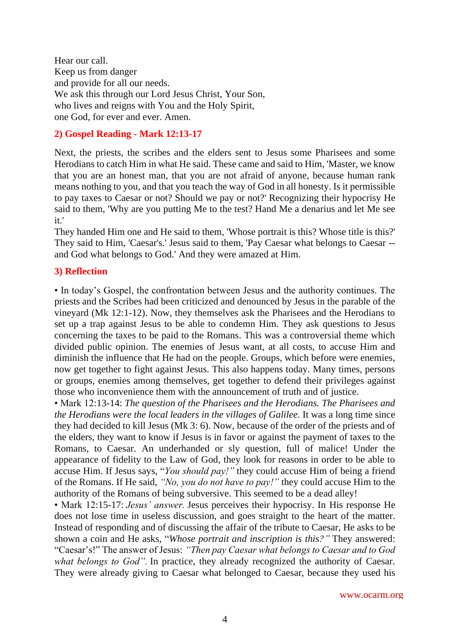Hear our call. Keep us from danger and provide for all our needs. We ask this through our Lord Jesus Christ, Your Son, who lives and reigns with You and the Holy Spirit, one God, for ever and ever. Amen.

# **2) Gospel Reading - Mark 12:13-17**

Next, the priests, the scribes and the elders sent to Jesus some Pharisees and some Herodians to catch Him in what He said. These came and said to Him, 'Master, we know that you are an honest man, that you are not afraid of anyone, because human rank means nothing to you, and that you teach the way of God in all honesty. Is it permissible to pay taxes to Caesar or not? Should we pay or not?' Recognizing their hypocrisy He said to them, 'Why are you putting Me to the test? Hand Me a denarius and let Me see it.'

They handed Him one and He said to them, 'Whose portrait is this? Whose title is this?' They said to Him, 'Caesar's.' Jesus said to them, 'Pay Caesar what belongs to Caesar - and God what belongs to God.' And they were amazed at Him.

# **3) Reflection**

• In today's Gospel, the confrontation between Jesus and the authority continues. The priests and the Scribes had been criticized and denounced by Jesus in the parable of the vineyard (Mk 12:1-12). Now, they themselves ask the Pharisees and the Herodians to set up a trap against Jesus to be able to condemn Him. They ask questions to Jesus concerning the taxes to be paid to the Romans. This was a controversial theme which divided public opinion. The enemies of Jesus want, at all costs, to accuse Him and diminish the influence that He had on the people. Groups, which before were enemies, now get together to fight against Jesus. This also happens today. Many times, persons or groups, enemies among themselves, get together to defend their privileges against those who inconvenience them with the announcement of truth and of justice.

• Mark 12:13-14: *The question of the Pharisees and the Herodians. The Pharisees and the Herodians were the local leaders in the villages of Galilee.* It was a long time since they had decided to kill Jesus (Mk 3: 6). Now, because of the order of the priests and of the elders, they want to know if Jesus is in favor or against the payment of taxes to the Romans, to Caesar. An underhanded or sly question, full of malice! Under the appearance of fidelity to the Law of God, they look for reasons in order to be able to accuse Him. If Jesus says, "*You should pay!"* they could accuse Him of being a friend of the Romans. If He said, *"No, you do not have to pay!"* they could accuse Him to the authority of the Romans of being subversive. This seemed to be a dead alley!

• Mark 12:15-17: *Jesus' answer.* Jesus perceives their hypocrisy. In His response He does not lose time in useless discussion, and goes straight to the heart of the matter. Instead of responding and of discussing the affair of the tribute to Caesar, He asks to be shown a coin and He asks, "*Whose portrait and inscription is this?"* They answered: "Caesar's!" The answer of Jesus: *"Then pay Caesar what belongs to Caesar and to God*  what belongs to God". In practice, they already recognized the authority of Caesar. They were already giving to Caesar what belonged to Caesar, because they used his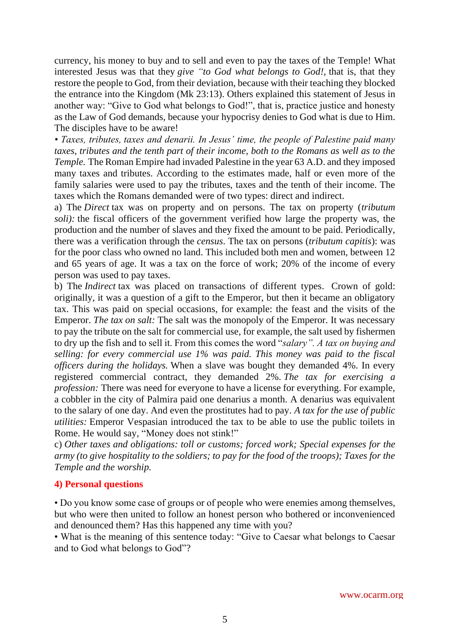currency, his money to buy and to sell and even to pay the taxes of the Temple! What interested Jesus was that they *give "to God what belongs to God!,* that is, that they restore the people to God, from their deviation, because with their teaching they blocked the entrance into the Kingdom (Mk 23:13). Others explained this statement of Jesus in another way: "Give to God what belongs to God!", that is, practice justice and honesty as the Law of God demands, because your hypocrisy denies to God what is due to Him. The disciples have to be aware!

*• Taxes, tributes, taxes and denarii. In Jesus' time, the people of Palestine paid many taxes, tributes and the tenth part of their income, both to the Romans as well as to the Temple.* The Roman Empire had invaded Palestine in the year 63 A.D. and they imposed many taxes and tributes. According to the estimates made, half or even more of the family salaries were used to pay the tributes, taxes and the tenth of their income. The taxes which the Romans demanded were of two types: direct and indirect.

a) The *Direct* tax was on property and on persons. The tax on property (*tributum soli):* the fiscal officers of the government verified how large the property was, the production and the number of slaves and they fixed the amount to be paid. Periodically, there was a verification through the *census*. The tax on persons (*tributum capitis*): was for the poor class who owned no land. This included both men and women, between 12 and 65 years of age. It was a tax on the force of work; 20% of the income of every person was used to pay taxes.

b) The *Indirect* tax was placed on transactions of different types. Crown of gold: originally, it was a question of a gift to the Emperor, but then it became an obligatory tax. This was paid on special occasions, for example: the feast and the visits of the Emperor. *The tax on salt:* The salt was the monopoly of the Emperor. It was necessary to pay the tribute on the salt for commercial use, for example, the salt used by fishermen to dry up the fish and to sell it. From this comes the word "*salary". A tax on buying and selling: for every commercial use 1% was paid. This money was paid to the fiscal officers during the holidays.* When a slave was bought they demanded 4%. In every registered commercial contract, they demanded 2%. *The tax for exercising a profession:* There was need for everyone to have a license for everything. For example, a cobbler in the city of Palmira paid one denarius a month. A denarius was equivalent to the salary of one day. And even the prostitutes had to pay. *A tax for the use of public utilities:* Emperor Vespasian introduced the tax to be able to use the public toilets in Rome. He would say, "Money does not stink!"

c) *Other taxes and obligations: toll or customs; forced work; Special expenses for the army (to give hospitality to the soldiers; to pay for the food of the troops); Taxes for the Temple and the worship.*

#### **4) Personal questions**

• Do you know some case of groups or of people who were enemies among themselves, but who were then united to follow an honest person who bothered or inconvenienced and denounced them? Has this happened any time with you?

• What is the meaning of this sentence today: "Give to Caesar what belongs to Caesar and to God what belongs to God"?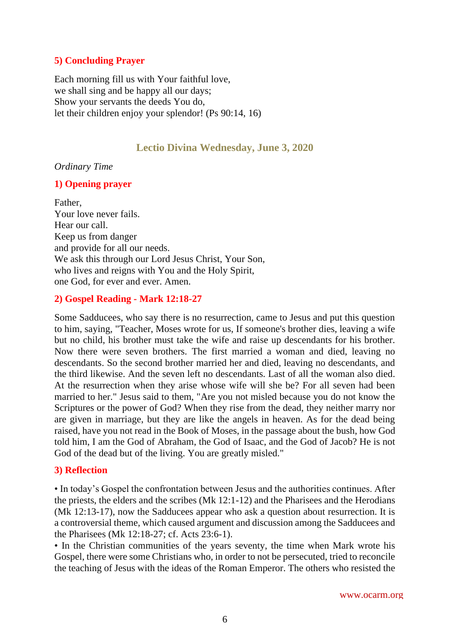# **5) Concluding Prayer**

Each morning fill us with Your faithful love, we shall sing and be happy all our days; Show your servants the deeds You do, let their children enjoy your splendor! (Ps 90:14, 16)

# **Lectio Divina Wednesday, June 3, 2020**

#### <span id="page-5-0"></span>*Ordinary Time*

#### **1) Opening prayer**

Father, Your love never fails. Hear our call. Keep us from danger and provide for all our needs. We ask this through our Lord Jesus Christ, Your Son, who lives and reigns with You and the Holy Spirit, one God, for ever and ever. Amen.

# **2) Gospel Reading - Mark 12:18-27**

Some Sadducees, who say there is no resurrection, came to Jesus and put this question to him, saying, "Teacher, Moses wrote for us, If someone's brother dies, leaving a wife but no child, his brother must take the wife and raise up descendants for his brother. Now there were seven brothers. The first married a woman and died, leaving no descendants. So the second brother married her and died, leaving no descendants, and the third likewise. And the seven left no descendants. Last of all the woman also died. At the resurrection when they arise whose wife will she be? For all seven had been married to her." Jesus said to them, "Are you not misled because you do not know the Scriptures or the power of God? When they rise from the dead, they neither marry nor are given in marriage, but they are like the angels in heaven. As for the dead being raised, have you not read in the Book of Moses, in the passage about the bush, how God told him, I am the God of Abraham, the God of Isaac, and the God of Jacob? He is not God of the dead but of the living. You are greatly misled."

# **3) Reflection**

• In today's Gospel the confrontation between Jesus and the authorities continues. After the priests, the elders and the scribes (Mk 12:1-12) and the Pharisees and the Herodians (Mk 12:13-17), now the Sadducees appear who ask a question about resurrection. It is a controversial theme, which caused argument and discussion among the Sadducees and the Pharisees (Mk 12:18-27; cf. Acts 23:6-1).

• In the Christian communities of the years seventy, the time when Mark wrote his Gospel, there were some Christians who, in order to not be persecuted, tried to reconcile the teaching of Jesus with the ideas of the Roman Emperor. The others who resisted the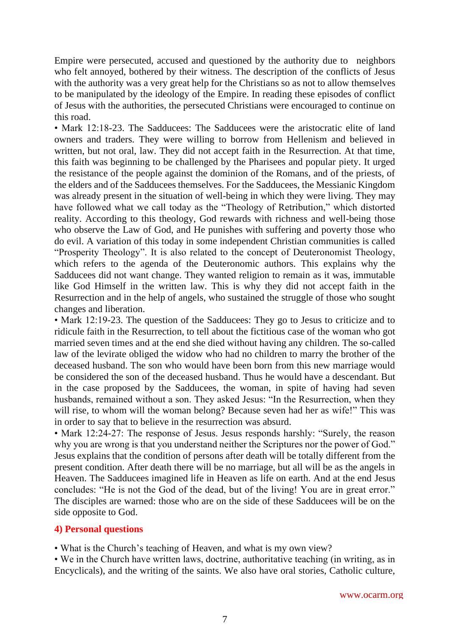Empire were persecuted, accused and questioned by the authority due to neighbors who felt annoyed, bothered by their witness. The description of the conflicts of Jesus with the authority was a very great help for the Christians so as not to allow themselves to be manipulated by the ideology of the Empire. In reading these episodes of conflict of Jesus with the authorities, the persecuted Christians were encouraged to continue on this road.

• Mark 12:18-23. The Sadducees: The Sadducees were the aristocratic elite of land owners and traders. They were willing to borrow from Hellenism and believed in written, but not oral, law. They did not accept faith in the Resurrection. At that time, this faith was beginning to be challenged by the Pharisees and popular piety. It urged the resistance of the people against the dominion of the Romans, and of the priests, of the elders and of the Sadducees themselves. For the Sadducees, the Messianic Kingdom was already present in the situation of well-being in which they were living. They may have followed what we call today as the "Theology of Retribution," which distorted reality. According to this theology, God rewards with richness and well-being those who observe the Law of God, and He punishes with suffering and poverty those who do evil. A variation of this today in some independent Christian communities is called "Prosperity Theology". It is also related to the concept of Deuteronomist Theology, which refers to the agenda of the Deuteronomic authors. This explains why the Sadducees did not want change. They wanted religion to remain as it was, immutable like God Himself in the written law. This is why they did not accept faith in the Resurrection and in the help of angels, who sustained the struggle of those who sought changes and liberation.

• Mark 12:19-23. The question of the Sadducees: They go to Jesus to criticize and to ridicule faith in the Resurrection, to tell about the fictitious case of the woman who got married seven times and at the end she died without having any children. The so-called law of the levirate obliged the widow who had no children to marry the brother of the deceased husband. The son who would have been born from this new marriage would be considered the son of the deceased husband. Thus he would have a descendant. But in the case proposed by the Sadducees, the woman, in spite of having had seven husbands, remained without a son. They asked Jesus: "In the Resurrection, when they will rise, to whom will the woman belong? Because seven had her as wife!" This was in order to say that to believe in the resurrection was absurd.

• Mark 12:24-27: The response of Jesus. Jesus responds harshly: "Surely, the reason why you are wrong is that you understand neither the Scriptures nor the power of God." Jesus explains that the condition of persons after death will be totally different from the present condition. After death there will be no marriage, but all will be as the angels in Heaven. The Sadducees imagined life in Heaven as life on earth. And at the end Jesus concludes: "He is not the God of the dead, but of the living! You are in great error." The disciples are warned: those who are on the side of these Sadducees will be on the side opposite to God.

#### **4) Personal questions**

• What is the Church's teaching of Heaven, and what is my own view?

• We in the Church have written laws, doctrine, authoritative teaching (in writing, as in Encyclicals), and the writing of the saints. We also have oral stories, Catholic culture,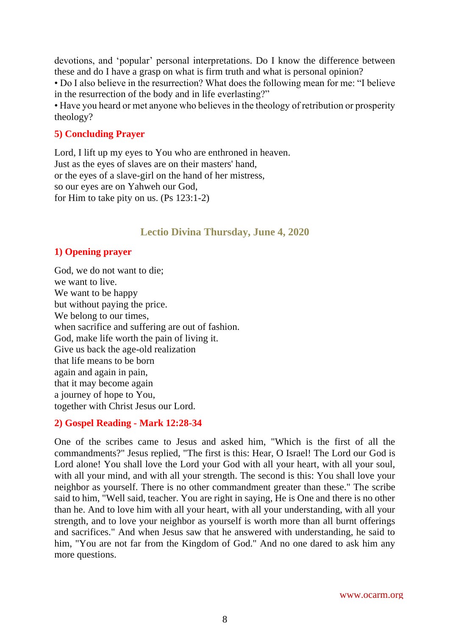devotions, and 'popular' personal interpretations. Do I know the difference between these and do I have a grasp on what is firm truth and what is personal opinion?

• Do I also believe in the resurrection? What does the following mean for me: "I believe in the resurrection of the body and in life everlasting?"

• Have you heard or met anyone who believes in the theology of retribution or prosperity theology?

#### **5) Concluding Prayer**

Lord, I lift up my eyes to You who are enthroned in heaven. Just as the eyes of slaves are on their masters' hand, or the eyes of a slave-girl on the hand of her mistress, so our eyes are on Yahweh our God, for Him to take pity on us. (Ps 123:1-2)

# **Lectio Divina Thursday, June 4, 2020**

### <span id="page-7-0"></span>**1) Opening prayer**

God, we do not want to die; we want to live. We want to be happy but without paying the price. We belong to our times. when sacrifice and suffering are out of fashion. God, make life worth the pain of living it. Give us back the age-old realization that life means to be born again and again in pain, that it may become again a journey of hope to You, together with Christ Jesus our Lord.

# **2) Gospel Reading - Mark 12:28-34**

One of the scribes came to Jesus and asked him, "Which is the first of all the commandments?" Jesus replied, "The first is this: Hear, O Israel! The Lord our God is Lord alone! You shall love the Lord your God with all your heart, with all your soul, with all your mind, and with all your strength. The second is this: You shall love your neighbor as yourself. There is no other commandment greater than these." The scribe said to him, "Well said, teacher. You are right in saying, He is One and there is no other than he. And to love him with all your heart, with all your understanding, with all your strength, and to love your neighbor as yourself is worth more than all burnt offerings and sacrifices." And when Jesus saw that he answered with understanding, he said to him, "You are not far from the Kingdom of God." And no one dared to ask him any more questions.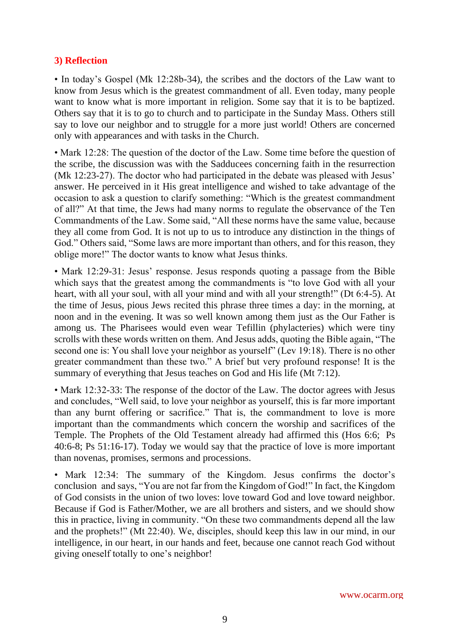# **3) Reflection**

• In today's Gospel (Mk 12:28b-34), the scribes and the doctors of the Law want to know from Jesus which is the greatest commandment of all. Even today, many people want to know what is more important in religion. Some say that it is to be baptized. Others say that it is to go to church and to participate in the Sunday Mass. Others still say to love our neighbor and to struggle for a more just world! Others are concerned only with appearances and with tasks in the Church.

• Mark 12:28: The question of the doctor of the Law. Some time before the question of the scribe, the discussion was with the Sadducees concerning faith in the resurrection (Mk 12:23-27). The doctor who had participated in the debate was pleased with Jesus' answer. He perceived in it His great intelligence and wished to take advantage of the occasion to ask a question to clarify something: "Which is the greatest commandment of all?" At that time, the Jews had many norms to regulate the observance of the Ten Commandments of the Law. Some said, "All these norms have the same value, because they all come from God. It is not up to us to introduce any distinction in the things of God." Others said, "Some laws are more important than others, and for this reason, they oblige more!" The doctor wants to know what Jesus thinks.

• Mark 12:29-31: Jesus' response. Jesus responds quoting a passage from the Bible which says that the greatest among the commandments is "to love God with all your heart, with all your soul, with all your mind and with all your strength!" (Dt 6:4-5). At the time of Jesus, pious Jews recited this phrase three times a day: in the morning, at noon and in the evening. It was so well known among them just as the Our Father is among us. The Pharisees would even wear Tefillin (phylacteries) which were tiny scrolls with these words written on them. And Jesus adds, quoting the Bible again, "The second one is: You shall love your neighbor as yourself" (Lev 19:18). There is no other greater commandment than these two." A brief but very profound response! It is the summary of everything that Jesus teaches on God and His life (Mt 7:12).

• Mark 12:32-33: The response of the doctor of the Law. The doctor agrees with Jesus and concludes, "Well said, to love your neighbor as yourself, this is far more important than any burnt offering or sacrifice." That is, the commandment to love is more important than the commandments which concern the worship and sacrifices of the Temple. The Prophets of the Old Testament already had affirmed this (Hos 6:6; Ps 40:6-8; Ps 51:16-17). Today we would say that the practice of love is more important than novenas, promises, sermons and processions.

• Mark 12:34: The summary of the Kingdom. Jesus confirms the doctor's conclusion and says, "You are not far from the Kingdom of God!" In fact, the Kingdom of God consists in the union of two loves: love toward God and love toward neighbor. Because if God is Father/Mother, we are all brothers and sisters, and we should show this in practice, living in community. "On these two commandments depend all the law and the prophets!" (Mt 22:40). We, disciples, should keep this law in our mind, in our intelligence, in our heart, in our hands and feet, because one cannot reach God without giving oneself totally to one's neighbor!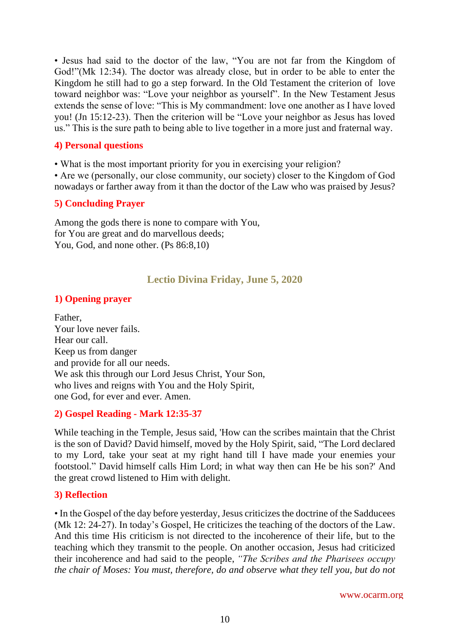• Jesus had said to the doctor of the law, "You are not far from the Kingdom of God!"(Mk 12:34). The doctor was already close, but in order to be able to enter the Kingdom he still had to go a step forward. In the Old Testament the criterion of love toward neighbor was: "Love your neighbor as yourself". In the New Testament Jesus extends the sense of love: "This is My commandment: love one another as I have loved you! (Jn 15:12-23). Then the criterion will be "Love your neighbor as Jesus has loved us." This is the sure path to being able to live together in a more just and fraternal way.

### **4) Personal questions**

• What is the most important priority for you in exercising your religion?

• Are we (personally, our close community, our society) closer to the Kingdom of God nowadays or farther away from it than the doctor of the Law who was praised by Jesus?

# **5) Concluding Prayer**

Among the gods there is none to compare with You, for You are great and do marvellous deeds; You, God, and none other. (Ps 86:8,10)

# **Lectio Divina Friday, June 5, 2020**

# <span id="page-9-0"></span>**1) Opening prayer**

Father, Your love never fails. Hear our call. Keep us from danger and provide for all our needs. We ask this through our Lord Jesus Christ, Your Son, who lives and reigns with You and the Holy Spirit, one God, for ever and ever. Amen.

# **2) Gospel Reading - Mark 12:35-37**

While teaching in the Temple, Jesus said, 'How can the scribes maintain that the Christ is the son of David? David himself, moved by the Holy Spirit, said, "The Lord declared to my Lord, take your seat at my right hand till I have made your enemies your footstool." David himself calls Him Lord; in what way then can He be his son?' And the great crowd listened to Him with delight.

# **3) Reflection**

• In the Gospel of the day before yesterday, Jesus criticizes the doctrine of the Sadducees (Mk 12: 24-27). In today's Gospel, He criticizes the teaching of the doctors of the Law. And this time His criticism is not directed to the incoherence of their life, but to the teaching which they transmit to the people. On another occasion, Jesus had criticized their incoherence and had said to the people, *"The Scribes and the Pharisees occupy the chair of Moses: You must, therefore, do and observe what they tell you, but do not*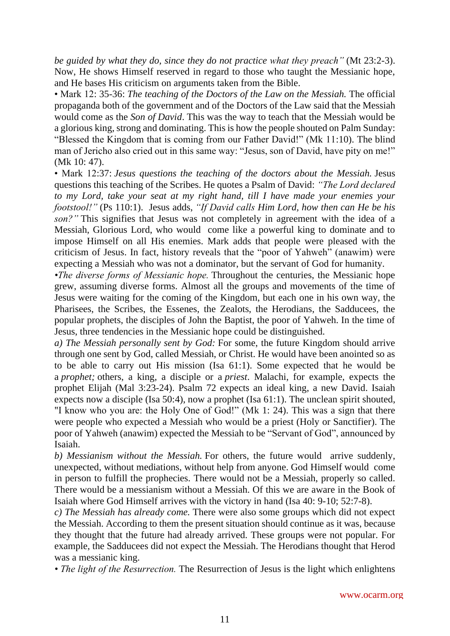*be guided by what they do, since they do not practice what they preach"* (Mt 23:2-3). Now, He shows Himself reserved in regard to those who taught the Messianic hope, and He bases His criticism on arguments taken from the Bible.

• Mark 12: 35-36: *The teaching of the Doctors of the Law on the Messiah.* The official propaganda both of the government and of the Doctors of the Law said that the Messiah would come as the *Son of David*. This was the way to teach that the Messiah would be a glorious king, strong and dominating. This is how the people shouted on Palm Sunday: "Blessed the Kingdom that is coming from our Father David!" (Mk 11:10). The blind man of Jericho also cried out in this same way: "Jesus, son of David, have pity on me!" (Mk 10: 47).

• Mark 12:37: *Jesus questions the teaching of the doctors about the Messiah.* Jesus questions this teaching of the Scribes. He quotes a Psalm of David: *"The Lord declared to my Lord, take your seat at my right hand, till I have made your enemies your footstool!"* (Ps 110:1). Jesus adds, *"If David calls Him Lord, how then can He be his son?"* This signifies that Jesus was not completely in agreement with the idea of a Messiah, Glorious Lord, who would come like a powerful king to dominate and to impose Himself on all His enemies. Mark adds that people were pleased with the criticism of Jesus. In fact, history reveals that the "poor of Yahweh" (anawim) were expecting a Messiah who was not a dominator, but the servant of God for humanity.

*•The diverse forms of Messianic hope.* Throughout the centuries, the Messianic hope grew, assuming diverse forms. Almost all the groups and movements of the time of Jesus were waiting for the coming of the Kingdom, but each one in his own way, the Pharisees, the Scribes, the Essenes, the Zealots, the Herodians, the Sadducees, the popular prophets, the disciples of John the Baptist, the poor of Yahweh. In the time of Jesus, three tendencies in the Messianic hope could be distinguished.

*a) The Messiah personally sent by God:* For some, the future Kingdom should arrive through one sent by God, called Messiah, or Christ. He would have been anointed so as to be able to carry out His mission (Isa 61:1). Some expected that he would be a *prophet;* others, a king, a disciple or a *priest*. Malachi, for example, expects the prophet Elijah (Mal 3:23-24). Psalm 72 expects an ideal king, a new David. Isaiah expects now a disciple (Isa 50:4), now a prophet (Isa 61:1). The unclean spirit shouted, "I know who you are: the Holy One of God!" (Mk 1: 24). This was a sign that there were people who expected a Messiah who would be a priest (Holy or Sanctifier). The poor of Yahweh (anawim) expected the Messiah to be "Servant of God", announced by Isaiah.

*b) Messianism without the Messiah.* For others, the future would arrive suddenly, unexpected, without mediations, without help from anyone. God Himself would come in person to fulfill the prophecies. There would not be a Messiah, properly so called. There would be a messianism without a Messiah. Of this we are aware in the Book of Isaiah where God Himself arrives with the victory in hand (Isa 40: 9-10; 52:7-8).

*c) The Messiah has already come.* There were also some groups which did not expect the Messiah. According to them the present situation should continue as it was, because they thought that the future had already arrived. These groups were not popular. For example, the Sadducees did not expect the Messiah. The Herodians thought that Herod was a messianic king.

*• The light of the Resurrection.* The Resurrection of Jesus is the light which enlightens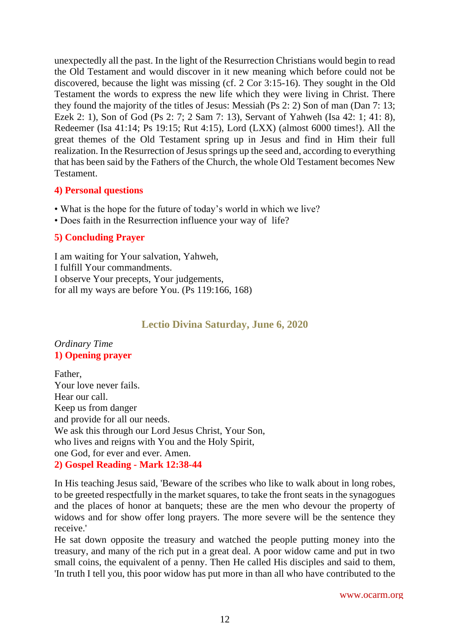unexpectedly all the past. In the light of the Resurrection Christians would begin to read the Old Testament and would discover in it new meaning which before could not be discovered, because the light was missing (cf. 2 Cor 3:15-16). They sought in the Old Testament the words to express the new life which they were living in Christ. There they found the majority of the titles of Jesus: Messiah (Ps 2: 2) Son of man (Dan 7: 13; Ezek 2: 1), Son of God (Ps 2: 7; 2 Sam 7: 13), Servant of Yahweh (Isa 42: 1; 41: 8), Redeemer (Isa 41:14; Ps 19:15; Rut 4:15), Lord (LXX) (almost 6000 times!). All the great themes of the Old Testament spring up in Jesus and find in Him their full realization. In the Resurrection of Jesus springs up the seed and, according to everything that has been said by the Fathers of the Church, the whole Old Testament becomes New Testament.

#### **4) Personal questions**

- What is the hope for the future of today's world in which we live?
- Does faith in the Resurrection influence your way of life?

# **5) Concluding Prayer**

I am waiting for Your salvation, Yahweh, I fulfill Your commandments. I observe Your precepts, Your judgements, for all my ways are before You. (Ps 119:166, 168)

# **Lectio Divina Saturday, June 6, 2020**

### <span id="page-11-0"></span>*Ordinary Time* **1) Opening prayer**

Father, Your love never fails. Hear our call. Keep us from danger and provide for all our needs. We ask this through our Lord Jesus Christ, Your Son, who lives and reigns with You and the Holy Spirit, one God, for ever and ever. Amen. **2) Gospel Reading - Mark 12:38-44**

In His teaching Jesus said, 'Beware of the scribes who like to walk about in long robes, to be greeted respectfully in the market squares, to take the front seats in the synagogues and the places of honor at banquets; these are the men who devour the property of widows and for show offer long prayers. The more severe will be the sentence they receive.'

He sat down opposite the treasury and watched the people putting money into the treasury, and many of the rich put in a great deal. A poor widow came and put in two small coins, the equivalent of a penny. Then He called His disciples and said to them, 'In truth I tell you, this poor widow has put more in than all who have contributed to the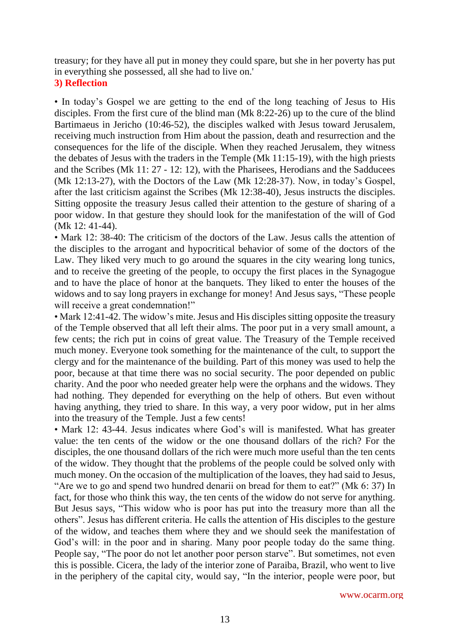treasury; for they have all put in money they could spare, but she in her poverty has put in everything she possessed, all she had to live on.' **3) Reflection**

• In today's Gospel we are getting to the end of the long teaching of Jesus to His disciples. From the first cure of the blind man (Mk 8:22-26) up to the cure of the blind Bartimaeus in Jericho (10:46-52), the disciples walked with Jesus toward Jerusalem, receiving much instruction from Him about the passion, death and resurrection and the consequences for the life of the disciple. When they reached Jerusalem, they witness the debates of Jesus with the traders in the Temple (Mk 11:15-19), with the high priests and the Scribes (Mk 11: 27 - 12: 12), with the Pharisees, Herodians and the Sadducees (Mk 12:13-27), with the Doctors of the Law (Mk 12:28-37). Now, in today's Gospel, after the last criticism against the Scribes (Mk 12:38-40), Jesus instructs the disciples. Sitting opposite the treasury Jesus called their attention to the gesture of sharing of a poor widow. In that gesture they should look for the manifestation of the will of God (Mk 12: 41-44).

• Mark 12: 38-40: The criticism of the doctors of the Law. Jesus calls the attention of the disciples to the arrogant and hypocritical behavior of some of the doctors of the Law. They liked very much to go around the squares in the city wearing long tunics, and to receive the greeting of the people, to occupy the first places in the Synagogue and to have the place of honor at the banquets. They liked to enter the houses of the widows and to say long prayers in exchange for money! And Jesus says, "These people will receive a great condemnation!"

• Mark 12:41-42. The widow's mite. Jesus and His disciples sitting opposite the treasury of the Temple observed that all left their alms. The poor put in a very small amount, a few cents; the rich put in coins of great value. The Treasury of the Temple received much money. Everyone took something for the maintenance of the cult, to support the clergy and for the maintenance of the building. Part of this money was used to help the poor, because at that time there was no social security. The poor depended on public charity. And the poor who needed greater help were the orphans and the widows. They had nothing. They depended for everything on the help of others. But even without having anything, they tried to share. In this way, a very poor widow, put in her alms into the treasury of the Temple. Just a few cents!

• Mark 12: 43-44. Jesus indicates where God's will is manifested. What has greater value: the ten cents of the widow or the one thousand dollars of the rich? For the disciples, the one thousand dollars of the rich were much more useful than the ten cents of the widow. They thought that the problems of the people could be solved only with much money. On the occasion of the multiplication of the loaves, they had said to Jesus, "Are we to go and spend two hundred denarii on bread for them to eat?" (Mk 6: 37) In fact, for those who think this way, the ten cents of the widow do not serve for anything. But Jesus says, "This widow who is poor has put into the treasury more than all the others". Jesus has different criteria. He calls the attention of His disciples to the gesture of the widow, and teaches them where they and we should seek the manifestation of God's will: in the poor and in sharing. Many poor people today do the same thing. People say, "The poor do not let another poor person starve". But sometimes, not even this is possible. Cicera, the lady of the interior zone of Paraiba, Brazil, who went to live in the periphery of the capital city, would say, "In the interior, people were poor, but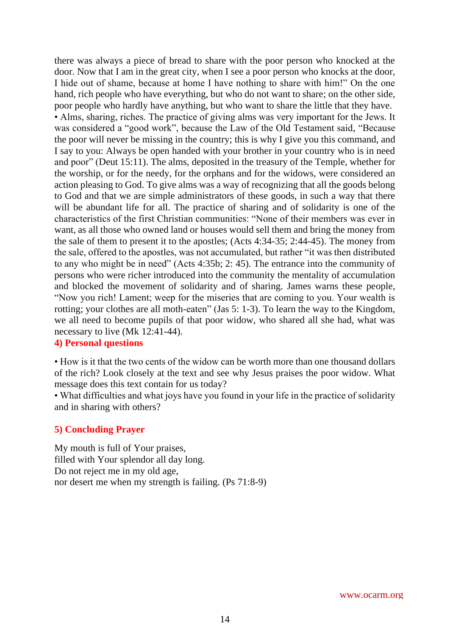there was always a piece of bread to share with the poor person who knocked at the door. Now that I am in the great city, when I see a poor person who knocks at the door, I hide out of shame, because at home I have nothing to share with him!" On the one hand, rich people who have everything, but who do not want to share; on the other side, poor people who hardly have anything, but who want to share the little that they have. • Alms, sharing, riches. The practice of giving alms was very important for the Jews. It was considered a "good work", because the Law of the Old Testament said, "Because the poor will never be missing in the country; this is why I give you this command, and I say to you: Always be open handed with your brother in your country who is in need and poor" (Deut 15:11). The alms, deposited in the treasury of the Temple, whether for the worship, or for the needy, for the orphans and for the widows, were considered an action pleasing to God. To give alms was a way of recognizing that all the goods belong to God and that we are simple administrators of these goods, in such a way that there will be abundant life for all. The practice of sharing and of solidarity is one of the characteristics of the first Christian communities: "None of their members was ever in want, as all those who owned land or houses would sell them and bring the money from the sale of them to present it to the apostles; (Acts 4:34-35; 2:44-45). The money from the sale, offered to the apostles, was not accumulated, but rather "it was then distributed to any who might be in need" (Acts 4:35b; 2: 45). The entrance into the community of persons who were richer introduced into the community the mentality of accumulation and blocked the movement of solidarity and of sharing. James warns these people, "Now you rich! Lament; weep for the miseries that are coming to you. Your wealth is rotting; your clothes are all moth-eaten" (Jas 5: 1-3). To learn the way to the Kingdom, we all need to become pupils of that poor widow, who shared all she had, what was necessary to live (Mk 12:41-44).

### **4) Personal questions**

• How is it that the two cents of the widow can be worth more than one thousand dollars of the rich? Look closely at the text and see why Jesus praises the poor widow. What message does this text contain for us today?

• What difficulties and what joys have you found in your life in the practice of solidarity and in sharing with others?

# **5) Concluding Prayer**

My mouth is full of Your praises, filled with Your splendor all day long. Do not reject me in my old age, nor desert me when my strength is failing. (Ps 71:8-9)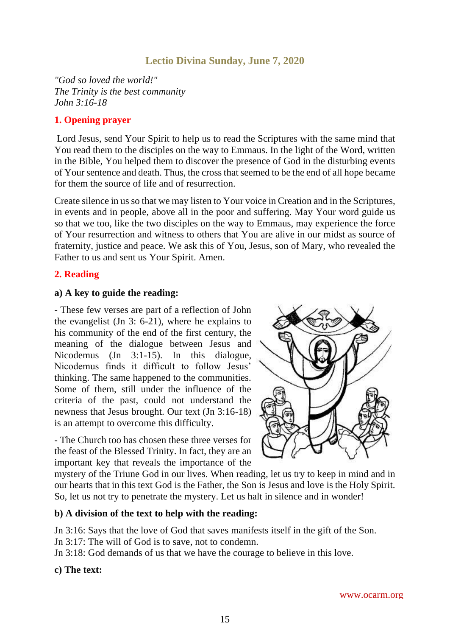# **Lectio Divina Sunday, June 7, 2020**

<span id="page-14-0"></span>*"God so loved the world!" The Trinity is the best community John 3:16-18*

# **1. Opening prayer**

Lord Jesus, send Your Spirit to help us to read the Scriptures with the same mind that You read them to the disciples on the way to Emmaus. In the light of the Word, written in the Bible, You helped them to discover the presence of God in the disturbing events of Your sentence and death. Thus, the cross that seemed to be the end of all hope became for them the source of life and of resurrection.

Create silence in us so that we may listen to Your voice in Creation and in the Scriptures, in events and in people, above all in the poor and suffering. May Your word guide us so that we too, like the two disciples on the way to Emmaus, may experience the force of Your resurrection and witness to others that You are alive in our midst as source of fraternity, justice and peace. We ask this of You, Jesus, son of Mary, who revealed the Father to us and sent us Your Spirit. Amen.

# **2. Reading**

# **a) A key to guide the reading:**

- These few verses are part of a reflection of John the evangelist (Jn 3: 6-21), where he explains to his community of the end of the first century, the meaning of the dialogue between Jesus and Nicodemus (Jn 3:1-15). In this dialogue, Nicodemus finds it difficult to follow Jesus' thinking. The same happened to the communities. Some of them, still under the influence of the criteria of the past, could not understand the newness that Jesus brought. Our text (Jn 3:16-18) is an attempt to overcome this difficulty.

- The Church too has chosen these three verses for the feast of the Blessed Trinity. In fact, they are an important key that reveals the importance of the



mystery of the Triune God in our lives. When reading, let us try to keep in mind and in our hearts that in this text God is the Father, the Son is Jesus and love is the Holy Spirit. So, let us not try to penetrate the mystery. Let us halt in silence and in wonder!

# **b) A division of the text to help with the reading:**

Jn 3:16: Says that the love of God that saves manifests itself in the gift of the Son.

Jn 3:17: The will of God is to save, not to condemn.

Jn 3:18: God demands of us that we have the courage to believe in this love.

# **c) The text:**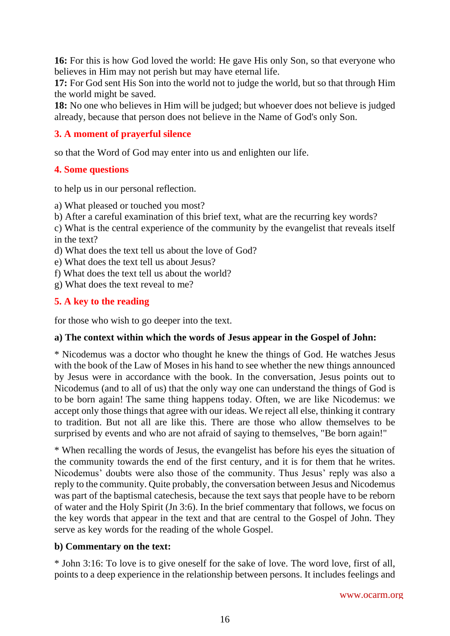**16:** For this is how God loved the world: He gave His only Son, so that everyone who believes in Him may not perish but may have eternal life.

**17:** For God sent His Son into the world not to judge the world, but so that through Him the world might be saved.

**18:** No one who believes in Him will be judged; but whoever does not believe is judged already, because that person does not believe in the Name of God's only Son.

# **3. A moment of prayerful silence**

so that the Word of God may enter into us and enlighten our life.

# **4. Some questions**

to help us in our personal reflection.

- a) What pleased or touched you most?
- b) After a careful examination of this brief text, what are the recurring key words?

c) What is the central experience of the community by the evangelist that reveals itself in the text?

d) What does the text tell us about the love of God?

e) What does the text tell us about Jesus?

- f) What does the text tell us about the world?
- g) What does the text reveal to me?

# **5. A key to the reading**

for those who wish to go deeper into the text.

# **a) The context within which the words of Jesus appear in the Gospel of John:**

\* Nicodemus was a doctor who thought he knew the things of God. He watches Jesus with the book of the Law of Moses in his hand to see whether the new things announced by Jesus were in accordance with the book. In the conversation, Jesus points out to Nicodemus (and to all of us) that the only way one can understand the things of God is to be born again! The same thing happens today. Often, we are like Nicodemus: we accept only those things that agree with our ideas. We reject all else, thinking it contrary to tradition. But not all are like this. There are those who allow themselves to be surprised by events and who are not afraid of saying to themselves, "Be born again!"

\* When recalling the words of Jesus, the evangelist has before his eyes the situation of the community towards the end of the first century, and it is for them that he writes. Nicodemus' doubts were also those of the community. Thus Jesus' reply was also a reply to the community. Quite probably, the conversation between Jesus and Nicodemus was part of the baptismal catechesis, because the text says that people have to be reborn of water and the Holy Spirit (Jn 3:6). In the brief commentary that follows, we focus on the key words that appear in the text and that are central to the Gospel of John. They serve as key words for the reading of the whole Gospel.

# **b) Commentary on the text:**

\* John 3:16: To love is to give oneself for the sake of love. The word love, first of all, points to a deep experience in the relationship between persons. It includes feelings and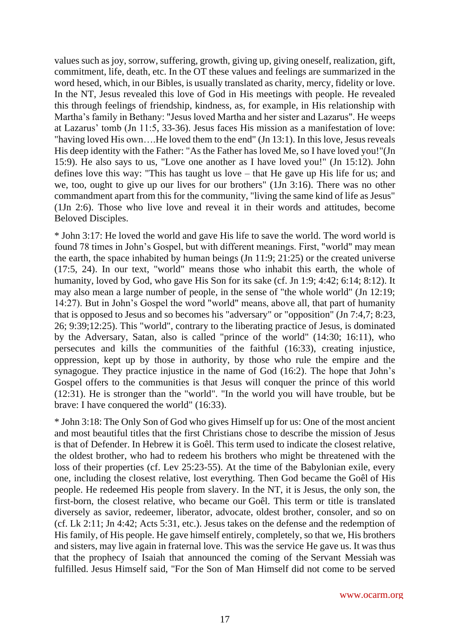values such as joy, sorrow, suffering, growth, giving up, giving oneself, realization, gift, commitment, life, death, etc. In the OT these values and feelings are summarized in the word hesed, which, in our Bibles, is usually translated as charity, mercy, fidelity or love. In the NT, Jesus revealed this love of God in His meetings with people. He revealed this through feelings of friendship, kindness, as, for example, in His relationship with Martha's family in Bethany: "Jesus loved Martha and her sister and Lazarus". He weeps at Lazarus' tomb (Jn 11:5, 33-36). Jesus faces His mission as a manifestation of love: "having loved His own….He loved them to the end" (Jn 13:1). In this love, Jesus reveals His deep identity with the Father: "As the Father has loved Me, so I have loved you!"(Jn 15:9). He also says to us, "Love one another as I have loved you!" (Jn 15:12). John defines love this way: "This has taught us love – that He gave up His life for us; and we, too, ought to give up our lives for our brothers" (1Jn 3:16). There was no other commandment apart from this for the community, "living the same kind of life as Jesus" (1Jn 2:6). Those who live love and reveal it in their words and attitudes, become Beloved Disciples.

\* John 3:17: He loved the world and gave His life to save the world. The word world is found 78 times in John's Gospel, but with different meanings. First, "world" may mean the earth, the space inhabited by human beings (Jn 11:9; 21:25) or the created universe (17:5, 24). In our text, "world" means those who inhabit this earth, the whole of humanity, loved by God, who gave His Son for its sake (cf. Jn 1:9; 4:42; 6:14; 8:12). It may also mean a large number of people, in the sense of "the whole world" (Jn 12:19; 14:27). But in John's Gospel the word "world" means, above all, that part of humanity that is opposed to Jesus and so becomes his "adversary" or "opposition" (Jn 7:4,7; 8:23, 26; 9:39;12:25). This "world", contrary to the liberating practice of Jesus, is dominated by the Adversary, Satan, also is called "prince of the world" (14:30; 16:11), who persecutes and kills the communities of the faithful (16:33), creating injustice, oppression, kept up by those in authority, by those who rule the empire and the synagogue. They practice injustice in the name of God (16:2). The hope that John's Gospel offers to the communities is that Jesus will conquer the prince of this world (12:31). He is stronger than the "world". "In the world you will have trouble, but be brave: I have conquered the world" (16:33).

\* John 3:18: The Only Son of God who gives Himself up for us: One of the most ancient and most beautiful titles that the first Christians chose to describe the mission of Jesus is that of Defender. In Hebrew it is Goêl. This term used to indicate the closest relative, the oldest brother, who had to redeem his brothers who might be threatened with the loss of their properties (cf. Lev 25:23-55). At the time of the Babylonian exile, every one, including the closest relative, lost everything. Then God became the Goêl of His people. He redeemed His people from slavery. In the NT, it is Jesus, the only son, the first-born, the closest relative, who became our Goêl. This term or title is translated diversely as savior, redeemer, liberator, advocate, oldest brother, consoler, and so on (cf. Lk 2:11; Jn 4:42; Acts 5:31, etc.). Jesus takes on the defense and the redemption of His family, of His people. He gave himself entirely, completely, so that we, His brothers and sisters, may live again in fraternal love. This was the service He gave us. It was thus that the prophecy of Isaiah that announced the coming of the Servant Messiah was fulfilled. Jesus Himself said, "For the Son of Man Himself did not come to be served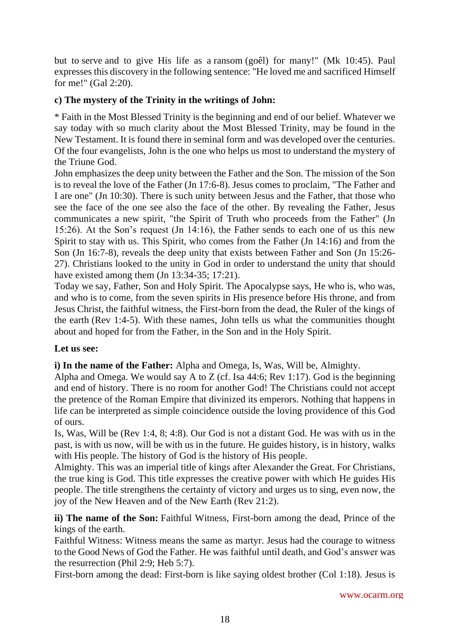but to serve and to give His life as a ransom (goêl) for many!" (Mk 10:45). Paul expresses this discovery in the following sentence: "He loved me and sacrificed Himself for me!" (Gal 2:20).

# **c) The mystery of the Trinity in the writings of John:**

\* Faith in the Most Blessed Trinity is the beginning and end of our belief. Whatever we say today with so much clarity about the Most Blessed Trinity, may be found in the New Testament. It is found there in seminal form and was developed over the centuries. Of the four evangelists, John is the one who helps us most to understand the mystery of the Triune God.

John emphasizes the deep unity between the Father and the Son. The mission of the Son is to reveal the love of the Father (Jn 17:6-8). Jesus comes to proclaim, "The Father and I are one" (Jn 10:30). There is such unity between Jesus and the Father, that those who see the face of the one see also the face of the other. By revealing the Father, Jesus communicates a new spirit, "the Spirit of Truth who proceeds from the Father" (Jn 15:26). At the Son's request (Jn 14:16), the Father sends to each one of us this new Spirit to stay with us. This Spirit, who comes from the Father (Jn 14:16) and from the Son (Jn 16:7-8), reveals the deep unity that exists between Father and Son (Jn 15:26- 27). Christians looked to the unity in God in order to understand the unity that should have existed among them (Jn 13:34-35; 17:21).

Today we say, Father, Son and Holy Spirit. The Apocalypse says, He who is, who was, and who is to come, from the seven spirits in His presence before His throne, and from Jesus Christ, the faithful witness, the First-born from the dead, the Ruler of the kings of the earth (Rev 1:4-5). With these names, John tells us what the communities thought about and hoped for from the Father, in the Son and in the Holy Spirit.

# **Let us see:**

**i) In the name of the Father:** Alpha and Omega, Is, Was, Will be, Almighty.

Alpha and Omega. We would say A to Z (cf. Isa 44:6; Rev 1:17). God is the beginning and end of history. There is no room for another God! The Christians could not accept the pretence of the Roman Empire that divinized its emperors. Nothing that happens in life can be interpreted as simple coincidence outside the loving providence of this God of ours.

Is, Was, Will be (Rev 1:4, 8; 4:8). Our God is not a distant God. He was with us in the past, is with us now, will be with us in the future. He guides history, is in history, walks with His people. The history of God is the history of His people.

Almighty. This was an imperial title of kings after Alexander the Great. For Christians, the true king is God. This title expresses the creative power with which He guides His people. The title strengthens the certainty of victory and urges us to sing, even now, the joy of the New Heaven and of the New Earth (Rev 21:2).

**ii) The name of the Son:** Faithful Witness, First-born among the dead, Prince of the kings of the earth.

Faithful Witness: Witness means the same as martyr. Jesus had the courage to witness to the Good News of God the Father. He was faithful until death, and God's answer was the resurrection (Phil 2:9; Heb 5:7).

First-born among the dead: First-born is like saying oldest brother (Col 1:18). Jesus is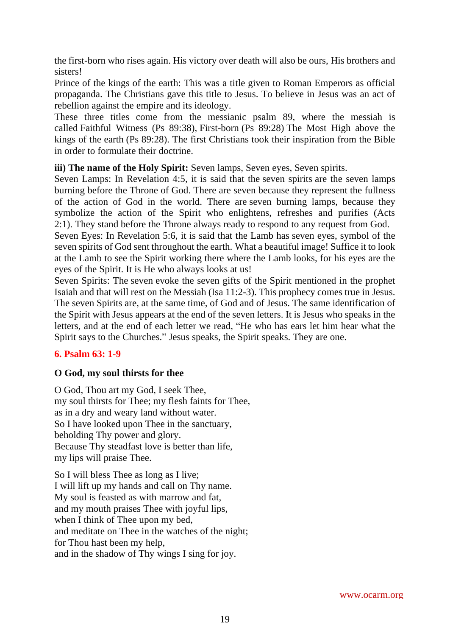the first-born who rises again. His victory over death will also be ours, His brothers and sisters!

Prince of the kings of the earth: This was a title given to Roman Emperors as official propaganda. The Christians gave this title to Jesus. To believe in Jesus was an act of rebellion against the empire and its ideology.

These three titles come from the messianic psalm 89, where the messiah is called Faithful Witness (Ps 89:38), First-born (Ps 89:28) The Most High above the kings of the earth (Ps 89:28). The first Christians took their inspiration from the Bible in order to formulate their doctrine.

### **iii) The name of the Holy Spirit:** Seven lamps, Seven eyes, Seven spirits.

Seven Lamps: In Revelation 4:5, it is said that the seven spirits are the seven lamps burning before the Throne of God. There are seven because they represent the fullness of the action of God in the world. There are seven burning lamps, because they symbolize the action of the Spirit who enlightens, refreshes and purifies (Acts 2:1). They stand before the Throne always ready to respond to any request from God.

Seven Eyes: In Revelation 5:6, it is said that the Lamb has seven eyes, symbol of the seven spirits of God sent throughout the earth. What a beautiful image! Suffice it to look at the Lamb to see the Spirit working there where the Lamb looks, for his eyes are the eyes of the Spirit. It is He who always looks at us!

Seven Spirits: The seven evoke the seven gifts of the Spirit mentioned in the prophet Isaiah and that will rest on the Messiah (Isa 11:2-3). This prophecy comes true in Jesus. The seven Spirits are, at the same time, of God and of Jesus. The same identification of the Spirit with Jesus appears at the end of the seven letters. It is Jesus who speaks in the letters, and at the end of each letter we read, "He who has ears let him hear what the Spirit says to the Churches." Jesus speaks, the Spirit speaks. They are one.

# **6. Psalm 63: 1-9**

# **O God, my soul thirsts for thee**

O God, Thou art my God, I seek Thee, my soul thirsts for Thee; my flesh faints for Thee, as in a dry and weary land without water. So I have looked upon Thee in the sanctuary, beholding Thy power and glory. Because Thy steadfast love is better than life, my lips will praise Thee.

So I will bless Thee as long as I live; I will lift up my hands and call on Thy name. My soul is feasted as with marrow and fat, and my mouth praises Thee with joyful lips, when I think of Thee upon my bed, and meditate on Thee in the watches of the night; for Thou hast been my help, and in the shadow of Thy wings I sing for joy.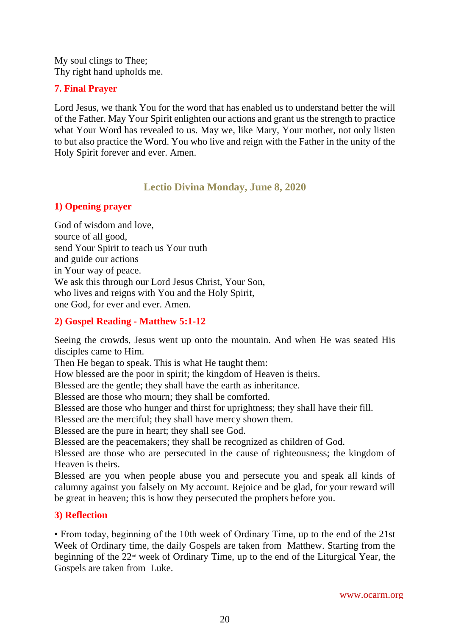My soul clings to Thee; Thy right hand upholds me.

# **7. Final Prayer**

Lord Jesus, we thank You for the word that has enabled us to understand better the will of the Father. May Your Spirit enlighten our actions and grant us the strength to practice what Your Word has revealed to us. May we, like Mary, Your mother, not only listen to but also practice the Word. You who live and reign with the Father in the unity of the Holy Spirit forever and ever. Amen.

# **Lectio Divina Monday, June 8, 2020**

# <span id="page-19-0"></span>**1) Opening prayer**

God of wisdom and love, source of all good, send Your Spirit to teach us Your truth and guide our actions in Your way of peace. We ask this through our Lord Jesus Christ, Your Son, who lives and reigns with You and the Holy Spirit, one God, for ever and ever. Amen.

# **2) Gospel Reading - Matthew 5:1-12**

Seeing the crowds, Jesus went up onto the mountain. And when He was seated His disciples came to Him.

Then He began to speak. This is what He taught them:

How blessed are the poor in spirit; the kingdom of Heaven is theirs.

Blessed are the gentle; they shall have the earth as inheritance.

Blessed are those who mourn; they shall be comforted.

Blessed are those who hunger and thirst for uprightness; they shall have their fill.

Blessed are the merciful; they shall have mercy shown them.

Blessed are the pure in heart; they shall see God.

Blessed are the peacemakers; they shall be recognized as children of God.

Blessed are those who are persecuted in the cause of righteousness; the kingdom of Heaven is theirs.

Blessed are you when people abuse you and persecute you and speak all kinds of calumny against you falsely on My account. Rejoice and be glad, for your reward will be great in heaven; this is how they persecuted the prophets before you.

# **3) Reflection**

• From today, beginning of the 10th week of Ordinary Time, up to the end of the 21st Week of Ordinary time, the daily Gospels are taken from Matthew. Starting from the beginning of the 22nd week of Ordinary Time, up to the end of the Liturgical Year, the Gospels are taken from Luke.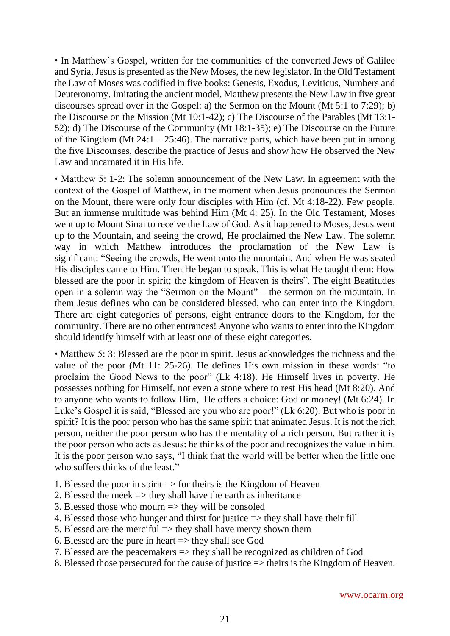• In Matthew's Gospel, written for the communities of the converted Jews of Galilee and Syria, Jesus is presented as the New Moses, the new legislator. In the Old Testament the Law of Moses was codified in five books: Genesis, Exodus, Leviticus, Numbers and Deuteronomy. Imitating the ancient model, Matthew presents the New Law in five great discourses spread over in the Gospel: a) the Sermon on the Mount (Mt 5:1 to 7:29); b) the Discourse on the Mission (Mt 10:1-42); c) The Discourse of the Parables (Mt 13:1- 52); d) The Discourse of the Community (Mt 18:1-35); e) The Discourse on the Future of the Kingdom (Mt  $24:1 - 25:46$ ). The narrative parts, which have been put in among the five Discourses, describe the practice of Jesus and show how He observed the New Law and incarnated it in His life.

• Matthew 5: 1-2: The solemn announcement of the New Law. In agreement with the context of the Gospel of Matthew, in the moment when Jesus pronounces the Sermon on the Mount, there were only four disciples with Him (cf. Mt 4:18-22). Few people. But an immense multitude was behind Him (Mt 4: 25). In the Old Testament, Moses went up to Mount Sinai to receive the Law of God. As it happened to Moses, Jesus went up to the Mountain, and seeing the crowd, He proclaimed the New Law. The solemn way in which Matthew introduces the proclamation of the New Law is significant: "Seeing the crowds, He went onto the mountain. And when He was seated His disciples came to Him. Then He began to speak. This is what He taught them: How blessed are the poor in spirit; the kingdom of Heaven is theirs". The eight Beatitudes open in a solemn way the "Sermon on the Mount" – the sermon on the mountain. In them Jesus defines who can be considered blessed, who can enter into the Kingdom. There are eight categories of persons, eight entrance doors to the Kingdom, for the community. There are no other entrances! Anyone who wants to enter into the Kingdom should identify himself with at least one of these eight categories.

• Matthew 5: 3: Blessed are the poor in spirit. Jesus acknowledges the richness and the value of the poor (Mt 11: 25-26). He defines His own mission in these words: "to proclaim the Good News to the poor" (Lk 4:18). He Himself lives in poverty. He possesses nothing for Himself, not even a stone where to rest His head (Mt 8:20). And to anyone who wants to follow Him, He offers a choice: God or money! (Mt 6:24). In Luke's Gospel it is said, "Blessed are you who are poor!" (Lk 6:20). But who is poor in spirit? It is the poor person who has the same spirit that animated Jesus. It is not the rich person, neither the poor person who has the mentality of a rich person. But rather it is the poor person who acts as Jesus: he thinks of the poor and recognizes the value in him. It is the poor person who says, "I think that the world will be better when the little one who suffers thinks of the least."

- 1. Blessed the poor in spirit  $\Rightarrow$  for theirs is the Kingdom of Heaven
- 2. Blessed the meek  $\Rightarrow$  they shall have the earth as inheritance
- 3. Blessed those who mourn  $\Rightarrow$  they will be consoled
- 4. Blessed those who hunger and thirst for justice => they shall have their fill
- 5. Blessed are the merciful  $\Rightarrow$  they shall have mercy shown them
- 6. Blessed are the pure in heart  $\Rightarrow$  they shall see God
- 7. Blessed are the peacemakers => they shall be recognized as children of God
- 8. Blessed those persecuted for the cause of justice => theirs is the Kingdom of Heaven.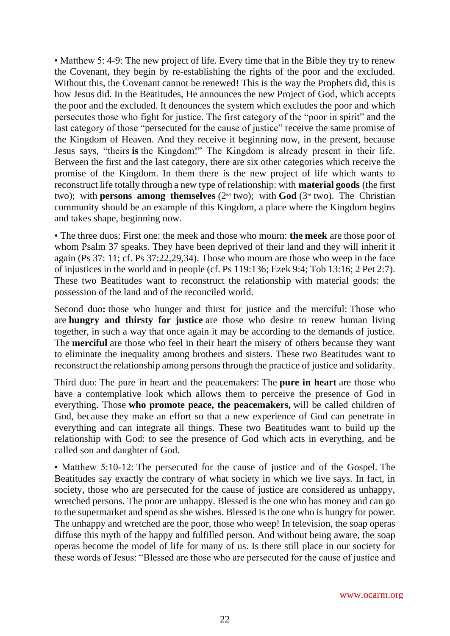• Matthew 5: 4-9: The new project of life. Every time that in the Bible they try to renew the Covenant, they begin by re-establishing the rights of the poor and the excluded. Without this, the Covenant cannot be renewed! This is the way the Prophets did, this is how Jesus did. In the Beatitudes, He announces the new Project of God, which accepts the poor and the excluded. It denounces the system which excludes the poor and which persecutes those who fight for justice. The first category of the "poor in spirit" and the last category of those "persecuted for the cause of justice" receive the same promise of the Kingdom of Heaven. And they receive it beginning now, in the present, because Jesus says, "theirs **is** the Kingdom!" The Kingdom is already present in their life. Between the first and the last category, there are six other categories which receive the promise of the Kingdom. In them there is the new project of life which wants to reconstruct life totally through a new type of relationship: with **material goods** (the first two); with **persons among themselves**  $(2<sup>nd</sup> two)$ ; with **God**  $(3<sup>rd</sup> two)$ . The Christian community should be an example of this Kingdom, a place where the Kingdom begins and takes shape, beginning now.

• The three duos: First one: the meek and those who mourn: **the meek** are those poor of whom Psalm 37 speaks. They have been deprived of their land and they will inherit it again (Ps 37: 11; cf. Ps 37:22,29,34). Those who mourn are those who weep in the face of injustices in the world and in people (cf. Ps 119:136; Ezek 9:4; Tob 13:16; 2 Pet 2:7). These two Beatitudes want to reconstruct the relationship with material goods: the possession of the land and of the reconciled world.

Second duo**:** those who hunger and thirst for justice and the merciful: Those who are **hungry and thirsty for justice** are those who desire to renew human living together, in such a way that once again it may be according to the demands of justice. The **merciful** are those who feel in their heart the misery of others because they want to eliminate the inequality among brothers and sisters. These two Beatitudes want to reconstruct the relationship among persons through the practice of justice and solidarity.

Third duo: The pure in heart and the peacemakers: The **pure in heart** are those who have a contemplative look which allows them to perceive the presence of God in everything. Those **who promote peace, the peacemakers,** will be called children of God, because they make an effort so that a new experience of God can penetrate in everything and can integrate all things. These two Beatitudes want to build up the relationship with God: to see the presence of God which acts in everything, and be called son and daughter of God.

• Matthew 5:10-12: The persecuted for the cause of justice and of the Gospel. The Beatitudes say exactly the contrary of what society in which we live says. In fact, in society, those who are persecuted for the cause of justice are considered as unhappy, wretched persons. The poor are unhappy. Blessed is the one who has money and can go to the supermarket and spend as she wishes. Blessed is the one who is hungry for power. The unhappy and wretched are the poor, those who weep! In television, the soap operas diffuse this myth of the happy and fulfilled person. And without being aware, the soap operas become the model of life for many of us. Is there still place in our society for these words of Jesus: "Blessed are those who are persecuted for the cause of justice and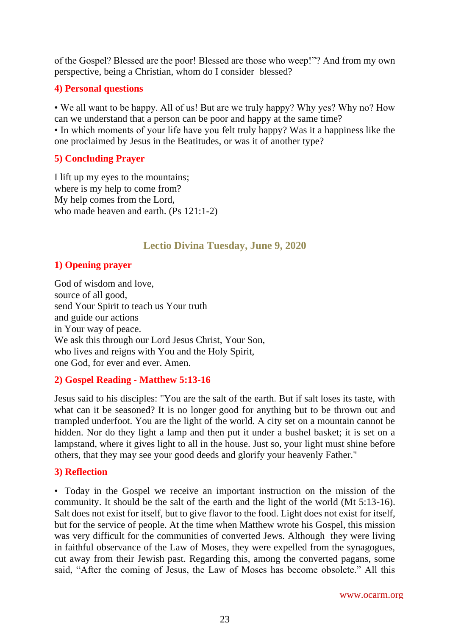of the Gospel? Blessed are the poor! Blessed are those who weep!"? And from my own perspective, being a Christian, whom do I consider blessed?

### **4) Personal questions**

• We all want to be happy. All of us! But are we truly happy? Why yes? Why no? How can we understand that a person can be poor and happy at the same time? • In which moments of your life have you felt truly happy? Was it a happiness like the one proclaimed by Jesus in the Beatitudes, or was it of another type?

### **5) Concluding Prayer**

I lift up my eyes to the mountains; where is my help to come from? My help comes from the Lord, who made heaven and earth. (Ps 121:1-2)

# **Lectio Divina Tuesday, June 9, 2020**

# <span id="page-22-0"></span>**1) Opening prayer**

God of wisdom and love, source of all good, send Your Spirit to teach us Your truth and guide our actions in Your way of peace. We ask this through our Lord Jesus Christ, Your Son, who lives and reigns with You and the Holy Spirit, one God, for ever and ever. Amen.

#### **2) Gospel Reading - Matthew 5:13-16**

Jesus said to his disciples: "You are the salt of the earth. But if salt loses its taste, with what can it be seasoned? It is no longer good for anything but to be thrown out and trampled underfoot. You are the light of the world. A city set on a mountain cannot be hidden. Nor do they light a lamp and then put it under a bushel basket; it is set on a lampstand, where it gives light to all in the house. Just so, your light must shine before others, that they may see your good deeds and glorify your heavenly Father."

#### **3) Reflection**

• Today in the Gospel we receive an important instruction on the mission of the community. It should be the salt of the earth and the light of the world (Mt 5:13-16). Salt does not exist for itself, but to give flavor to the food. Light does not exist for itself, but for the service of people. At the time when Matthew wrote his Gospel, this mission was very difficult for the communities of converted Jews. Although they were living in faithful observance of the Law of Moses, they were expelled from the synagogues, cut away from their Jewish past. Regarding this, among the converted pagans, some said, "After the coming of Jesus, the Law of Moses has become obsolete." All this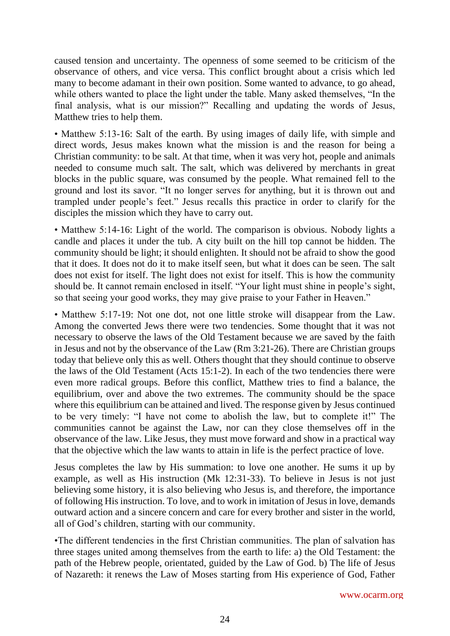caused tension and uncertainty. The openness of some seemed to be criticism of the observance of others, and vice versa. This conflict brought about a crisis which led many to become adamant in their own position. Some wanted to advance, to go ahead, while others wanted to place the light under the table. Many asked themselves, "In the final analysis, what is our mission?" Recalling and updating the words of Jesus, Matthew tries to help them.

• Matthew 5:13-16: Salt of the earth. By using images of daily life, with simple and direct words, Jesus makes known what the mission is and the reason for being a Christian community: to be salt. At that time, when it was very hot, people and animals needed to consume much salt. The salt, which was delivered by merchants in great blocks in the public square, was consumed by the people. What remained fell to the ground and lost its savor. "It no longer serves for anything, but it is thrown out and trampled under people's feet." Jesus recalls this practice in order to clarify for the disciples the mission which they have to carry out.

• Matthew 5:14-16: Light of the world. The comparison is obvious. Nobody lights a candle and places it under the tub. A city built on the hill top cannot be hidden. The community should be light; it should enlighten. It should not be afraid to show the good that it does. It does not do it to make itself seen, but what it does can be seen. The salt does not exist for itself. The light does not exist for itself. This is how the community should be. It cannot remain enclosed in itself. "Your light must shine in people's sight, so that seeing your good works, they may give praise to your Father in Heaven."

• Matthew 5:17-19: Not one dot, not one little stroke will disappear from the Law. Among the converted Jews there were two tendencies. Some thought that it was not necessary to observe the laws of the Old Testament because we are saved by the faith in Jesus and not by the observance of the Law (Rm 3:21-26). There are Christian groups today that believe only this as well. Others thought that they should continue to observe the laws of the Old Testament (Acts 15:1-2). In each of the two tendencies there were even more radical groups. Before this conflict, Matthew tries to find a balance, the equilibrium, over and above the two extremes. The community should be the space where this equilibrium can be attained and lived. The response given by Jesus continued to be very timely: "I have not come to abolish the law, but to complete it!" The communities cannot be against the Law, nor can they close themselves off in the observance of the law. Like Jesus, they must move forward and show in a practical way that the objective which the law wants to attain in life is the perfect practice of love.

Jesus completes the law by His summation: to love one another. He sums it up by example, as well as His instruction (Mk 12:31-33). To believe in Jesus is not just believing some history, it is also believing who Jesus is, and therefore, the importance of following His instruction. To love, and to work in imitation of Jesus in love, demands outward action and a sincere concern and care for every brother and sister in the world, all of God's children, starting with our community.

•The different tendencies in the first Christian communities. The plan of salvation has three stages united among themselves from the earth to life: a) the Old Testament: the path of the Hebrew people, orientated, guided by the Law of God. b) The life of Jesus of Nazareth: it renews the Law of Moses starting from His experience of God, Father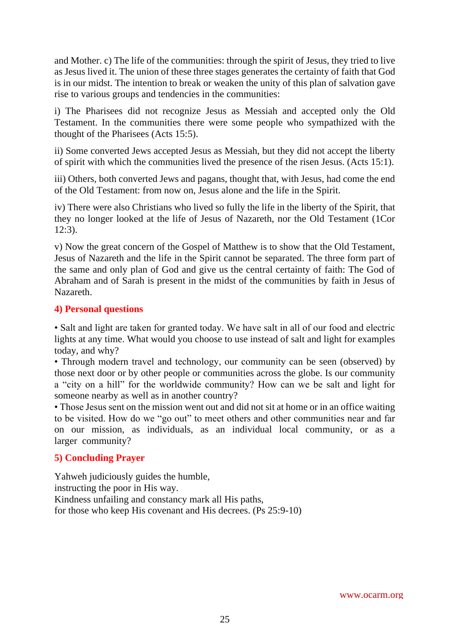and Mother. c) The life of the communities: through the spirit of Jesus, they tried to live as Jesus lived it. The union of these three stages generates the certainty of faith that God is in our midst. The intention to break or weaken the unity of this plan of salvation gave rise to various groups and tendencies in the communities:

i) The Pharisees did not recognize Jesus as Messiah and accepted only the Old Testament. In the communities there were some people who sympathized with the thought of the Pharisees (Acts 15:5).

ii) Some converted Jews accepted Jesus as Messiah, but they did not accept the liberty of spirit with which the communities lived the presence of the risen Jesus. (Acts 15:1).

iii) Others, both converted Jews and pagans, thought that, with Jesus, had come the end of the Old Testament: from now on, Jesus alone and the life in the Spirit.

iv) There were also Christians who lived so fully the life in the liberty of the Spirit, that they no longer looked at the life of Jesus of Nazareth, nor the Old Testament (1Cor 12:3).

v) Now the great concern of the Gospel of Matthew is to show that the Old Testament, Jesus of Nazareth and the life in the Spirit cannot be separated. The three form part of the same and only plan of God and give us the central certainty of faith: The God of Abraham and of Sarah is present in the midst of the communities by faith in Jesus of Nazareth.

# **4) Personal questions**

• Salt and light are taken for granted today. We have salt in all of our food and electric lights at any time. What would you choose to use instead of salt and light for examples today, and why?

• Through modern travel and technology, our community can be seen (observed) by those next door or by other people or communities across the globe. Is our community a "city on a hill" for the worldwide community? How can we be salt and light for someone nearby as well as in another country?

• Those Jesus sent on the mission went out and did not sit at home or in an office waiting to be visited. How do we "go out" to meet others and other communities near and far on our mission, as individuals, as an individual local community, or as a larger community?

# **5) Concluding Prayer**

Yahweh judiciously guides the humble, instructing the poor in His way. Kindness unfailing and constancy mark all His paths, for those who keep His covenant and His decrees. (Ps 25:9-10)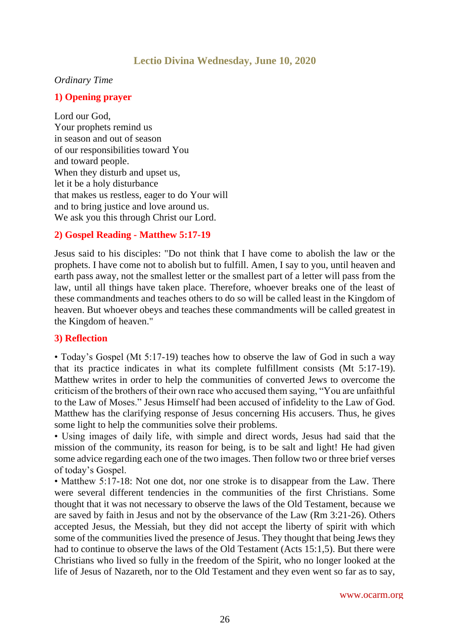# **Lectio Divina Wednesday, June 10, 2020**

<span id="page-25-0"></span>*Ordinary Time*

### **1) Opening prayer**

Lord our God, Your prophets remind us in season and out of season of our responsibilities toward You and toward people. When they disturb and upset us, let it be a holy disturbance that makes us restless, eager to do Your will and to bring justice and love around us. We ask you this through Christ our Lord.

### **2) Gospel Reading - Matthew 5:17-19**

Jesus said to his disciples: "Do not think that I have come to abolish the law or the prophets. I have come not to abolish but to fulfill. Amen, I say to you, until heaven and earth pass away, not the smallest letter or the smallest part of a letter will pass from the law, until all things have taken place. Therefore, whoever breaks one of the least of these commandments and teaches others to do so will be called least in the Kingdom of heaven. But whoever obeys and teaches these commandments will be called greatest in the Kingdom of heaven."

#### **3) Reflection**

• Today's Gospel (Mt 5:17-19) teaches how to observe the law of God in such a way that its practice indicates in what its complete fulfillment consists (Mt 5:17-19). Matthew writes in order to help the communities of converted Jews to overcome the criticism of the brothers of their own race who accused them saying, "You are unfaithful to the Law of Moses." Jesus Himself had been accused of infidelity to the Law of God. Matthew has the clarifying response of Jesus concerning His accusers. Thus, he gives some light to help the communities solve their problems.

• Using images of daily life, with simple and direct words, Jesus had said that the mission of the community, its reason for being, is to be salt and light! He had given some advice regarding each one of the two images. Then follow two or three brief verses of today's Gospel.

• Matthew 5:17-18: Not one dot, nor one stroke is to disappear from the Law. There were several different tendencies in the communities of the first Christians. Some thought that it was not necessary to observe the laws of the Old Testament, because we are saved by faith in Jesus and not by the observance of the Law (Rm 3:21-26). Others accepted Jesus, the Messiah, but they did not accept the liberty of spirit with which some of the communities lived the presence of Jesus. They thought that being Jews they had to continue to observe the laws of the Old Testament (Acts 15:1,5). But there were Christians who lived so fully in the freedom of the Spirit, who no longer looked at the life of Jesus of Nazareth, nor to the Old Testament and they even went so far as to say,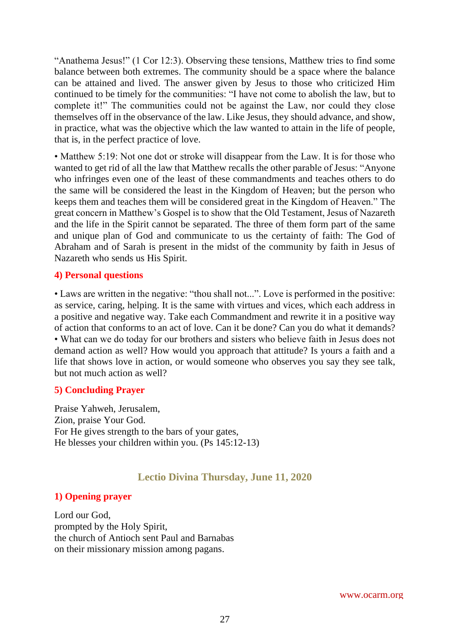"Anathema Jesus!" (1 Cor 12:3). Observing these tensions, Matthew tries to find some balance between both extremes. The community should be a space where the balance can be attained and lived. The answer given by Jesus to those who criticized Him continued to be timely for the communities: "I have not come to abolish the law, but to complete it!" The communities could not be against the Law, nor could they close themselves off in the observance of the law. Like Jesus, they should advance, and show, in practice, what was the objective which the law wanted to attain in the life of people, that is, in the perfect practice of love.

• Matthew 5:19: Not one dot or stroke will disappear from the Law. It is for those who wanted to get rid of all the law that Matthew recalls the other parable of Jesus: "Anyone who infringes even one of the least of these commandments and teaches others to do the same will be considered the least in the Kingdom of Heaven; but the person who keeps them and teaches them will be considered great in the Kingdom of Heaven." The great concern in Matthew's Gospel is to show that the Old Testament, Jesus of Nazareth and the life in the Spirit cannot be separated. The three of them form part of the same and unique plan of God and communicate to us the certainty of faith: The God of Abraham and of Sarah is present in the midst of the community by faith in Jesus of Nazareth who sends us His Spirit.

#### **4) Personal questions**

• Laws are written in the negative: "thou shall not...". Love is performed in the positive: as service, caring, helping. It is the same with virtues and vices, which each address in a positive and negative way. Take each Commandment and rewrite it in a positive way of action that conforms to an act of love. Can it be done? Can you do what it demands? • What can we do today for our brothers and sisters who believe faith in Jesus does not demand action as well? How would you approach that attitude? Is yours a faith and a life that shows love in action, or would someone who observes you say they see talk, but not much action as well?

#### **5) Concluding Prayer**

Praise Yahweh, Jerusalem, Zion, praise Your God. For He gives strength to the bars of your gates, He blesses your children within you. (Ps 145:12-13)

# **Lectio Divina Thursday, June 11, 2020**

#### <span id="page-26-0"></span>**1) Opening prayer**

Lord our God, prompted by the Holy Spirit, the church of Antioch sent Paul and Barnabas on their missionary mission among pagans.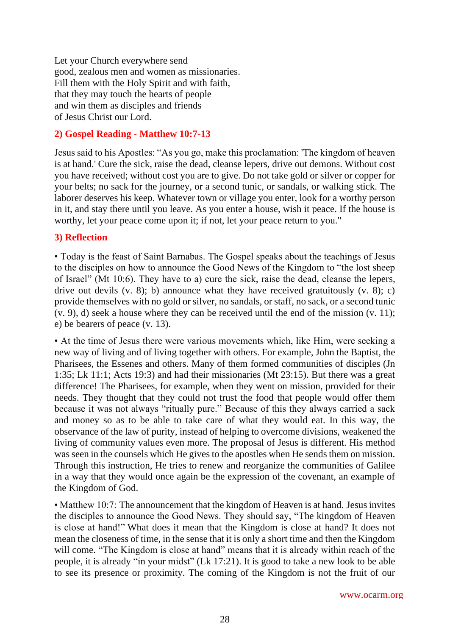Let your Church everywhere send good, zealous men and women as missionaries. Fill them with the Holy Spirit and with faith, that they may touch the hearts of people and win them as disciples and friends of Jesus Christ our Lord.

# **2) Gospel Reading - Matthew 10:7-13**

Jesus said to his Apostles: "As you go, make this proclamation: 'The kingdom of heaven is at hand.' Cure the sick, raise the dead, cleanse lepers, drive out demons. Without cost you have received; without cost you are to give. Do not take gold or silver or copper for your belts; no sack for the journey, or a second tunic, or sandals, or walking stick. The laborer deserves his keep. Whatever town or village you enter, look for a worthy person in it, and stay there until you leave. As you enter a house, wish it peace. If the house is worthy, let your peace come upon it; if not, let your peace return to you."

# **3) Reflection**

• Today is the feast of Saint Barnabas. The Gospel speaks about the teachings of Jesus to the disciples on how to announce the Good News of the Kingdom to "the lost sheep of Israel" (Mt 10:6). They have to a) cure the sick, raise the dead, cleanse the lepers, drive out devils  $(v, 8)$ ; b) announce what they have received gratuitously  $(v, 8)$ ; c) provide themselves with no gold or silver, no sandals, or staff, no sack, or a second tunic (v. 9), d) seek a house where they can be received until the end of the mission (v. 11); e) be bearers of peace (v. 13).

• At the time of Jesus there were various movements which, like Him, were seeking a new way of living and of living together with others. For example, John the Baptist, the Pharisees, the Essenes and others. Many of them formed communities of disciples (Jn 1:35; Lk 11:1; Acts 19:3) and had their missionaries (Mt 23:15). But there was a great difference! The Pharisees, for example, when they went on mission, provided for their needs. They thought that they could not trust the food that people would offer them because it was not always "ritually pure." Because of this they always carried a sack and money so as to be able to take care of what they would eat. In this way, the observance of the law of purity, instead of helping to overcome divisions, weakened the living of community values even more. The proposal of Jesus is different. His method was seen in the counsels which He gives to the apostles when He sends them on mission. Through this instruction, He tries to renew and reorganize the communities of Galilee in a way that they would once again be the expression of the covenant, an example of the Kingdom of God.

• Matthew 10:7: The announcement that the kingdom of Heaven is at hand. Jesus invites the disciples to announce the Good News. They should say, "The kingdom of Heaven is close at hand!" What does it mean that the Kingdom is close at hand? It does not mean the closeness of time, in the sense that it is only a short time and then the Kingdom will come. "The Kingdom is close at hand" means that it is already within reach of the people, it is already "in your midst" (Lk 17:21). It is good to take a new look to be able to see its presence or proximity. The coming of the Kingdom is not the fruit of our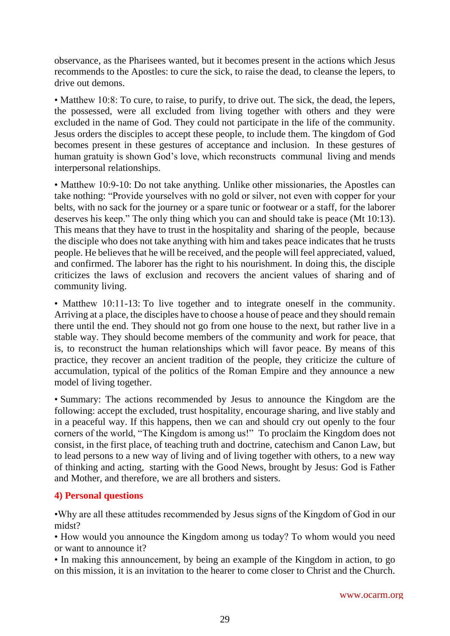observance, as the Pharisees wanted, but it becomes present in the actions which Jesus recommends to the Apostles: to cure the sick, to raise the dead, to cleanse the lepers, to drive out demons.

• Matthew 10:8: To cure, to raise, to purify, to drive out. The sick, the dead, the lepers, the possessed, were all excluded from living together with others and they were excluded in the name of God. They could not participate in the life of the community. Jesus orders the disciples to accept these people, to include them. The kingdom of God becomes present in these gestures of acceptance and inclusion. In these gestures of human gratuity is shown God's love, which reconstructs communal living and mends interpersonal relationships.

• Matthew 10:9-10: Do not take anything. Unlike other missionaries, the Apostles can take nothing: "Provide yourselves with no gold or silver, not even with copper for your belts, with no sack for the journey or a spare tunic or footwear or a staff, for the laborer deserves his keep." The only thing which you can and should take is peace (Mt 10:13). This means that they have to trust in the hospitality and sharing of the people, because the disciple who does not take anything with him and takes peace indicates that he trusts people. He believes that he will be received, and the people will feel appreciated, valued, and confirmed. The laborer has the right to his nourishment. In doing this, the disciple criticizes the laws of exclusion and recovers the ancient values of sharing and of community living.

• Matthew 10:11-13: To live together and to integrate oneself in the community. Arriving at a place, the disciples have to choose a house of peace and they should remain there until the end. They should not go from one house to the next, but rather live in a stable way. They should become members of the community and work for peace, that is, to reconstruct the human relationships which will favor peace. By means of this practice, they recover an ancient tradition of the people, they criticize the culture of accumulation, typical of the politics of the Roman Empire and they announce a new model of living together.

• Summary: The actions recommended by Jesus to announce the Kingdom are the following: accept the excluded, trust hospitality, encourage sharing, and live stably and in a peaceful way. If this happens, then we can and should cry out openly to the four corners of the world, "The Kingdom is among us!" To proclaim the Kingdom does not consist, in the first place, of teaching truth and doctrine, catechism and Canon Law, but to lead persons to a new way of living and of living together with others, to a new way of thinking and acting, starting with the Good News, brought by Jesus: God is Father and Mother, and therefore, we are all brothers and sisters.

# **4) Personal questions**

•Why are all these attitudes recommended by Jesus signs of the Kingdom of God in our midst?

• How would you announce the Kingdom among us today? To whom would you need or want to announce it?

• In making this announcement, by being an example of the Kingdom in action, to go on this mission, it is an invitation to the hearer to come closer to Christ and the Church.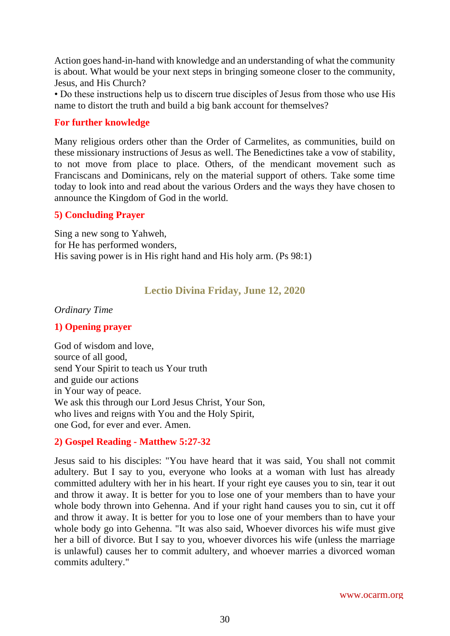Action goes hand-in-hand with knowledge and an understanding of what the community is about. What would be your next steps in bringing someone closer to the community, Jesus, and His Church?

• Do these instructions help us to discern true disciples of Jesus from those who use His name to distort the truth and build a big bank account for themselves?

### **For further knowledge**

Many religious orders other than the Order of Carmelites, as communities, build on these missionary instructions of Jesus as well. The Benedictines take a vow of stability, to not move from place to place. Others, of the mendicant movement such as Franciscans and Dominicans, rely on the material support of others. Take some time today to look into and read about the various Orders and the ways they have chosen to announce the Kingdom of God in the world.

### **5) Concluding Prayer**

Sing a new song to Yahweh, for He has performed wonders, His saving power is in His right hand and His holy arm. (Ps 98:1)

# **Lectio Divina Friday, June 12, 2020**

#### <span id="page-29-0"></span>*Ordinary Time*

# **1) Opening prayer**

God of wisdom and love, source of all good, send Your Spirit to teach us Your truth and guide our actions in Your way of peace. We ask this through our Lord Jesus Christ, Your Son, who lives and reigns with You and the Holy Spirit, one God, for ever and ever. Amen.

# **2) Gospel Reading - Matthew 5:27-32**

Jesus said to his disciples: "You have heard that it was said, You shall not commit adultery. But I say to you, everyone who looks at a woman with lust has already committed adultery with her in his heart. If your right eye causes you to sin, tear it out and throw it away. It is better for you to lose one of your members than to have your whole body thrown into Gehenna. And if your right hand causes you to sin, cut it off and throw it away. It is better for you to lose one of your members than to have your whole body go into Gehenna. "It was also said, Whoever divorces his wife must give her a bill of divorce. But I say to you, whoever divorces his wife (unless the marriage is unlawful) causes her to commit adultery, and whoever marries a divorced woman commits adultery."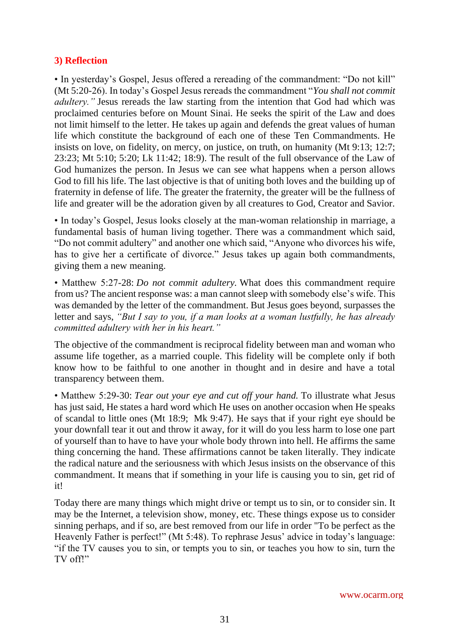# **3) Reflection**

• In yesterday's Gospel, Jesus offered a rereading of the commandment: "Do not kill" (Mt 5:20-26). In today's Gospel Jesus rereads the commandment "*You shall not commit adultery."* Jesus rereads the law starting from the intention that God had which was proclaimed centuries before on Mount Sinai. He seeks the spirit of the Law and does not limit himself to the letter. He takes up again and defends the great values of human life which constitute the background of each one of these Ten Commandments. He insists on love, on fidelity, on mercy, on justice, on truth, on humanity (Mt 9:13; 12:7; 23:23; Mt 5:10; 5:20; Lk 11:42; 18:9). The result of the full observance of the Law of God humanizes the person. In Jesus we can see what happens when a person allows God to fill his life. The last objective is that of uniting both loves and the building up of fraternity in defense of life. The greater the fraternity, the greater will be the fullness of life and greater will be the adoration given by all creatures to God, Creator and Savior.

• In today's Gospel, Jesus looks closely at the man-woman relationship in marriage, a fundamental basis of human living together. There was a commandment which said, "Do not commit adultery" and another one which said, "Anyone who divorces his wife, has to give her a certificate of divorce." Jesus takes up again both commandments, giving them a new meaning.

• Matthew 5:27-28: *Do not commit adultery.* What does this commandment require from us? The ancient response was: a man cannot sleep with somebody else's wife. This was demanded by the letter of the commandment. But Jesus goes beyond, surpasses the letter and says, *"But I say to you, if a man looks at a woman lustfully, he has already committed adultery with her in his heart."*

The objective of the commandment is reciprocal fidelity between man and woman who assume life together, as a married couple. This fidelity will be complete only if both know how to be faithful to one another in thought and in desire and have a total transparency between them.

• Matthew 5:29-30: *Tear out your eye and cut off your hand.* To illustrate what Jesus has just said, He states a hard word which He uses on another occasion when He speaks of scandal to little ones (Mt 18:9; Mk 9:47). He says that if your right eye should be your downfall tear it out and throw it away, for it will do you less harm to lose one part of yourself than to have to have your whole body thrown into hell. He affirms the same thing concerning the hand. These affirmations cannot be taken literally. They indicate the radical nature and the seriousness with which Jesus insists on the observance of this commandment. It means that if something in your life is causing you to sin, get rid of it!

Today there are many things which might drive or tempt us to sin, or to consider sin. It may be the Internet, a television show, money, etc. These things expose us to consider sinning perhaps, and if so, are best removed from our life in order "To be perfect as the Heavenly Father is perfect!" (Mt 5:48). To rephrase Jesus' advice in today's language: "if the TV causes you to sin, or tempts you to sin, or teaches you how to sin, turn the TV off!"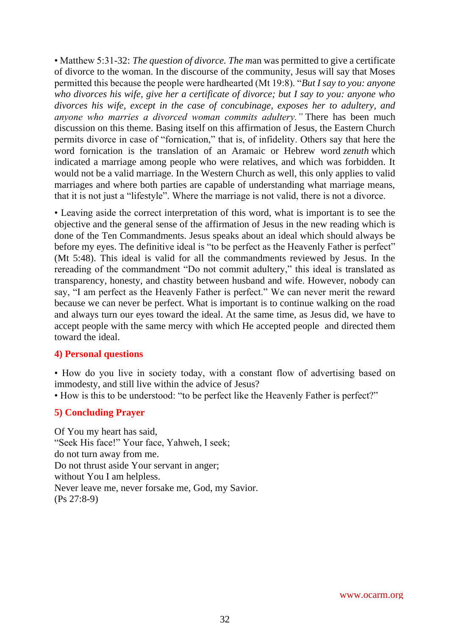• Matthew 5:31-32: *The question of divorce. The m*an was permitted to give a certificate of divorce to the woman. In the discourse of the community, Jesus will say that Moses permitted this because the people were hardhearted (Mt 19:8). "*But I say to you: anyone who divorces his wife, give her a certificate of divorce; but I say to you: anyone who divorces his wife, except in the case of concubinage, exposes her to adultery, and anyone who marries a divorced woman commits adultery."* There has been much discussion on this theme. Basing itself on this affirmation of Jesus, the Eastern Church permits divorce in case of "fornication," that is, of infidelity. Others say that here the word fornication is the translation of an Aramaic or Hebrew word *zenuth* which indicated a marriage among people who were relatives, and which was forbidden. It would not be a valid marriage. In the Western Church as well, this only applies to valid marriages and where both parties are capable of understanding what marriage means, that it is not just a "lifestyle". Where the marriage is not valid, there is not a divorce.

• Leaving aside the correct interpretation of this word, what is important is to see the objective and the general sense of the affirmation of Jesus in the new reading which is done of the Ten Commandments. Jesus speaks about an ideal which should always be before my eyes. The definitive ideal is "to be perfect as the Heavenly Father is perfect" (Mt 5:48). This ideal is valid for all the commandments reviewed by Jesus. In the rereading of the commandment "Do not commit adultery," this ideal is translated as transparency, honesty, and chastity between husband and wife. However, nobody can say, "I am perfect as the Heavenly Father is perfect." We can never merit the reward because we can never be perfect. What is important is to continue walking on the road and always turn our eyes toward the ideal. At the same time, as Jesus did, we have to accept people with the same mercy with which He accepted people and directed them toward the ideal.

#### **4) Personal questions**

• How do you live in society today, with a constant flow of advertising based on immodesty, and still live within the advice of Jesus?

• How is this to be understood: "to be perfect like the Heavenly Father is perfect?"

#### **5) Concluding Prayer**

Of You my heart has said, "Seek His face!" Your face, Yahweh, I seek; do not turn away from me. Do not thrust aside Your servant in anger; without You I am helpless. Never leave me, never forsake me, God, my Savior. (Ps 27:8-9)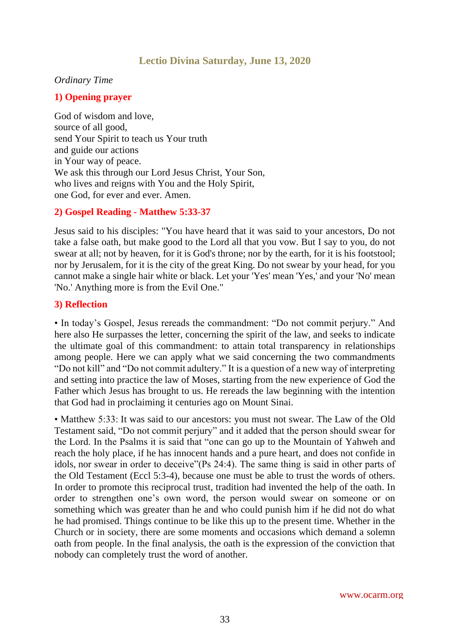# **Lectio Divina Saturday, June 13, 2020**

#### <span id="page-32-0"></span>*Ordinary Time*

#### **1) Opening prayer**

God of wisdom and love, source of all good, send Your Spirit to teach us Your truth and guide our actions in Your way of peace. We ask this through our Lord Jesus Christ, Your Son, who lives and reigns with You and the Holy Spirit, one God, for ever and ever. Amen.

#### **2) Gospel Reading - Matthew 5:33-37**

Jesus said to his disciples: "You have heard that it was said to your ancestors, Do not take a false oath, but make good to the Lord all that you vow. But I say to you, do not swear at all; not by heaven, for it is God's throne; nor by the earth, for it is his footstool; nor by Jerusalem, for it is the city of the great King. Do not swear by your head, for you cannot make a single hair white or black. Let your 'Yes' mean 'Yes,' and your 'No' mean 'No.' Anything more is from the Evil One."

### **3) Reflection**

• In today's Gospel, Jesus rereads the commandment: "Do not commit perjury." And here also He surpasses the letter, concerning the spirit of the law, and seeks to indicate the ultimate goal of this commandment: to attain total transparency in relationships among people. Here we can apply what we said concerning the two commandments "Do not kill" and "Do not commit adultery." It is a question of a new way of interpreting and setting into practice the law of Moses, starting from the new experience of God the Father which Jesus has brought to us. He rereads the law beginning with the intention that God had in proclaiming it centuries ago on Mount Sinai.

• Matthew 5:33: It was said to our ancestors: you must not swear. The Law of the Old Testament said, "Do not commit perjury" and it added that the person should swear for the Lord. In the Psalms it is said that "one can go up to the Mountain of Yahweh and reach the holy place, if he has innocent hands and a pure heart, and does not confide in idols, nor swear in order to deceive"(Ps 24:4). The same thing is said in other parts of the Old Testament (Eccl 5:3-4), because one must be able to trust the words of others. In order to promote this reciprocal trust, tradition had invented the help of the oath. In order to strengthen one's own word, the person would swear on someone or on something which was greater than he and who could punish him if he did not do what he had promised. Things continue to be like this up to the present time. Whether in the Church or in society, there are some moments and occasions which demand a solemn oath from people. In the final analysis, the oath is the expression of the conviction that nobody can completely trust the word of another.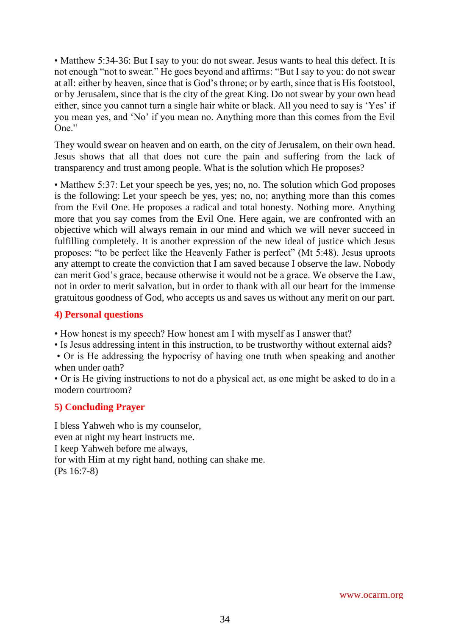• Matthew 5:34-36: But I say to you: do not swear. Jesus wants to heal this defect. It is not enough "not to swear." He goes beyond and affirms: "But I say to you: do not swear at all: either by heaven, since that is God's throne; or by earth, since that is His footstool, or by Jerusalem, since that is the city of the great King. Do not swear by your own head either, since you cannot turn a single hair white or black. All you need to say is 'Yes' if you mean yes, and 'No' if you mean no. Anything more than this comes from the Evil One."

They would swear on heaven and on earth, on the city of Jerusalem, on their own head. Jesus shows that all that does not cure the pain and suffering from the lack of transparency and trust among people. What is the solution which He proposes?

• Matthew 5:37: Let your speech be yes, yes; no, no. The solution which God proposes is the following: Let your speech be yes, yes; no, no; anything more than this comes from the Evil One. He proposes a radical and total honesty. Nothing more. Anything more that you say comes from the Evil One. Here again, we are confronted with an objective which will always remain in our mind and which we will never succeed in fulfilling completely. It is another expression of the new ideal of justice which Jesus proposes: "to be perfect like the Heavenly Father is perfect" (Mt 5:48). Jesus uproots any attempt to create the conviction that I am saved because I observe the law. Nobody can merit God's grace, because otherwise it would not be a grace. We observe the Law, not in order to merit salvation, but in order to thank with all our heart for the immense gratuitous goodness of God, who accepts us and saves us without any merit on our part.

# **4) Personal questions**

• How honest is my speech? How honest am I with myself as I answer that?

• Is Jesus addressing intent in this instruction, to be trustworthy without external aids?

• Or is He addressing the hypocrisy of having one truth when speaking and another when under oath?

• Or is He giving instructions to not do a physical act, as one might be asked to do in a modern courtroom?

# **5) Concluding Prayer**

I bless Yahweh who is my counselor, even at night my heart instructs me. I keep Yahweh before me always, for with Him at my right hand, nothing can shake me. (Ps 16:7-8)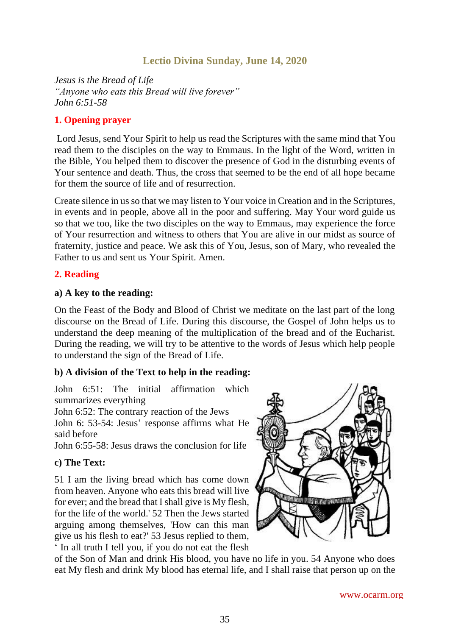# **Lectio Divina Sunday, June 14, 2020**

<span id="page-34-0"></span>*Jesus is the Bread of Life "Anyone who eats this Bread will live forever" John 6:51-58*

# **1. Opening prayer**

Lord Jesus, send Your Spirit to help us read the Scriptures with the same mind that You read them to the disciples on the way to Emmaus. In the light of the Word, written in the Bible, You helped them to discover the presence of God in the disturbing events of Your sentence and death. Thus, the cross that seemed to be the end of all hope became for them the source of life and of resurrection.

Create silence in us so that we may listen to Your voice in Creation and in the Scriptures, in events and in people, above all in the poor and suffering. May Your word guide us so that we too, like the two disciples on the way to Emmaus, may experience the force of Your resurrection and witness to others that You are alive in our midst as source of fraternity, justice and peace. We ask this of You, Jesus, son of Mary, who revealed the Father to us and sent us Your Spirit. Amen.

# **2. Reading**

# **a) A key to the reading:**

On the Feast of the Body and Blood of Christ we meditate on the last part of the long discourse on the Bread of Life. During this discourse, the Gospel of John helps us to understand the deep meaning of the multiplication of the bread and of the Eucharist. During the reading, we will try to be attentive to the words of Jesus which help people to understand the sign of the Bread of Life.

# **b) A division of the Text to help in the reading:**

John 6:51: The initial affirmation which summarizes everything

John 6:52: The contrary reaction of the Jews John 6: 53-54: Jesus' response affirms what He said before

John 6:55-58: Jesus draws the conclusion for life

# **c) The Text:**

51 I am the living bread which has come down from heaven. Anyone who eats this bread will live for ever; and the bread that I shall give is My flesh, for the life of the world.' 52 Then the Jews started arguing among themselves, 'How can this man give us his flesh to eat?' 53 Jesus replied to them, ' In all truth I tell you, if you do not eat the flesh



of the Son of Man and drink His blood, you have no life in you. 54 Anyone who does eat My flesh and drink My blood has eternal life, and I shall raise that person up on the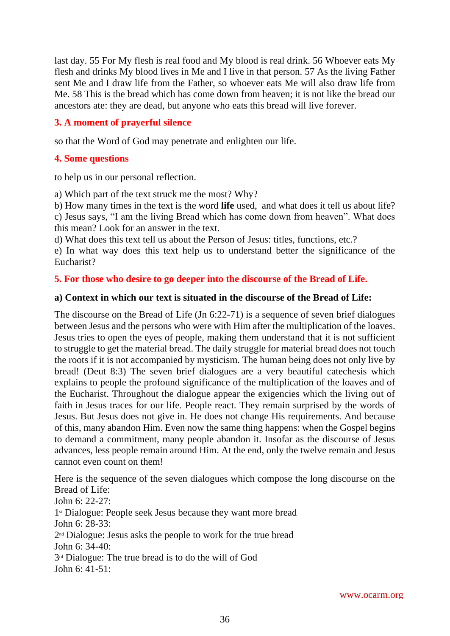last day. 55 For My flesh is real food and My blood is real drink. 56 Whoever eats My flesh and drinks My blood lives in Me and I live in that person. 57 As the living Father sent Me and I draw life from the Father, so whoever eats Me will also draw life from Me. 58 This is the bread which has come down from heaven; it is not like the bread our ancestors ate: they are dead, but anyone who eats this bread will live forever.

# **3. A moment of prayerful silence**

so that the Word of God may penetrate and enlighten our life.

### **4. Some questions**

to help us in our personal reflection.

a) Which part of the text struck me the most? Why?

b) How many times in the text is the word **life** used, and what does it tell us about life? c) Jesus says, "I am the living Bread which has come down from heaven". What does this mean? Look for an answer in the text.

d) What does this text tell us about the Person of Jesus: titles, functions, etc.?

e) In what way does this text help us to understand better the significance of the Eucharist?

# **5. For those who desire to go deeper into the discourse of the Bread of Life.**

### **a) Context in which our text is situated in the discourse of the Bread of Life:**

The discourse on the Bread of Life (Jn 6:22-71) is a sequence of seven brief dialogues between Jesus and the persons who were with Him after the multiplication of the loaves. Jesus tries to open the eyes of people, making them understand that it is not sufficient to struggle to get the material bread. The daily struggle for material bread does not touch the roots if it is not accompanied by mysticism. The human being does not only live by bread! (Deut 8:3) The seven brief dialogues are a very beautiful catechesis which explains to people the profound significance of the multiplication of the loaves and of the Eucharist. Throughout the dialogue appear the exigencies which the living out of faith in Jesus traces for our life. People react. They remain surprised by the words of Jesus. But Jesus does not give in. He does not change His requirements. And because of this, many abandon Him. Even now the same thing happens: when the Gospel begins to demand a commitment, many people abandon it. Insofar as the discourse of Jesus advances, less people remain around Him. At the end, only the twelve remain and Jesus cannot even count on them!

Here is the sequence of the seven dialogues which compose the long discourse on the Bread of Life: John 6: 22-27: 1 st Dialogue: People seek Jesus because they want more bread John 6: 28-33: 2<sup>nd</sup> Dialogue: Jesus asks the people to work for the true bread John 6: 34-40: 3<sup>rd</sup> Dialogue: The true bread is to do the will of God John 6: 41-51: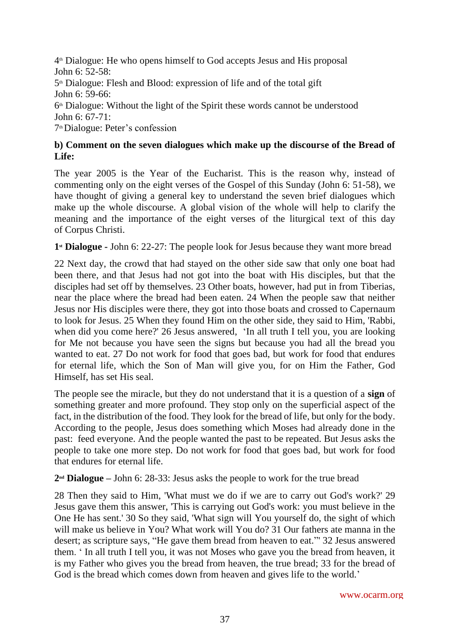4 th Dialogue: He who opens himself to God accepts Jesus and His proposal John 6: 52-58:

5 th Dialogue: Flesh and Blood: expression of life and of the total gift John 6: 59-66:

6 th Dialogue: Without the light of the Spirit these words cannot be understood John 6: 67-71:

7 thDialogue: Peter's confession

# **b) Comment on the seven dialogues which make up the discourse of the Bread of Life:**

The year 2005 is the Year of the Eucharist. This is the reason why, instead of commenting only on the eight verses of the Gospel of this Sunday (John 6: 51-58), we have thought of giving a general key to understand the seven brief dialogues which make up the whole discourse. A global vision of the whole will help to clarify the meaning and the importance of the eight verses of the liturgical text of this day of Corpus Christi.

**1 st Dialogue -** John 6: 22-27: The people look for Jesus because they want more bread

22 Next day, the crowd that had stayed on the other side saw that only one boat had been there, and that Jesus had not got into the boat with His disciples, but that the disciples had set off by themselves. 23 Other boats, however, had put in from Tiberias, near the place where the bread had been eaten. 24 When the people saw that neither Jesus nor His disciples were there, they got into those boats and crossed to Capernaum to look for Jesus. 25 When they found Him on the other side, they said to Him, 'Rabbi, when did you come here?' 26 Jesus answered, 'In all truth I tell you, you are looking for Me not because you have seen the signs but because you had all the bread you wanted to eat. 27 Do not work for food that goes bad, but work for food that endures for eternal life, which the Son of Man will give you, for on Him the Father, God Himself, has set His seal.

The people see the miracle, but they do not understand that it is a question of a **sign** of something greater and more profound. They stop only on the superficial aspect of the fact, in the distribution of the food. They look for the bread of life, but only for the body. According to the people, Jesus does something which Moses had already done in the past: feed everyone. And the people wanted the past to be repeated. But Jesus asks the people to take one more step. Do not work for food that goes bad, but work for food that endures for eternal life.

**2 nd Dialogue –** John 6: 28-33: Jesus asks the people to work for the true bread

28 Then they said to Him, 'What must we do if we are to carry out God's work?' 29 Jesus gave them this answer, 'This is carrying out God's work: you must believe in the One He has sent.' 30 So they said, 'What sign will You yourself do, the sight of which will make us believe in You? What work will You do? 31 Our fathers ate manna in the desert; as scripture says, "He gave them bread from heaven to eat."' 32 Jesus answered them. ' In all truth I tell you, it was not Moses who gave you the bread from heaven, it is my Father who gives you the bread from heaven, the true bread; 33 for the bread of God is the bread which comes down from heaven and gives life to the world.'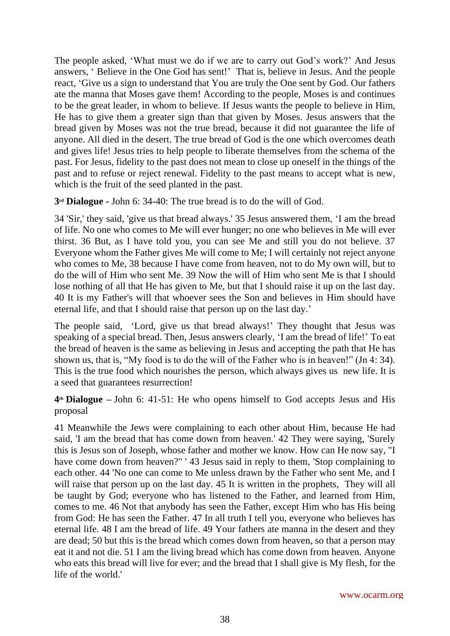The people asked, 'What must we do if we are to carry out God's work?' And Jesus answers, ' Believe in the One God has sent!' That is, believe in Jesus. And the people react, 'Give us a sign to understand that You are truly the One sent by God. Our fathers ate the manna that Moses gave them! According to the people, Moses is and continues to be the great leader, in whom to believe. If Jesus wants the people to believe in Him, He has to give them a greater sign than that given by Moses. Jesus answers that the bread given by Moses was not the true bread, because it did not guarantee the life of anyone. All died in the desert. The true bread of God is the one which overcomes death and gives life! Jesus tries to help people to liberate themselves from the schema of the past. For Jesus, fidelity to the past does not mean to close up oneself in the things of the past and to refuse or reject renewal. Fidelity to the past means to accept what is new, which is the fruit of the seed planted in the past.

**3 rd Dialogue -** John 6: 34-40: The true bread is to do the will of God.

34 'Sir,' they said, 'give us that bread always.' 35 Jesus answered them, 'I am the bread of life. No one who comes to Me will ever hunger; no one who believes in Me will ever thirst. 36 But, as I have told you, you can see Me and still you do not believe. 37 Everyone whom the Father gives Me will come to Me; I will certainly not reject anyone who comes to Me, 38 because I have come from heaven, not to do My own will, but to do the will of Him who sent Me. 39 Now the will of Him who sent Me is that I should lose nothing of all that He has given to Me, but that I should raise it up on the last day. 40 It is my Father's will that whoever sees the Son and believes in Him should have eternal life, and that I should raise that person up on the last day.'

The people said, 'Lord, give us that bread always!' They thought that Jesus was speaking of a special bread. Then, Jesus answers clearly, 'I am the bread of life!' To eat the bread of heaven is the same as believing in Jesus and accepting the path that He has shown us, that is, "My food is to do the will of the Father who is in heaven!" (Jn 4: 34). This is the true food which nourishes the person, which always gives us new life. It is a seed that guarantees resurrection!

**4 th Dialogue –** John 6: 41-51: He who opens himself to God accepts Jesus and His proposal

41 Meanwhile the Jews were complaining to each other about Him, because He had said, 'I am the bread that has come down from heaven.' 42 They were saying, 'Surely this is Jesus son of Joseph, whose father and mother we know. How can He now say, "I have come down from heaven?" ' 43 Jesus said in reply to them, 'Stop complaining to each other. 44 'No one can come to Me unless drawn by the Father who sent Me, and I will raise that person up on the last day. 45 It is written in the prophets, They will all be taught by God; everyone who has listened to the Father, and learned from Him, comes to me. 46 Not that anybody has seen the Father, except Him who has His being from God: He has seen the Father. 47 In all truth I tell you, everyone who believes has eternal life. 48 I am the bread of life. 49 Your fathers ate manna in the desert and they are dead; 50 but this is the bread which comes down from heaven, so that a person may eat it and not die. 51 I am the living bread which has come down from heaven. Anyone who eats this bread will live for ever; and the bread that I shall give is My flesh, for the life of the world.'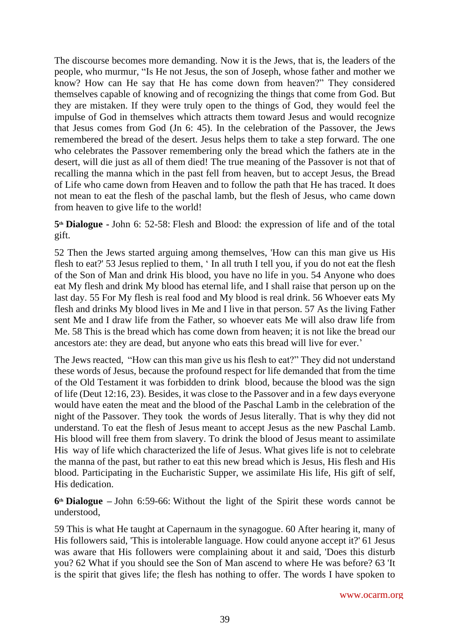The discourse becomes more demanding. Now it is the Jews, that is, the leaders of the people, who murmur, "Is He not Jesus, the son of Joseph, whose father and mother we know? How can He say that He has come down from heaven?" They considered themselves capable of knowing and of recognizing the things that come from God. But they are mistaken. If they were truly open to the things of God, they would feel the impulse of God in themselves which attracts them toward Jesus and would recognize that Jesus comes from God (Jn 6: 45). In the celebration of the Passover, the Jews remembered the bread of the desert. Jesus helps them to take a step forward. The one who celebrates the Passover remembering only the bread which the fathers ate in the desert, will die just as all of them died! The true meaning of the Passover is not that of recalling the manna which in the past fell from heaven, but to accept Jesus, the Bread of Life who came down from Heaven and to follow the path that He has traced. It does not mean to eat the flesh of the paschal lamb, but the flesh of Jesus, who came down from heaven to give life to the world!

**5 th Dialogue -** John 6: 52-58: Flesh and Blood: the expression of life and of the total gift.

52 Then the Jews started arguing among themselves, 'How can this man give us His flesh to eat?' 53 Jesus replied to them, ' In all truth I tell you, if you do not eat the flesh of the Son of Man and drink His blood, you have no life in you. 54 Anyone who does eat My flesh and drink My blood has eternal life, and I shall raise that person up on the last day. 55 For My flesh is real food and My blood is real drink. 56 Whoever eats My flesh and drinks My blood lives in Me and I live in that person. 57 As the living Father sent Me and I draw life from the Father, so whoever eats Me will also draw life from Me. 58 This is the bread which has come down from heaven; it is not like the bread our ancestors ate: they are dead, but anyone who eats this bread will live for ever.'

The Jews reacted, "How can this man give us his flesh to eat?" They did not understand these words of Jesus, because the profound respect for life demanded that from the time of the Old Testament it was forbidden to drink blood, because the blood was the sign of life (Deut 12:16, 23). Besides, it was close to the Passover and in a few days everyone would have eaten the meat and the blood of the Paschal Lamb in the celebration of the night of the Passover. They took the words of Jesus literally. That is why they did not understand. To eat the flesh of Jesus meant to accept Jesus as the new Paschal Lamb. His blood will free them from slavery. To drink the blood of Jesus meant to assimilate His way of life which characterized the life of Jesus. What gives life is not to celebrate the manna of the past, but rather to eat this new bread which is Jesus, His flesh and His blood. Participating in the Eucharistic Supper, we assimilate His life, His gift of self, His dedication.

**6 th Dialogue –** John 6:59-66: Without the light of the Spirit these words cannot be understood,

59 This is what He taught at Capernaum in the synagogue. 60 After hearing it, many of His followers said, 'This is intolerable language. How could anyone accept it?' 61 Jesus was aware that His followers were complaining about it and said, 'Does this disturb you? 62 What if you should see the Son of Man ascend to where He was before? 63 'It is the spirit that gives life; the flesh has nothing to offer. The words I have spoken to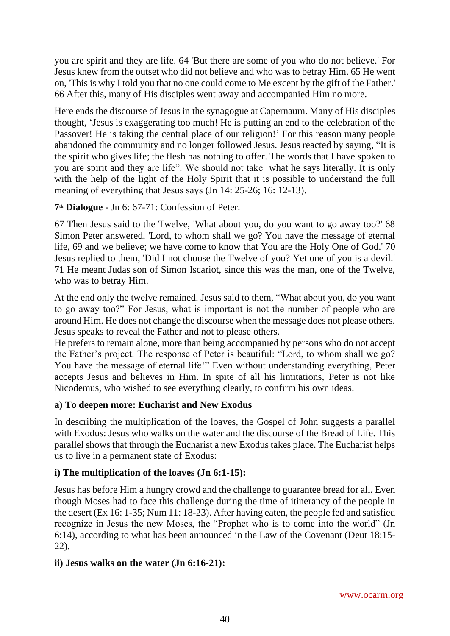you are spirit and they are life. 64 'But there are some of you who do not believe.' For Jesus knew from the outset who did not believe and who was to betray Him. 65 He went on, 'This is why I told you that no one could come to Me except by the gift of the Father.' 66 After this, many of His disciples went away and accompanied Him no more.

Here ends the discourse of Jesus in the synagogue at Capernaum. Many of His disciples thought, 'Jesus is exaggerating too much! He is putting an end to the celebration of the Passover! He is taking the central place of our religion!' For this reason many people abandoned the community and no longer followed Jesus. Jesus reacted by saying, "It is the spirit who gives life; the flesh has nothing to offer. The words that I have spoken to you are spirit and they are life". We should not take what he says literally. It is only with the help of the light of the Holy Spirit that it is possible to understand the full meaning of everything that Jesus says (Jn 14: 25-26; 16: 12-13).

# **7 th Dialogue -** Jn 6: 67-71: Confession of Peter.

67 Then Jesus said to the Twelve, 'What about you, do you want to go away too?' 68 Simon Peter answered, 'Lord, to whom shall we go? You have the message of eternal life, 69 and we believe; we have come to know that You are the Holy One of God.' 70 Jesus replied to them, 'Did I not choose the Twelve of you? Yet one of you is a devil.' 71 He meant Judas son of Simon Iscariot, since this was the man, one of the Twelve, who was to betray Him.

At the end only the twelve remained. Jesus said to them, "What about you, do you want to go away too?" For Jesus, what is important is not the number of people who are around Him. He does not change the discourse when the message does not please others. Jesus speaks to reveal the Father and not to please others.

He prefers to remain alone, more than being accompanied by persons who do not accept the Father's project. The response of Peter is beautiful: "Lord, to whom shall we go? You have the message of eternal life!" Even without understanding everything, Peter accepts Jesus and believes in Him. In spite of all his limitations, Peter is not like Nicodemus, who wished to see everything clearly, to confirm his own ideas.

# **a) To deepen more: Eucharist and New Exodus**

In describing the multiplication of the loaves, the Gospel of John suggests a parallel with Exodus: Jesus who walks on the water and the discourse of the Bread of Life. This parallel shows that through the Eucharist a new Exodus takes place. The Eucharist helps us to live in a permanent state of Exodus:

# **i) The multiplication of the loaves (Jn 6:1-15):**

Jesus has before Him a hungry crowd and the challenge to guarantee bread for all. Even though Moses had to face this challenge during the time of itinerancy of the people in the desert (Ex 16: 1-35; Num 11: 18-23). After having eaten, the people fed and satisfied recognize in Jesus the new Moses, the "Prophet who is to come into the world" (Jn 6:14), according to what has been announced in the Law of the Covenant (Deut 18:15- 22).

# **ii) Jesus walks on the water (Jn 6:16-21):**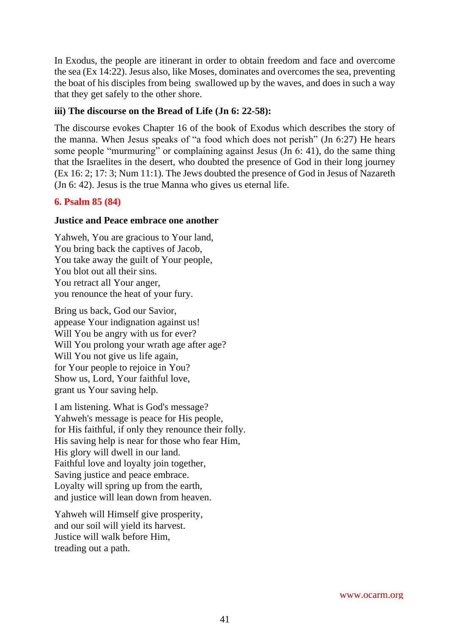In Exodus, the people are itinerant in order to obtain freedom and face and overcome the sea (Ex 14:22). Jesus also, like Moses, dominates and overcomes the sea, preventing the boat of his disciples from being swallowed up by the waves, and does in such a way that they get safely to the other shore.

## **iii) The discourse on the Bread of Life (Jn 6: 22-58):**

The discourse evokes Chapter 16 of the book of Exodus which describes the story of the manna. When Jesus speaks of "a food which does not perish" (Jn 6:27) He hears some people "murmuring" or complaining against Jesus (Jn 6: 41), do the same thing that the Israelites in the desert, who doubted the presence of God in their long journey (Ex 16: 2; 17: 3; Num 11:1). The Jews doubted the presence of God in Jesus of Nazareth (Jn 6: 42). Jesus is the true Manna who gives us eternal life.

# **6. Psalm 85 (84)**

#### **Justice and Peace embrace one another**

Yahweh, You are gracious to Your land, You bring back the captives of Jacob, You take away the guilt of Your people, You blot out all their sins. You retract all Your anger, you renounce the heat of your fury.

Bring us back, God our Savior, appease Your indignation against us! Will You be angry with us for ever? Will You prolong your wrath age after age? Will You not give us life again, for Your people to rejoice in You? Show us, Lord, Your faithful love, grant us Your saving help.

I am listening. What is God's message? Yahweh's message is peace for His people, for His faithful, if only they renounce their folly. His saving help is near for those who fear Him, His glory will dwell in our land. Faithful love and loyalty join together, Saving justice and peace embrace. Loyalty will spring up from the earth, and justice will lean down from heaven.

Yahweh will Himself give prosperity, and our soil will yield its harvest. Justice will walk before Him, treading out a path.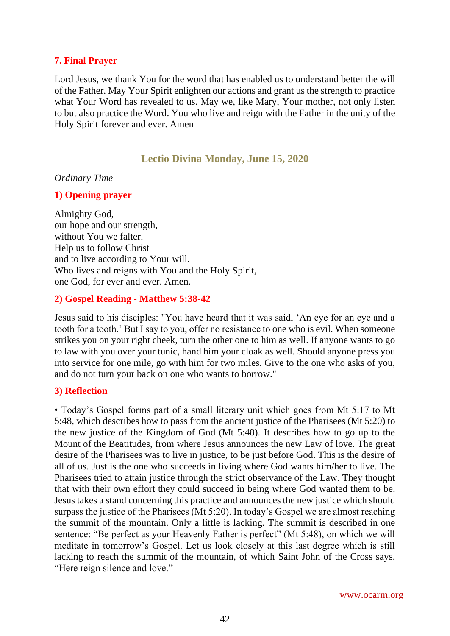### **7. Final Prayer**

Lord Jesus, we thank You for the word that has enabled us to understand better the will of the Father. May Your Spirit enlighten our actions and grant us the strength to practice what Your Word has revealed to us. May we, like Mary, Your mother, not only listen to but also practice the Word. You who live and reign with the Father in the unity of the Holy Spirit forever and ever. Amen

# **Lectio Divina Monday, June 15, 2020**

*Ordinary Time*

### **1) Opening prayer**

Almighty God, our hope and our strength, without You we falter. Help us to follow Christ and to live according to Your will. Who lives and reigns with You and the Holy Spirit, one God, for ever and ever. Amen.

# **2) Gospel Reading - Matthew 5:38-42**

Jesus said to his disciples: "You have heard that it was said, 'An eye for an eye and a tooth for a tooth.' But I say to you, offer no resistance to one who is evil. When someone strikes you on your right cheek, turn the other one to him as well. If anyone wants to go to law with you over your tunic, hand him your cloak as well. Should anyone press you into service for one mile, go with him for two miles. Give to the one who asks of you, and do not turn your back on one who wants to borrow."

#### **3) Reflection**

• Today's Gospel forms part of a small literary unit which goes from Mt 5:17 to Mt 5:48, which describes how to pass from the ancient justice of the Pharisees (Mt 5:20) to the new justice of the Kingdom of God (Mt 5:48). It describes how to go up to the Mount of the Beatitudes, from where Jesus announces the new Law of love. The great desire of the Pharisees was to live in justice, to be just before God. This is the desire of all of us. Just is the one who succeeds in living where God wants him/her to live. The Pharisees tried to attain justice through the strict observance of the Law. They thought that with their own effort they could succeed in being where God wanted them to be. Jesus takes a stand concerning this practice and announces the new justice which should surpass the justice of the Pharisees (Mt 5:20). In today's Gospel we are almost reaching the summit of the mountain. Only a little is lacking. The summit is described in one sentence: "Be perfect as your Heavenly Father is perfect" (Mt 5:48), on which we will meditate in tomorrow's Gospel. Let us look closely at this last degree which is still lacking to reach the summit of the mountain, of which Saint John of the Cross says, "Here reign silence and love."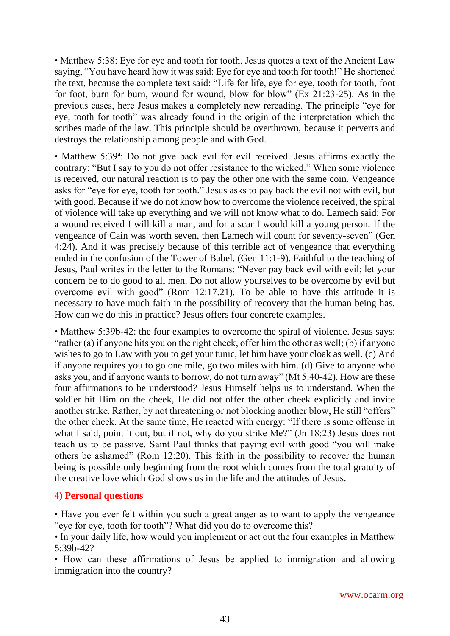• Matthew 5:38: Eye for eye and tooth for tooth. Jesus quotes a text of the Ancient Law saying, "You have heard how it was said: Eye for eye and tooth for tooth!" He shortened the text, because the complete text said: "Life for life, eye for eye, tooth for tooth, foot for foot, burn for burn, wound for wound, blow for blow" (Ex 21:23-25). As in the previous cases, here Jesus makes a completely new rereading. The principle "eye for eye, tooth for tooth" was already found in the origin of the interpretation which the scribes made of the law. This principle should be overthrown, because it perverts and destroys the relationship among people and with God.

• Matthew 5:39<sup>a</sup>: Do not give back evil for evil received. Jesus affirms exactly the contrary: "But I say to you do not offer resistance to the wicked." When some violence is received, our natural reaction is to pay the other one with the same coin. Vengeance asks for "eye for eye, tooth for tooth." Jesus asks to pay back the evil not with evil, but with good. Because if we do not know how to overcome the violence received, the spiral of violence will take up everything and we will not know what to do. Lamech said: For a wound received I will kill a man, and for a scar I would kill a young person. If the vengeance of Cain was worth seven, then Lamech will count for seventy-seven" (Gen 4:24). And it was precisely because of this terrible act of vengeance that everything ended in the confusion of the Tower of Babel. (Gen 11:1-9). Faithful to the teaching of Jesus, Paul writes in the letter to the Romans: "Never pay back evil with evil; let your concern be to do good to all men. Do not allow yourselves to be overcome by evil but overcome evil with good" (Rom 12:17.21). To be able to have this attitude it is necessary to have much faith in the possibility of recovery that the human being has. How can we do this in practice? Jesus offers four concrete examples.

• Matthew 5:39b-42: the four examples to overcome the spiral of violence. Jesus says: "rather (a) if anyone hits you on the right cheek, offer him the other as well; (b) if anyone wishes to go to Law with you to get your tunic, let him have your cloak as well. (c) And if anyone requires you to go one mile, go two miles with him. (d) Give to anyone who asks you, and if anyone wants to borrow, do not turn away" (Mt 5:40-42). How are these four affirmations to be understood? Jesus Himself helps us to understand. When the soldier hit Him on the cheek, He did not offer the other cheek explicitly and invite another strike. Rather, by not threatening or not blocking another blow, He still "offers" the other cheek. At the same time, He reacted with energy: "If there is some offense in what I said, point it out, but if not, why do you strike Me?" (Jn 18:23) Jesus does not teach us to be passive. Saint Paul thinks that paying evil with good "you will make others be ashamed" (Rom 12:20). This faith in the possibility to recover the human being is possible only beginning from the root which comes from the total gratuity of the creative love which God shows us in the life and the attitudes of Jesus.

# **4) Personal questions**

• Have you ever felt within you such a great anger as to want to apply the vengeance "eye for eye, tooth for tooth"? What did you do to overcome this?

• In your daily life, how would you implement or act out the four examples in Matthew 5:39b-42?

• How can these affirmations of Jesus be applied to immigration and allowing immigration into the country?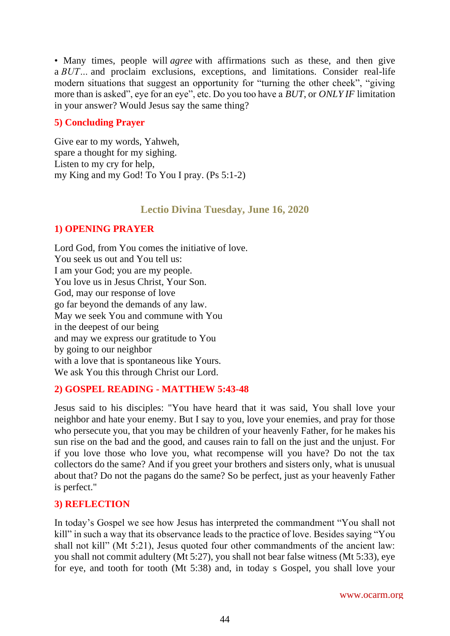• Many times, people will *agree* with affirmations such as these, and then give a *BUT…* and proclaim exclusions, exceptions, and limitations. Consider real-life modern situations that suggest an opportunity for "turning the other cheek", "giving more than is asked", eye for an eye", etc. Do you too have a *BUT*, or *ONLY IF* limitation in your answer? Would Jesus say the same thing?

# **5) Concluding Prayer**

Give ear to my words, Yahweh, spare a thought for my sighing. Listen to my cry for help, my King and my God! To You I pray. (Ps 5:1-2)

### **Lectio Divina Tuesday, June 16, 2020**

# **1) OPENING PRAYER**

Lord God, from You comes the initiative of love. You seek us out and You tell us: I am your God; you are my people. You love us in Jesus Christ, Your Son. God, may our response of love go far beyond the demands of any law. May we seek You and commune with You in the deepest of our being and may we express our gratitude to You by going to our neighbor with a love that is spontaneous like Yours. We ask You this through Christ our Lord.

# **2) GOSPEL READING - MATTHEW 5:43-48**

Jesus said to his disciples: "You have heard that it was said, You shall love your neighbor and hate your enemy. But I say to you, love your enemies, and pray for those who persecute you, that you may be children of your heavenly Father, for he makes his sun rise on the bad and the good, and causes rain to fall on the just and the unjust. For if you love those who love you, what recompense will you have? Do not the tax collectors do the same? And if you greet your brothers and sisters only, what is unusual about that? Do not the pagans do the same? So be perfect, just as your heavenly Father is perfect."

#### **3) REFLECTION**

In today's Gospel we see how Jesus has interpreted the commandment "You shall not kill" in such a way that its observance leads to the practice of love. Besides saying "You shall not kill" (Mt 5:21), Jesus quoted four other commandments of the ancient law: you shall not commit adultery (Mt 5:27), you shall not bear false witness (Mt 5:33), eye for eye, and tooth for tooth (Mt 5:38) and, in today s Gospel, you shall love your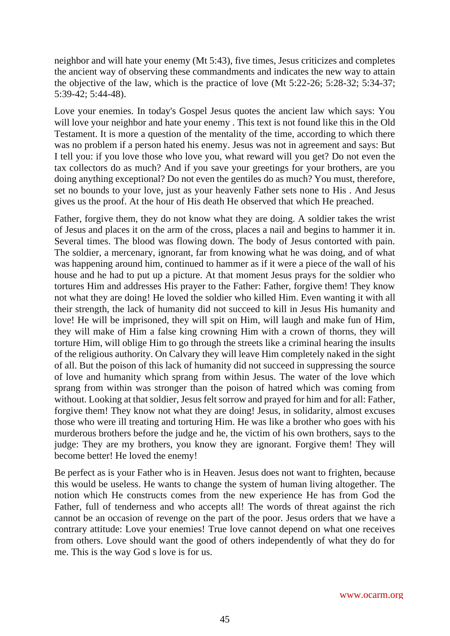neighbor and will hate your enemy (Mt 5:43), five times, Jesus criticizes and completes the ancient way of observing these commandments and indicates the new way to attain the objective of the law, which is the practice of love (Mt 5:22-26; 5:28-32; 5:34-37; 5:39-42; 5:44-48).

Love your enemies. In today's Gospel Jesus quotes the ancient law which says: You will love your neighbor and hate your enemy . This text is not found like this in the Old Testament. It is more a question of the mentality of the time, according to which there was no problem if a person hated his enemy. Jesus was not in agreement and says: But I tell you: if you love those who love you, what reward will you get? Do not even the tax collectors do as much? And if you save your greetings for your brothers, are you doing anything exceptional? Do not even the gentiles do as much? You must, therefore, set no bounds to your love, just as your heavenly Father sets none to His . And Jesus gives us the proof. At the hour of His death He observed that which He preached.

Father, forgive them, they do not know what they are doing. A soldier takes the wrist of Jesus and places it on the arm of the cross, places a nail and begins to hammer it in. Several times. The blood was flowing down. The body of Jesus contorted with pain. The soldier, a mercenary, ignorant, far from knowing what he was doing, and of what was happening around him, continued to hammer as if it were a piece of the wall of his house and he had to put up a picture. At that moment Jesus prays for the soldier who tortures Him and addresses His prayer to the Father: Father, forgive them! They know not what they are doing! He loved the soldier who killed Him. Even wanting it with all their strength, the lack of humanity did not succeed to kill in Jesus His humanity and love! He will be imprisoned, they will spit on Him, will laugh and make fun of Him, they will make of Him a false king crowning Him with a crown of thorns, they will torture Him, will oblige Him to go through the streets like a criminal hearing the insults of the religious authority. On Calvary they will leave Him completely naked in the sight of all. But the poison of this lack of humanity did not succeed in suppressing the source of love and humanity which sprang from within Jesus. The water of the love which sprang from within was stronger than the poison of hatred which was coming from without. Looking at that soldier, Jesus felt sorrow and prayed for him and for all: Father, forgive them! They know not what they are doing! Jesus, in solidarity, almost excuses those who were ill treating and torturing Him. He was like a brother who goes with his murderous brothers before the judge and he, the victim of his own brothers, says to the judge: They are my brothers, you know they are ignorant. Forgive them! They will become better! He loved the enemy!

Be perfect as is your Father who is in Heaven. Jesus does not want to frighten, because this would be useless. He wants to change the system of human living altogether. The notion which He constructs comes from the new experience He has from God the Father, full of tenderness and who accepts all! The words of threat against the rich cannot be an occasion of revenge on the part of the poor. Jesus orders that we have a contrary attitude: Love your enemies! True love cannot depend on what one receives from others. Love should want the good of others independently of what they do for me. This is the way God s love is for us.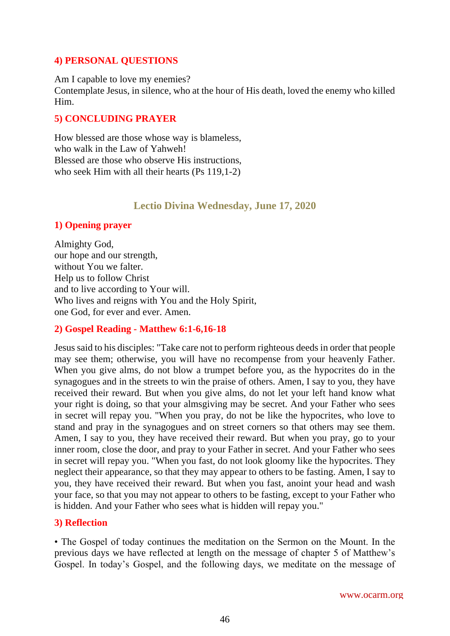## **4) PERSONAL QUESTIONS**

Am I capable to love my enemies?

Contemplate Jesus, in silence, who at the hour of His death, loved the enemy who killed Him.

# **5) CONCLUDING PRAYER**

How blessed are those whose way is blameless, who walk in the Law of Yahweh! Blessed are those who observe His instructions, who seek Him with all their hearts (Ps 119,1-2)

# **Lectio Divina Wednesday, June 17, 2020**

# **1) Opening prayer**

Almighty God, our hope and our strength, without You we falter. Help us to follow Christ and to live according to Your will. Who lives and reigns with You and the Holy Spirit, one God, for ever and ever. Amen.

# **2) Gospel Reading - Matthew 6:1-6,16-18**

Jesus said to his disciples: "Take care not to perform righteous deeds in order that people may see them; otherwise, you will have no recompense from your heavenly Father. When you give alms, do not blow a trumpet before you, as the hypocrites do in the synagogues and in the streets to win the praise of others. Amen, I say to you, they have received their reward. But when you give alms, do not let your left hand know what your right is doing, so that your almsgiving may be secret. And your Father who sees in secret will repay you. "When you pray, do not be like the hypocrites, who love to stand and pray in the synagogues and on street corners so that others may see them. Amen, I say to you, they have received their reward. But when you pray, go to your inner room, close the door, and pray to your Father in secret. And your Father who sees in secret will repay you. "When you fast, do not look gloomy like the hypocrites. They neglect their appearance, so that they may appear to others to be fasting. Amen, I say to you, they have received their reward. But when you fast, anoint your head and wash your face, so that you may not appear to others to be fasting, except to your Father who is hidden. And your Father who sees what is hidden will repay you."

# **3) Reflection**

• The Gospel of today continues the meditation on the Sermon on the Mount. In the previous days we have reflected at length on the message of chapter 5 of Matthew's Gospel. In today's Gospel, and the following days, we meditate on the message of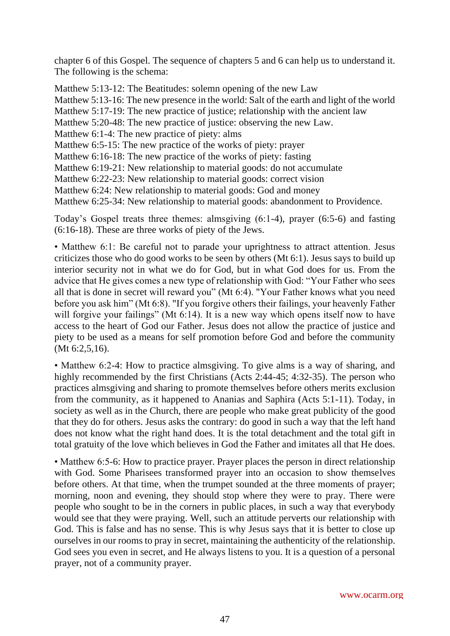chapter 6 of this Gospel. The sequence of chapters 5 and 6 can help us to understand it. The following is the schema:

Matthew 5:13-12: The Beatitudes: solemn opening of the new Law Matthew 5:13-16: The new presence in the world: Salt of the earth and light of the world Matthew 5:17-19: The new practice of justice; relationship with the ancient law Matthew 5:20-48: The new practice of justice: observing the new Law. Matthew 6:1-4: The new practice of piety: alms Matthew 6:5-15: The new practice of the works of piety: prayer Matthew 6:16-18: The new practice of the works of piety: fasting Matthew 6:19-21: New relationship to material goods: do not accumulate Matthew 6:22-23: New relationship to material goods: correct vision Matthew 6:24: New relationship to material goods: God and money Matthew 6:25-34: New relationship to material goods: abandonment to Providence.

Today's Gospel treats three themes: almsgiving (6:1-4), prayer (6:5-6) and fasting (6:16-18). These are three works of piety of the Jews.

• Matthew 6:1: Be careful not to parade your uprightness to attract attention. Jesus criticizes those who do good works to be seen by others (Mt 6:1). Jesus says to build up interior security not in what we do for God, but in what God does for us. From the advice that He gives comes a new type of relationship with God: "Your Father who sees all that is done in secret will reward you" (Mt 6:4). "Your Father knows what you need before you ask him" (Mt 6:8). "If you forgive others their failings, your heavenly Father will forgive your failings" (Mt 6:14). It is a new way which opens itself now to have access to the heart of God our Father. Jesus does not allow the practice of justice and piety to be used as a means for self promotion before God and before the community (Mt 6:2,5,16).

• Matthew 6:2-4: How to practice almsgiving. To give alms is a way of sharing, and highly recommended by the first Christians (Acts 2:44-45; 4:32-35). The person who practices almsgiving and sharing to promote themselves before others merits exclusion from the community, as it happened to Ananias and Saphira (Acts 5:1-11). Today, in society as well as in the Church, there are people who make great publicity of the good that they do for others. Jesus asks the contrary: do good in such a way that the left hand does not know what the right hand does. It is the total detachment and the total gift in total gratuity of the love which believes in God the Father and imitates all that He does.

• Matthew 6:5-6: How to practice prayer. Prayer places the person in direct relationship with God. Some Pharisees transformed prayer into an occasion to show themselves before others. At that time, when the trumpet sounded at the three moments of prayer; morning, noon and evening, they should stop where they were to pray. There were people who sought to be in the corners in public places, in such a way that everybody would see that they were praying. Well, such an attitude perverts our relationship with God. This is false and has no sense. This is why Jesus says that it is better to close up ourselves in our rooms to pray in secret, maintaining the authenticity of the relationship. God sees you even in secret, and He always listens to you. It is a question of a personal prayer, not of a community prayer.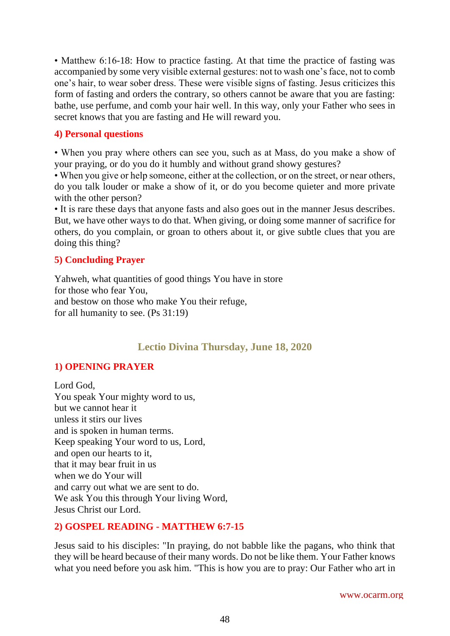• Matthew 6:16-18: How to practice fasting. At that time the practice of fasting was accompanied by some very visible external gestures: not to wash one's face, not to comb one's hair, to wear sober dress. These were visible signs of fasting. Jesus criticizes this form of fasting and orders the contrary, so others cannot be aware that you are fasting: bathe, use perfume, and comb your hair well. In this way, only your Father who sees in secret knows that you are fasting and He will reward you.

# **4) Personal questions**

• When you pray where others can see you, such as at Mass, do you make a show of your praying, or do you do it humbly and without grand showy gestures?

• When you give or help someone, either at the collection, or on the street, or near others, do you talk louder or make a show of it, or do you become quieter and more private with the other person?

• It is rare these days that anyone fasts and also goes out in the manner Jesus describes. But, we have other ways to do that. When giving, or doing some manner of sacrifice for others, do you complain, or groan to others about it, or give subtle clues that you are doing this thing?

# **5) Concluding Prayer**

Yahweh, what quantities of good things You have in store for those who fear You, and bestow on those who make You their refuge, for all humanity to see. (Ps 31:19)

# **Lectio Divina Thursday, June 18, 2020**

# **1) OPENING PRAYER**

Lord God, You speak Your mighty word to us, but we cannot hear it unless it stirs our lives and is spoken in human terms. Keep speaking Your word to us, Lord, and open our hearts to it, that it may bear fruit in us when we do Your will and carry out what we are sent to do. We ask You this through Your living Word, Jesus Christ our Lord.

# **2) GOSPEL READING - MATTHEW 6:7-15**

Jesus said to his disciples: "In praying, do not babble like the pagans, who think that they will be heard because of their many words. Do not be like them. Your Father knows what you need before you ask him. "This is how you are to pray: Our Father who art in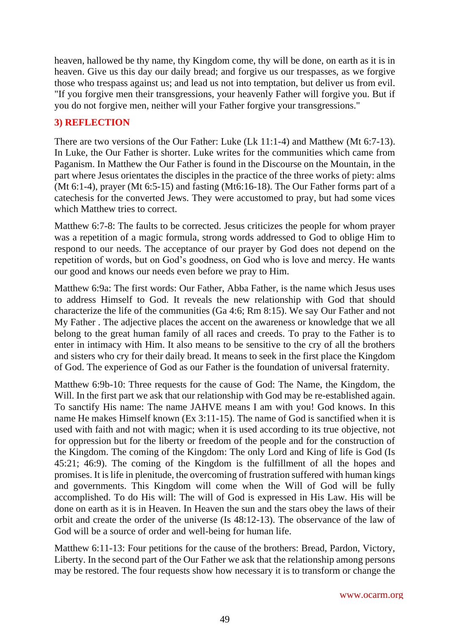heaven, hallowed be thy name, thy Kingdom come, thy will be done, on earth as it is in heaven. Give us this day our daily bread; and forgive us our trespasses, as we forgive those who trespass against us; and lead us not into temptation, but deliver us from evil. "If you forgive men their transgressions, your heavenly Father will forgive you. But if you do not forgive men, neither will your Father forgive your transgressions."

# **3) REFLECTION**

There are two versions of the Our Father: Luke (Lk 11:1-4) and Matthew (Mt 6:7-13). In Luke, the Our Father is shorter. Luke writes for the communities which came from Paganism. In Matthew the Our Father is found in the Discourse on the Mountain, in the part where Jesus orientates the disciples in the practice of the three works of piety: alms (Mt  $6:1-4$ ), prayer (Mt  $6:5-15$ ) and fasting (Mt $6:16-18$ ). The Our Father forms part of a catechesis for the converted Jews. They were accustomed to pray, but had some vices which Matthew tries to correct.

Matthew 6:7-8: The faults to be corrected. Jesus criticizes the people for whom prayer was a repetition of a magic formula, strong words addressed to God to oblige Him to respond to our needs. The acceptance of our prayer by God does not depend on the repetition of words, but on God's goodness, on God who is love and mercy. He wants our good and knows our needs even before we pray to Him.

Matthew 6:9a: The first words: Our Father, Abba Father, is the name which Jesus uses to address Himself to God. It reveals the new relationship with God that should characterize the life of the communities (Ga 4:6; Rm 8:15). We say Our Father and not My Father . The adjective places the accent on the awareness or knowledge that we all belong to the great human family of all races and creeds. To pray to the Father is to enter in intimacy with Him. It also means to be sensitive to the cry of all the brothers and sisters who cry for their daily bread. It means to seek in the first place the Kingdom of God. The experience of God as our Father is the foundation of universal fraternity.

Matthew 6:9b-10: Three requests for the cause of God: The Name, the Kingdom, the Will. In the first part we ask that our relationship with God may be re-established again. To sanctify His name: The name JAHVE means I am with you! God knows. In this name He makes Himself known (Ex 3:11-15). The name of God is sanctified when it is used with faith and not with magic; when it is used according to its true objective, not for oppression but for the liberty or freedom of the people and for the construction of the Kingdom. The coming of the Kingdom: The only Lord and King of life is God (Is 45:21; 46:9). The coming of the Kingdom is the fulfillment of all the hopes and promises. It is life in plenitude, the overcoming of frustration suffered with human kings and governments. This Kingdom will come when the Will of God will be fully accomplished. To do His will: The will of God is expressed in His Law. His will be done on earth as it is in Heaven. In Heaven the sun and the stars obey the laws of their orbit and create the order of the universe (Is 48:12-13). The observance of the law of God will be a source of order and well-being for human life.

Matthew 6:11-13: Four petitions for the cause of the brothers: Bread, Pardon, Victory, Liberty. In the second part of the Our Father we ask that the relationship among persons may be restored. The four requests show how necessary it is to transform or change the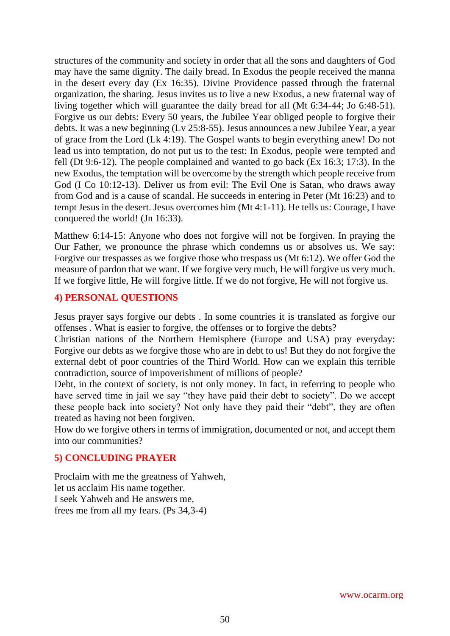structures of the community and society in order that all the sons and daughters of God may have the same dignity. The daily bread. In Exodus the people received the manna in the desert every day (Ex 16:35). Divine Providence passed through the fraternal organization, the sharing. Jesus invites us to live a new Exodus, a new fraternal way of living together which will guarantee the daily bread for all (Mt 6:34-44; Jo 6:48-51). Forgive us our debts: Every 50 years, the Jubilee Year obliged people to forgive their debts. It was a new beginning (Lv 25:8-55). Jesus announces a new Jubilee Year, a year of grace from the Lord (Lk 4:19). The Gospel wants to begin everything anew! Do not lead us into temptation, do not put us to the test: In Exodus, people were tempted and fell (Dt 9:6-12). The people complained and wanted to go back (Ex 16:3; 17:3). In the new Exodus, the temptation will be overcome by the strength which people receive from God (I Co 10:12-13). Deliver us from evil: The Evil One is Satan, who draws away from God and is a cause of scandal. He succeeds in entering in Peter (Mt 16:23) and to tempt Jesus in the desert. Jesus overcomes him (Mt 4:1-11). He tells us: Courage, I have conquered the world! (Jn 16:33).

Matthew 6:14-15: Anyone who does not forgive will not be forgiven. In praying the Our Father, we pronounce the phrase which condemns us or absolves us. We say: Forgive our trespasses as we forgive those who trespass us (Mt 6:12). We offer God the measure of pardon that we want. If we forgive very much, He will forgive us very much. If we forgive little, He will forgive little. If we do not forgive, He will not forgive us.

### **4) PERSONAL QUESTIONS**

Jesus prayer says forgive our debts . In some countries it is translated as forgive our offenses . What is easier to forgive, the offenses or to forgive the debts?

Christian nations of the Northern Hemisphere (Europe and USA) pray everyday: Forgive our debts as we forgive those who are in debt to us! But they do not forgive the external debt of poor countries of the Third World. How can we explain this terrible contradiction, source of impoverishment of millions of people?

Debt, in the context of society, is not only money. In fact, in referring to people who have served time in jail we say "they have paid their debt to society". Do we accept these people back into society? Not only have they paid their "debt", they are often treated as having not been forgiven.

How do we forgive others in terms of immigration, documented or not, and accept them into our communities?

# **5) CONCLUDING PRAYER**

Proclaim with me the greatness of Yahweh, let us acclaim His name together. I seek Yahweh and He answers me, frees me from all my fears. (Ps 34,3-4)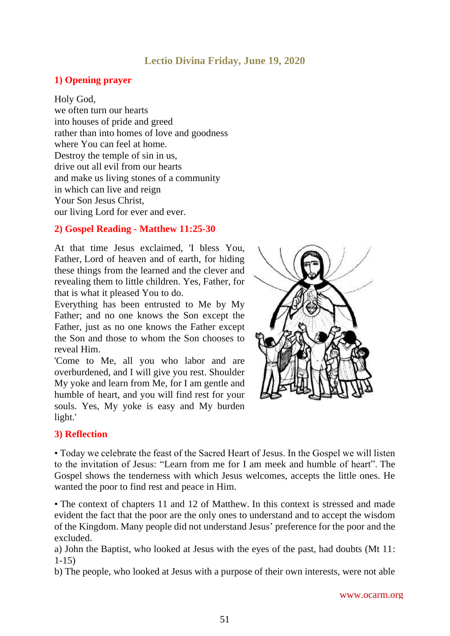# **Lectio Divina Friday, June 19, 2020**

# **1) Opening prayer**

Holy God, we often turn our hearts into houses of pride and greed rather than into homes of love and goodness where You can feel at home. Destroy the temple of sin in us, drive out all evil from our hearts and make us living stones of a community in which can live and reign Your Son Jesus Christ, our living Lord for ever and ever.

# **2) Gospel Reading - Matthew 11:25-30**

At that time Jesus exclaimed, 'I bless You, Father, Lord of heaven and of earth, for hiding these things from the learned and the clever and revealing them to little children. Yes, Father, for that is what it pleased You to do.

Everything has been entrusted to Me by My Father; and no one knows the Son except the Father, just as no one knows the Father except the Son and those to whom the Son chooses to reveal Him.

'Come to Me, all you who labor and are overburdened, and I will give you rest. Shoulder My yoke and learn from Me, for I am gentle and humble of heart, and you will find rest for your souls. Yes, My yoke is easy and My burden light.'



#### **3) Reflection**

• Today we celebrate the feast of the Sacred Heart of Jesus. In the Gospel we will listen to the invitation of Jesus: "Learn from me for I am meek and humble of heart". The Gospel shows the tenderness with which Jesus welcomes, accepts the little ones. He wanted the poor to find rest and peace in Him.

• The context of chapters 11 and 12 of Matthew. In this context is stressed and made evident the fact that the poor are the only ones to understand and to accept the wisdom of the Kingdom. Many people did not understand Jesus' preference for the poor and the excluded.

a) John the Baptist, who looked at Jesus with the eyes of the past, had doubts (Mt 11: 1-15)

b) The people, who looked at Jesus with a purpose of their own interests, were not able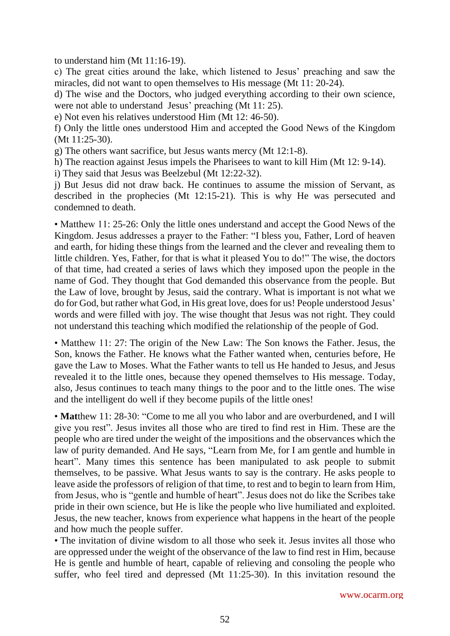to understand him (Mt 11:16-19).

c) The great cities around the lake, which listened to Jesus' preaching and saw the miracles, did not want to open themselves to His message (Mt 11: 20-24).

d) The wise and the Doctors, who judged everything according to their own science, were not able to understand Jesus' preaching (Mt 11: 25).

e) Not even his relatives understood Him (Mt 12: 46-50).

f) Only the little ones understood Him and accepted the Good News of the Kingdom (Mt 11:25-30).

g) The others want sacrifice, but Jesus wants mercy (Mt 12:1-8).

h) The reaction against Jesus impels the Pharisees to want to kill Him (Mt 12: 9-14).

i) They said that Jesus was Beelzebul (Mt 12:22-32).

j) But Jesus did not draw back. He continues to assume the mission of Servant, as described in the prophecies (Mt 12:15-21). This is why He was persecuted and condemned to death.

• Matthew 11: 25-26: Only the little ones understand and accept the Good News of the Kingdom. Jesus addresses a prayer to the Father: "I bless you, Father, Lord of heaven and earth, for hiding these things from the learned and the clever and revealing them to little children. Yes, Father, for that is what it pleased You to do!" The wise, the doctors of that time, had created a series of laws which they imposed upon the people in the name of God. They thought that God demanded this observance from the people. But the Law of love, brought by Jesus, said the contrary. What is important is not what we do for God, but rather what God, in His great love, does for us! People understood Jesus' words and were filled with joy. The wise thought that Jesus was not right. They could not understand this teaching which modified the relationship of the people of God.

• Matthew 11: 27: The origin of the New Law: The Son knows the Father. Jesus, the Son, knows the Father. He knows what the Father wanted when, centuries before, He gave the Law to Moses. What the Father wants to tell us He handed to Jesus, and Jesus revealed it to the little ones, because they opened themselves to His message. Today, also, Jesus continues to teach many things to the poor and to the little ones. The wise and the intelligent do well if they become pupils of the little ones!

• **Mat**thew 11: 28-30: "Come to me all you who labor and are overburdened, and I will give you rest". Jesus invites all those who are tired to find rest in Him. These are the people who are tired under the weight of the impositions and the observances which the law of purity demanded. And He says, "Learn from Me, for I am gentle and humble in heart". Many times this sentence has been manipulated to ask people to submit themselves, to be passive. What Jesus wants to say is the contrary. He asks people to leave aside the professors of religion of that time, to rest and to begin to learn from Him, from Jesus, who is "gentle and humble of heart". Jesus does not do like the Scribes take pride in their own science, but He is like the people who live humiliated and exploited. Jesus, the new teacher, knows from experience what happens in the heart of the people and how much the people suffer.

• The invitation of divine wisdom to all those who seek it. Jesus invites all those who are oppressed under the weight of the observance of the law to find rest in Him, because He is gentle and humble of heart, capable of relieving and consoling the people who suffer, who feel tired and depressed (Mt 11:25-30). In this invitation resound the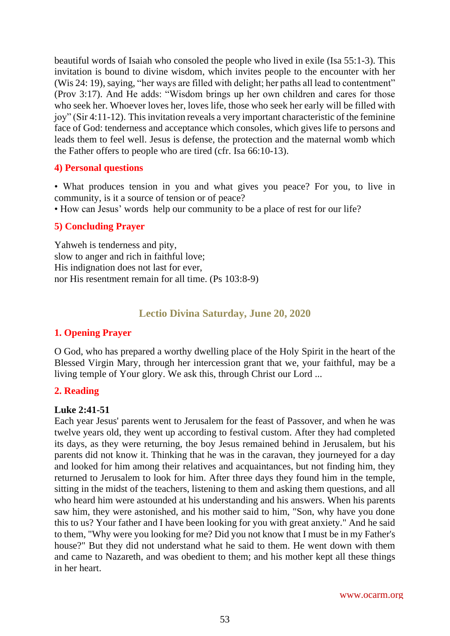beautiful words of Isaiah who consoled the people who lived in exile (Isa 55:1-3). This invitation is bound to divine wisdom, which invites people to the encounter with her (Wis 24: 19), saying, "her ways are filled with delight; her paths all lead to contentment" (Prov 3:17). And He adds: "Wisdom brings up her own children and cares for those who seek her. Whoever loves her, loves life, those who seek her early will be filled with joy" (Sir 4:11-12). This invitation reveals a very important characteristic of the feminine face of God: tenderness and acceptance which consoles, which gives life to persons and leads them to feel well. Jesus is defense, the protection and the maternal womb which the Father offers to people who are tired (cfr. Isa 66:10-13).

### **4) Personal questions**

• What produces tension in you and what gives you peace? For you, to live in community, is it a source of tension or of peace?

• How can Jesus' words help our community to be a place of rest for our life?

# **5) Concluding Prayer**

Yahweh is tenderness and pity, slow to anger and rich in faithful love; His indignation does not last for ever, nor His resentment remain for all time. (Ps 103:8-9)

# **Lectio Divina Saturday, June 20, 2020**

# **1. Opening Prayer**

O God, who has prepared a worthy dwelling place of the Holy Spirit in the heart of the Blessed Virgin Mary, through her intercession grant that we, your faithful, may be a living temple of Your glory. We ask this, through Christ our Lord ...

# **2. Reading**

#### **Luke 2:41-51**

Each year Jesus' parents went to Jerusalem for the feast of Passover, and when he was twelve years old, they went up according to festival custom. After they had completed its days, as they were returning, the boy Jesus remained behind in Jerusalem, but his parents did not know it. Thinking that he was in the caravan, they journeyed for a day and looked for him among their relatives and acquaintances, but not finding him, they returned to Jerusalem to look for him. After three days they found him in the temple, sitting in the midst of the teachers, listening to them and asking them questions, and all who heard him were astounded at his understanding and his answers. When his parents saw him, they were astonished, and his mother said to him, "Son, why have you done this to us? Your father and I have been looking for you with great anxiety." And he said to them, "Why were you looking for me? Did you not know that I must be in my Father's house?" But they did not understand what he said to them. He went down with them and came to Nazareth, and was obedient to them; and his mother kept all these things in her heart.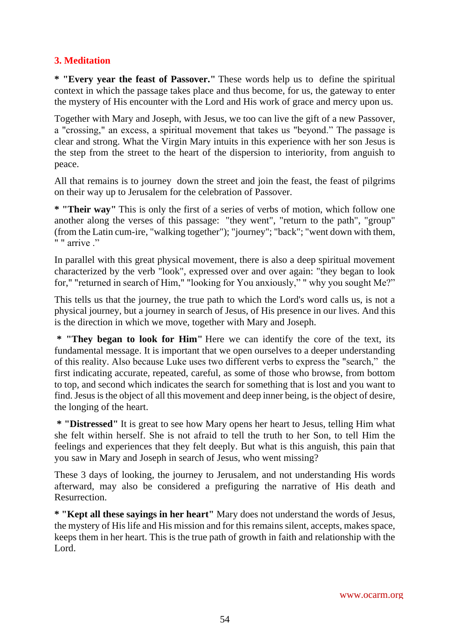# **3. Meditation**

**\* "Every year the feast of Passover."** These words help us to define the spiritual context in which the passage takes place and thus become, for us, the gateway to enter the mystery of His encounter with the Lord and His work of grace and mercy upon us.

Together with Mary and Joseph, with Jesus, we too can live the gift of a new Passover, a "crossing," an excess, a spiritual movement that takes us "beyond." The passage is clear and strong. What the Virgin Mary intuits in this experience with her son Jesus is the step from the street to the heart of the dispersion to interiority, from anguish to peace.

All that remains is to journey down the street and join the feast, the feast of pilgrims on their way up to Jerusalem for the celebration of Passover.

**\* "Their way"** This is only the first of a series of verbs of motion, which follow one another along the verses of this passage: "they went", "return to the path", "group" (from the Latin cum-ire, "walking together"); "journey"; "back"; "went down with them, " " arrive ."

In parallel with this great physical movement, there is also a deep spiritual movement characterized by the verb "look", expressed over and over again: "they began to look for," "returned in search of Him," "looking for You anxiously," " why you sought Me?"

This tells us that the journey, the true path to which the Lord's word calls us, is not a physical journey, but a journey in search of Jesus, of His presence in our lives. And this is the direction in which we move, together with Mary and Joseph.

**\* "They began to look for Him"** Here we can identify the core of the text, its fundamental message. It is important that we open ourselves to a deeper understanding of this reality. Also because Luke uses two different verbs to express the "search," the first indicating accurate, repeated, careful, as some of those who browse, from bottom to top, and second which indicates the search for something that is lost and you want to find. Jesus is the object of all this movement and deep inner being, is the object of desire, the longing of the heart.

**\* "Distressed"** It is great to see how Mary opens her heart to Jesus, telling Him what she felt within herself. She is not afraid to tell the truth to her Son, to tell Him the feelings and experiences that they felt deeply. But what is this anguish, this pain that you saw in Mary and Joseph in search of Jesus, who went missing?

These 3 days of looking, the journey to Jerusalem, and not understanding His words afterward, may also be considered a prefiguring the narrative of His death and Resurrection.

**\* "Kept all these sayings in her heart"** Mary does not understand the words of Jesus, the mystery of His life and His mission and for this remains silent, accepts, makes space, keeps them in her heart. This is the true path of growth in faith and relationship with the Lord.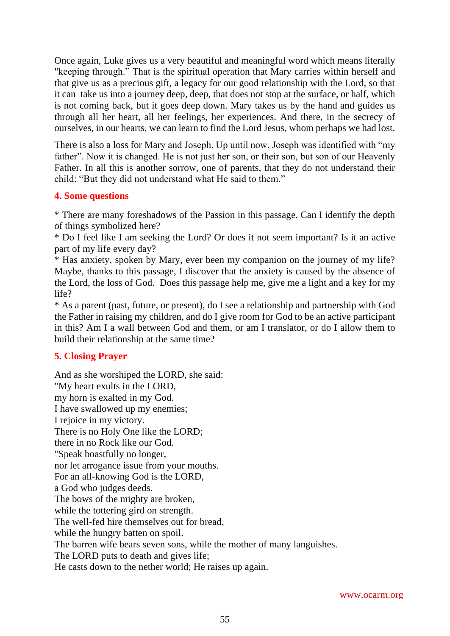Once again, Luke gives us a very beautiful and meaningful word which means literally "keeping through." That is the spiritual operation that Mary carries within herself and that give us as a precious gift, a legacy for our good relationship with the Lord, so that it can take us into a journey deep, deep, that does not stop at the surface, or half, which is not coming back, but it goes deep down. Mary takes us by the hand and guides us through all her heart, all her feelings, her experiences. And there, in the secrecy of ourselves, in our hearts, we can learn to find the Lord Jesus, whom perhaps we had lost.

There is also a loss for Mary and Joseph. Up until now, Joseph was identified with "my father". Now it is changed. He is not just her son, or their son, but son of our Heavenly Father. In all this is another sorrow, one of parents, that they do not understand their child: "But they did not understand what He said to them."

### **4. Some questions**

\* There are many foreshadows of the Passion in this passage. Can I identify the depth of things symbolized here?

\* Do I feel like I am seeking the Lord? Or does it not seem important? Is it an active part of my life every day?

\* Has anxiety, spoken by Mary, ever been my companion on the journey of my life? Maybe, thanks to this passage, I discover that the anxiety is caused by the absence of the Lord, the loss of God. Does this passage help me, give me a light and a key for my life?

\* As a parent (past, future, or present), do I see a relationship and partnership with God the Father in raising my children, and do I give room for God to be an active participant in this? Am I a wall between God and them, or am I translator, or do I allow them to build their relationship at the same time?

# **5. Closing Prayer**

And as she worshiped the LORD, she said: "My heart exults in the LORD, my horn is exalted in my God. I have swallowed up my enemies; I rejoice in my victory. There is no Holy One like the LORD; there in no Rock like our God. "Speak boastfully no longer, nor let arrogance issue from your mouths. For an all-knowing God is the LORD, a God who judges deeds. The bows of the mighty are broken, while the tottering gird on strength. The well-fed hire themselves out for bread, while the hungry batten on spoil. The barren wife bears seven sons, while the mother of many languishes. The LORD puts to death and gives life; He casts down to the nether world; He raises up again.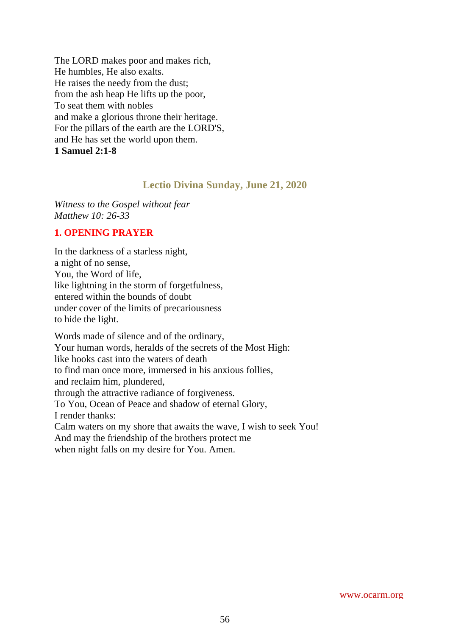The LORD makes poor and makes rich, He humbles, He also exalts. He raises the needy from the dust; from the ash heap He lifts up the poor, To seat them with nobles and make a glorious throne their heritage. For the pillars of the earth are the LORD'S, and He has set the world upon them. **1 Samuel 2:1-8**

### **Lectio Divina Sunday, June 21, 2020**

*Witness to the Gospel without fear Matthew 10: 26-33*

#### **1. OPENING PRAYER**

In the darkness of a starless night, a night of no sense, You, the Word of life, like lightning in the storm of forgetfulness, entered within the bounds of doubt under cover of the limits of precariousness to hide the light.

Words made of silence and of the ordinary, Your human words, heralds of the secrets of the Most High: like hooks cast into the waters of death to find man once more, immersed in his anxious follies, and reclaim him, plundered, through the attractive radiance of forgiveness. To You, Ocean of Peace and shadow of eternal Glory, I render thanks: Calm waters on my shore that awaits the wave, I wish to seek You! And may the friendship of the brothers protect me when night falls on my desire for You. Amen.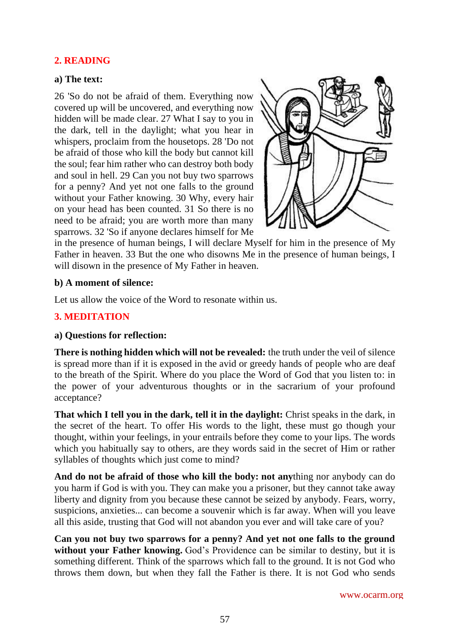# **2. READING**

#### **a) The text:**

26 'So do not be afraid of them. Everything now covered up will be uncovered, and everything now hidden will be made clear. 27 What I say to you in the dark, tell in the daylight; what you hear in whispers, proclaim from the housetops. 28 'Do not be afraid of those who kill the body but cannot kill the soul; fear him rather who can destroy both body and soul in hell. 29 Can you not buy two sparrows for a penny? And yet not one falls to the ground without your Father knowing. 30 Why, every hair on your head has been counted. 31 So there is no need to be afraid; you are worth more than many sparrows. 32 'So if anyone declares himself for Me



in the presence of human beings, I will declare Myself for him in the presence of My Father in heaven. 33 But the one who disowns Me in the presence of human beings, I will disown in the presence of My Father in heaven.

#### **b) A moment of silence:**

Let us allow the voice of the Word to resonate within us.

### **3. MEDITATION**

#### **a) Questions for reflection:**

**There is nothing hidden which will not be revealed:** the truth under the veil of silence is spread more than if it is exposed in the avid or greedy hands of people who are deaf to the breath of the Spirit. Where do you place the Word of God that you listen to: in the power of your adventurous thoughts or in the sacrarium of your profound acceptance?

**That which I tell you in the dark, tell it in the daylight:** Christ speaks in the dark, in the secret of the heart. To offer His words to the light, these must go though your thought, within your feelings, in your entrails before they come to your lips. The words which you habitually say to others, are they words said in the secret of Him or rather syllables of thoughts which just come to mind?

**And do not be afraid of those who kill the body: not any**thing nor anybody can do you harm if God is with you. They can make you a prisoner, but they cannot take away liberty and dignity from you because these cannot be seized by anybody. Fears, worry, suspicions, anxieties... can become a souvenir which is far away. When will you leave all this aside, trusting that God will not abandon you ever and will take care of you?

**Can you not buy two sparrows for a penny? And yet not one falls to the ground without your Father knowing.** God's Providence can be similar to destiny, but it is something different. Think of the sparrows which fall to the ground. It is not God who throws them down, but when they fall the Father is there. It is not God who sends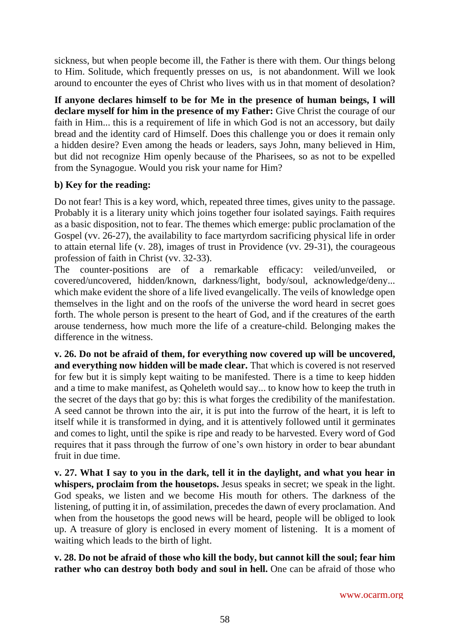sickness, but when people become ill, the Father is there with them. Our things belong to Him. Solitude, which frequently presses on us, is not abandonment. Will we look around to encounter the eyes of Christ who lives with us in that moment of desolation?

**If anyone declares himself to be for Me in the presence of human beings, I will declare myself for him in the presence of my Father:** Give Christ the courage of our faith in Him... this is a requirement of life in which God is not an accessory, but daily bread and the identity card of Himself. Does this challenge you or does it remain only a hidden desire? Even among the heads or leaders, says John, many believed in Him, but did not recognize Him openly because of the Pharisees, so as not to be expelled from the Synagogue. Would you risk your name for Him?

# **b) Key for the reading:**

Do not fear! This is a key word, which, repeated three times, gives unity to the passage. Probably it is a literary unity which joins together four isolated sayings. Faith requires as a basic disposition, not to fear. The themes which emerge: public proclamation of the Gospel (vv. 26-27), the availability to face martyrdom sacrificing physical life in order to attain eternal life (v. 28), images of trust in Providence (vv. 29-31), the courageous profession of faith in Christ (vv. 32-33).

The counter-positions are of a remarkable efficacy: veiled/unveiled, or covered/uncovered, hidden/known, darkness/light, body/soul, acknowledge/deny... which make evident the shore of a life lived evangelically. The veils of knowledge open themselves in the light and on the roofs of the universe the word heard in secret goes forth. The whole person is present to the heart of God, and if the creatures of the earth arouse tenderness, how much more the life of a creature-child. Belonging makes the difference in the witness.

**v. 26. Do not be afraid of them, for everything now covered up will be uncovered, and everything now hidden will be made clear.** That which is covered is not reserved for few but it is simply kept waiting to be manifested. There is a time to keep hidden and a time to make manifest, as Qoheleth would say... to know how to keep the truth in the secret of the days that go by: this is what forges the credibility of the manifestation. A seed cannot be thrown into the air, it is put into the furrow of the heart, it is left to itself while it is transformed in dying, and it is attentively followed until it germinates and comes to light, until the spike is ripe and ready to be harvested. Every word of God requires that it pass through the furrow of one's own history in order to bear abundant fruit in due time.

**v. 27. What I say to you in the dark, tell it in the daylight, and what you hear in**  whispers, proclaim from the housetops. Jesus speaks in secret; we speak in the light. God speaks, we listen and we become His mouth for others. The darkness of the listening, of putting it in, of assimilation, precedes the dawn of every proclamation. And when from the housetops the good news will be heard, people will be obliged to look up. A treasure of glory is enclosed in every moment of listening. It is a moment of waiting which leads to the birth of light.

**v. 28. Do not be afraid of those who kill the body, but cannot kill the soul; fear him rather who can destroy both body and soul in hell.** One can be afraid of those who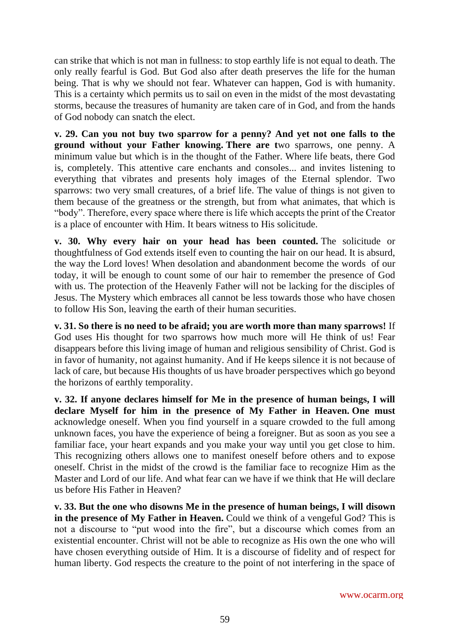can strike that which is not man in fullness: to stop earthly life is not equal to death. The only really fearful is God. But God also after death preserves the life for the human being. That is why we should not fear. Whatever can happen, God is with humanity. This is a certainty which permits us to sail on even in the midst of the most devastating storms, because the treasures of humanity are taken care of in God, and from the hands of God nobody can snatch the elect.

**v. 29. Can you not buy two sparrow for a penny? And yet not one falls to the ground without your Father knowing. There are t**wo sparrows, one penny. A minimum value but which is in the thought of the Father. Where life beats, there God is, completely. This attentive care enchants and consoles... and invites listening to everything that vibrates and presents holy images of the Eternal splendor. Two sparrows: two very small creatures, of a brief life. The value of things is not given to them because of the greatness or the strength, but from what animates, that which is "body". Therefore, every space where there is life which accepts the print of the Creator is a place of encounter with Him. It bears witness to His solicitude.

**v. 30. Why every hair on your head has been counted.** The solicitude or thoughtfulness of God extends itself even to counting the hair on our head. It is absurd, the way the Lord loves! When desolation and abandonment become the words of our today, it will be enough to count some of our hair to remember the presence of God with us. The protection of the Heavenly Father will not be lacking for the disciples of Jesus. The Mystery which embraces all cannot be less towards those who have chosen to follow His Son, leaving the earth of their human securities.

**v. 31. So there is no need to be afraid; you are worth more than many sparrows!** If God uses His thought for two sparrows how much more will He think of us! Fear disappears before this living image of human and religious sensibility of Christ. God is in favor of humanity, not against humanity. And if He keeps silence it is not because of lack of care, but because His thoughts of us have broader perspectives which go beyond the horizons of earthly temporality.

**v. 32. If anyone declares himself for Me in the presence of human beings, I will declare Myself for him in the presence of My Father in Heaven. One must** acknowledge oneself. When you find yourself in a square crowded to the full among unknown faces, you have the experience of being a foreigner. But as soon as you see a familiar face, your heart expands and you make your way until you get close to him. This recognizing others allows one to manifest oneself before others and to expose oneself. Christ in the midst of the crowd is the familiar face to recognize Him as the Master and Lord of our life. And what fear can we have if we think that He will declare us before His Father in Heaven?

**v. 33. But the one who disowns Me in the presence of human beings, I will disown in the presence of My Father in Heaven.** Could we think of a vengeful God? This is not a discourse to "put wood into the fire", but a discourse which comes from an existential encounter. Christ will not be able to recognize as His own the one who will have chosen everything outside of Him. It is a discourse of fidelity and of respect for human liberty. God respects the creature to the point of not interfering in the space of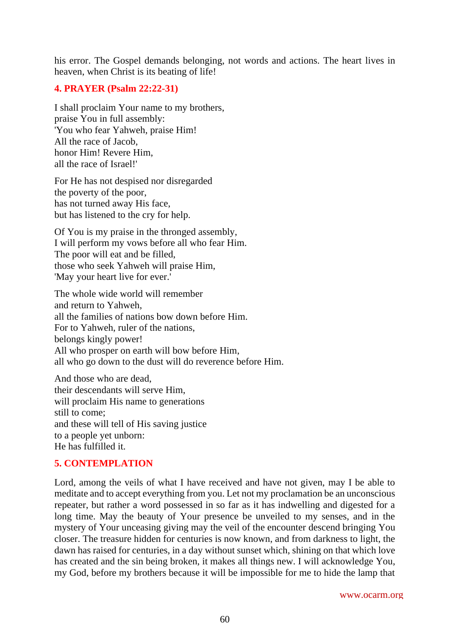his error. The Gospel demands belonging, not words and actions. The heart lives in heaven, when Christ is its beating of life!

## **4. PRAYER (Psalm 22:22-31)**

I shall proclaim Your name to my brothers, praise You in full assembly: 'You who fear Yahweh, praise Him! All the race of Jacob, honor Him! Revere Him, all the race of Israel!'

For He has not despised nor disregarded the poverty of the poor, has not turned away His face, but has listened to the cry for help.

Of You is my praise in the thronged assembly, I will perform my vows before all who fear Him. The poor will eat and be filled, those who seek Yahweh will praise Him, 'May your heart live for ever.'

The whole wide world will remember and return to Yahweh, all the families of nations bow down before Him. For to Yahweh, ruler of the nations, belongs kingly power! All who prosper on earth will bow before Him, all who go down to the dust will do reverence before Him.

And those who are dead, their descendants will serve Him, will proclaim His name to generations still to come; and these will tell of His saving justice to a people yet unborn: He has fulfilled it.

# **5. CONTEMPLATION**

Lord, among the veils of what I have received and have not given, may I be able to meditate and to accept everything from you. Let not my proclamation be an unconscious repeater, but rather a word possessed in so far as it has indwelling and digested for a long time. May the beauty of Your presence be unveiled to my senses, and in the mystery of Your unceasing giving may the veil of the encounter descend bringing You closer. The treasure hidden for centuries is now known, and from darkness to light, the dawn has raised for centuries, in a day without sunset which, shining on that which love has created and the sin being broken, it makes all things new. I will acknowledge You, my God, before my brothers because it will be impossible for me to hide the lamp that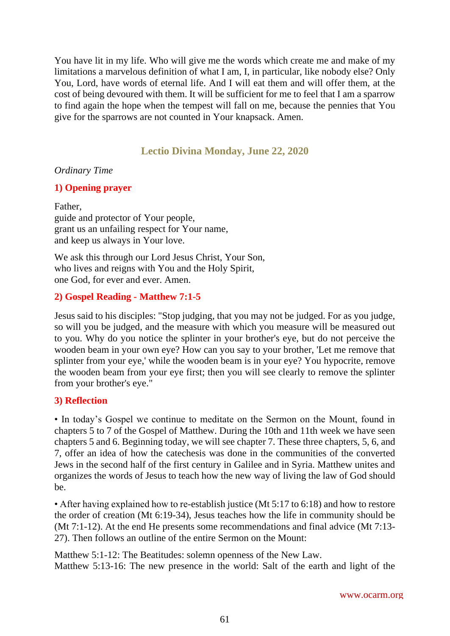You have lit in my life. Who will give me the words which create me and make of my limitations a marvelous definition of what I am, I, in particular, like nobody else? Only You, Lord, have words of eternal life. And I will eat them and will offer them, at the cost of being devoured with them. It will be sufficient for me to feel that I am a sparrow to find again the hope when the tempest will fall on me, because the pennies that You give for the sparrows are not counted in Your knapsack. Amen.

# **Lectio Divina Monday, June 22, 2020**

# *Ordinary Time*

# **1) Opening prayer**

Father, guide and protector of Your people, grant us an unfailing respect for Your name, and keep us always in Your love.

We ask this through our Lord Jesus Christ, Your Son, who lives and reigns with You and the Holy Spirit, one God, for ever and ever. Amen.

# **2) Gospel Reading - Matthew 7:1-5**

Jesus said to his disciples: "Stop judging, that you may not be judged. For as you judge, so will you be judged, and the measure with which you measure will be measured out to you. Why do you notice the splinter in your brother's eye, but do not perceive the wooden beam in your own eye? How can you say to your brother, 'Let me remove that splinter from your eye,' while the wooden beam is in your eye? You hypocrite, remove the wooden beam from your eye first; then you will see clearly to remove the splinter from your brother's eye."

# **3) Reflection**

• In today's Gospel we continue to meditate on the Sermon on the Mount, found in chapters 5 to 7 of the Gospel of Matthew. During the 10th and 11th week we have seen chapters 5 and 6. Beginning today, we will see chapter 7. These three chapters, 5, 6, and 7, offer an idea of how the catechesis was done in the communities of the converted Jews in the second half of the first century in Galilee and in Syria. Matthew unites and organizes the words of Jesus to teach how the new way of living the law of God should be.

• After having explained how to re-establish justice (Mt 5:17 to 6:18) and how to restore the order of creation (Mt 6:19-34), Jesus teaches how the life in community should be (Mt 7:1-12). At the end He presents some recommendations and final advice (Mt 7:13- 27). Then follows an outline of the entire Sermon on the Mount:

Matthew 5:1-12: The Beatitudes: solemn openness of the New Law. Matthew 5:13-16: The new presence in the world: Salt of the earth and light of the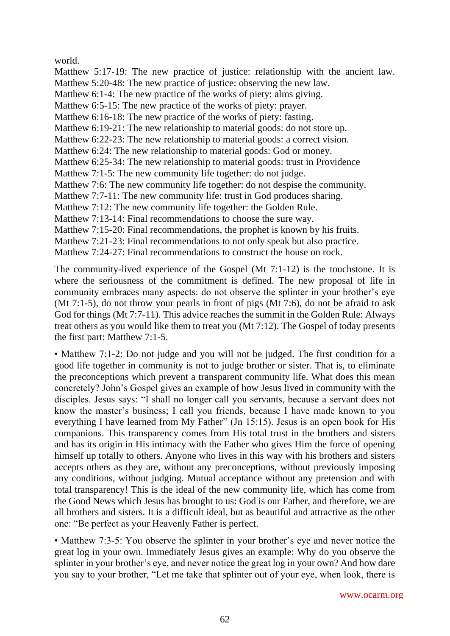world.

Matthew 5:17-19: The new practice of justice: relationship with the ancient law. Matthew 5:20-48: The new practice of justice: observing the new law. Matthew 6:1-4: The new practice of the works of piety: alms giving. Matthew 6:5-15: The new practice of the works of piety: prayer. Matthew 6:16-18: The new practice of the works of piety: fasting. Matthew 6:19-21: The new relationship to material goods: do not store up. Matthew 6:22-23: The new relationship to material goods: a correct vision. Matthew 6:24: The new relationship to material goods: God or money. Matthew 6:25-34: The new relationship to material goods: trust in Providence Matthew 7:1-5: The new community life together: do not judge. Matthew 7:6: The new community life together: do not despise the community. Matthew 7:7-11: The new community life: trust in God produces sharing. Matthew 7:12: The new community life together: the Golden Rule. Matthew 7:13-14: Final recommendations to choose the sure way. Matthew 7:15-20: Final recommendations, the prophet is known by his fruits. Matthew 7:21-23: Final recommendations to not only speak but also practice. Matthew 7:24-27: Final recommendations to construct the house on rock.

The community-lived experience of the Gospel (Mt 7:1-12) is the touchstone. It is where the seriousness of the commitment is defined. The new proposal of life in community embraces many aspects: do not observe the splinter in your brother's eye (Mt 7:1-5), do not throw your pearls in front of pigs (Mt 7:6), do not be afraid to ask God for things (Mt 7:7-11). This advice reaches the summit in the Golden Rule: Always treat others as you would like them to treat you (Mt 7:12). The Gospel of today presents the first part: Matthew 7:1-5.

• Matthew 7:1-2: Do not judge and you will not be judged. The first condition for a good life together in community is not to judge brother or sister. That is, to eliminate the preconceptions which prevent a transparent community life. What does this mean concretely? John's Gospel gives an example of how Jesus lived in community with the disciples. Jesus says: "I shall no longer call you servants, because a servant does not know the master's business; I call you friends, because I have made known to you everything I have learned from My Father" (Jn 15:15). Jesus is an open book for His companions. This transparency comes from His total trust in the brothers and sisters and has its origin in His intimacy with the Father who gives Him the force of opening himself up totally to others. Anyone who lives in this way with his brothers and sisters accepts others as they are, without any preconceptions, without previously imposing any conditions, without judging. Mutual acceptance without any pretension and with total transparency! This is the ideal of the new community life, which has come from the Good News which Jesus has brought to us: God is our Father, and therefore, we are all brothers and sisters. It is a difficult ideal, but as beautiful and attractive as the other one: "Be perfect as your Heavenly Father is perfect.

• Matthew 7:3-5: You observe the splinter in your brother's eye and never notice the great log in your own. Immediately Jesus gives an example: Why do you observe the splinter in your brother's eye, and never notice the great log in your own? And how dare you say to your brother, "Let me take that splinter out of your eye, when look, there is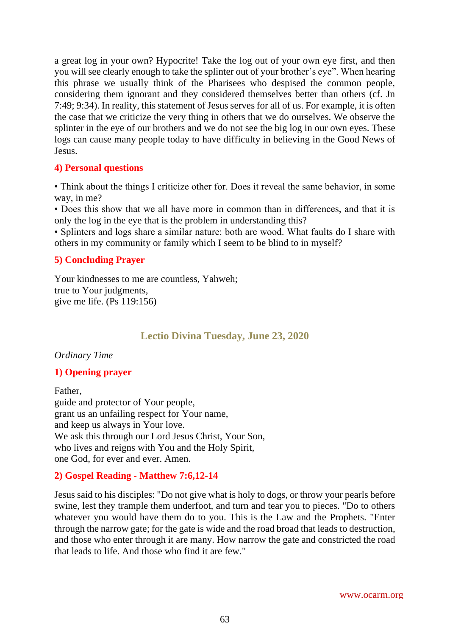a great log in your own? Hypocrite! Take the log out of your own eye first, and then you will see clearly enough to take the splinter out of your brother's eye". When hearing this phrase we usually think of the Pharisees who despised the common people, considering them ignorant and they considered themselves better than others (cf. Jn 7:49; 9:34). In reality, this statement of Jesus serves for all of us. For example, it is often the case that we criticize the very thing in others that we do ourselves. We observe the splinter in the eye of our brothers and we do not see the big log in our own eyes. These logs can cause many people today to have difficulty in believing in the Good News of Jesus.

### **4) Personal questions**

• Think about the things I criticize other for. Does it reveal the same behavior, in some way, in me?

• Does this show that we all have more in common than in differences, and that it is only the log in the eye that is the problem in understanding this?

• Splinters and logs share a similar nature: both are wood. What faults do I share with others in my community or family which I seem to be blind to in myself?

### **5) Concluding Prayer**

Your kindnesses to me are countless, Yahweh; true to Your judgments, give me life. (Ps 119:156)

# **Lectio Divina Tuesday, June 23, 2020**

#### *Ordinary Time*

#### **1) Opening prayer**

Father, guide and protector of Your people, grant us an unfailing respect for Your name, and keep us always in Your love. We ask this through our Lord Jesus Christ, Your Son, who lives and reigns with You and the Holy Spirit, one God, for ever and ever. Amen.

# **2) Gospel Reading - Matthew 7:6,12-14**

Jesus said to his disciples: "Do not give what is holy to dogs, or throw your pearls before swine, lest they trample them underfoot, and turn and tear you to pieces. "Do to others whatever you would have them do to you. This is the Law and the Prophets. "Enter through the narrow gate; for the gate is wide and the road broad that leads to destruction, and those who enter through it are many. How narrow the gate and constricted the road that leads to life. And those who find it are few."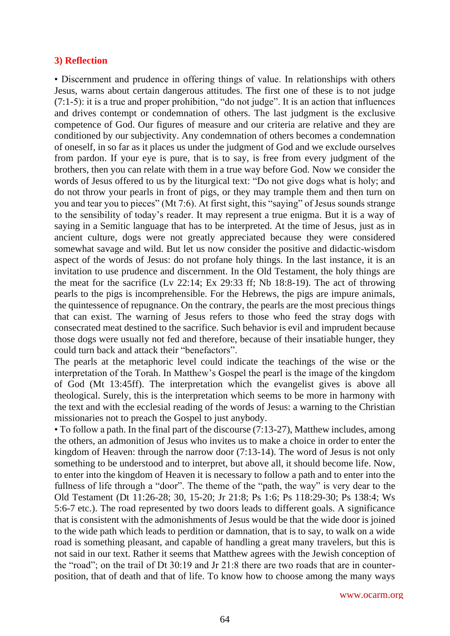### **3) Reflection**

• Discernment and prudence in offering things of value. In relationships with others Jesus, warns about certain dangerous attitudes. The first one of these is to not judge (7:1-5): it is a true and proper prohibition, "do not judge". It is an action that influences and drives contempt or condemnation of others. The last judgment is the exclusive competence of God. Our figures of measure and our criteria are relative and they are conditioned by our subjectivity. Any condemnation of others becomes a condemnation of oneself, in so far as it places us under the judgment of God and we exclude ourselves from pardon. If your eye is pure, that is to say, is free from every judgment of the brothers, then you can relate with them in a true way before God. Now we consider the words of Jesus offered to us by the liturgical text: "Do not give dogs what is holy; and do not throw your pearls in front of pigs, or they may trample them and then turn on you and tear you to pieces" (Mt 7:6). At first sight, this "saying" of Jesus sounds strange to the sensibility of today's reader. It may represent a true enigma. But it is a way of saying in a Semitic language that has to be interpreted. At the time of Jesus, just as in ancient culture, dogs were not greatly appreciated because they were considered somewhat savage and wild. But let us now consider the positive and didactic-wisdom aspect of the words of Jesus: do not profane holy things. In the last instance, it is an invitation to use prudence and discernment. In the Old Testament, the holy things are the meat for the sacrifice (Lv 22:14; Ex 29:33 ff; Nb 18:8-19). The act of throwing pearls to the pigs is incomprehensible. For the Hebrews, the pigs are impure animals, the quintessence of repugnance. On the contrary, the pearls are the most precious things that can exist. The warning of Jesus refers to those who feed the stray dogs with consecrated meat destined to the sacrifice. Such behavior is evil and imprudent because those dogs were usually not fed and therefore, because of their insatiable hunger, they could turn back and attack their "benefactors".

The pearls at the metaphoric level could indicate the teachings of the wise or the interpretation of the Torah. In Matthew's Gospel the pearl is the image of the kingdom of God (Mt 13:45ff). The interpretation which the evangelist gives is above all theological. Surely, this is the interpretation which seems to be more in harmony with the text and with the ecclesial reading of the words of Jesus: a warning to the Christian missionaries not to preach the Gospel to just anybody.

• To follow a path. In the final part of the discourse (7:13-27), Matthew includes, among the others, an admonition of Jesus who invites us to make a choice in order to enter the kingdom of Heaven: through the narrow door (7:13-14). The word of Jesus is not only something to be understood and to interpret, but above all, it should become life. Now, to enter into the kingdom of Heaven it is necessary to follow a path and to enter into the fullness of life through a "door". The theme of the "path, the way" is very dear to the Old Testament (Dt 11:26-28; 30, 15-20; Jr 21:8; Ps 1:6; Ps 118:29-30; Ps 138:4; Ws 5:6-7 etc.). The road represented by two doors leads to different goals. A significance that is consistent with the admonishments of Jesus would be that the wide door is joined to the wide path which leads to perdition or damnation, that is to say, to walk on a wide road is something pleasant, and capable of handling a great many travelers, but this is not said in our text. Rather it seems that Matthew agrees with the Jewish conception of the "road"; on the trail of Dt 30:19 and Jr 21:8 there are two roads that are in counterposition, that of death and that of life. To know how to choose among the many ways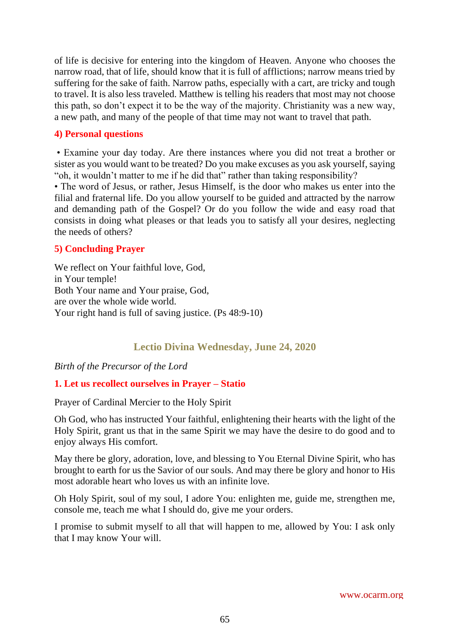of life is decisive for entering into the kingdom of Heaven. Anyone who chooses the narrow road, that of life, should know that it is full of afflictions; narrow means tried by suffering for the sake of faith. Narrow paths, especially with a cart, are tricky and tough to travel. It is also less traveled. Matthew is telling his readers that most may not choose this path, so don't expect it to be the way of the majority. Christianity was a new way, a new path, and many of the people of that time may not want to travel that path.

### **4) Personal questions**

• Examine your day today. Are there instances where you did not treat a brother or sister as you would want to be treated? Do you make excuses as you ask yourself, saying "oh, it wouldn't matter to me if he did that" rather than taking responsibility?

• The word of Jesus, or rather, Jesus Himself, is the door who makes us enter into the filial and fraternal life. Do you allow yourself to be guided and attracted by the narrow and demanding path of the Gospel? Or do you follow the wide and easy road that consists in doing what pleases or that leads you to satisfy all your desires, neglecting the needs of others?

### **5) Concluding Prayer**

We reflect on Your faithful love, God, in Your temple! Both Your name and Your praise, God, are over the whole wide world. Your right hand is full of saving justice. (Ps 48:9-10)

# **Lectio Divina Wednesday, June 24, 2020**

*Birth of the Precursor of the Lord*

# **1. Let us recollect ourselves in Prayer – Statio**

Prayer of Cardinal Mercier to the Holy Spirit

Oh God, who has instructed Your faithful, enlightening their hearts with the light of the Holy Spirit, grant us that in the same Spirit we may have the desire to do good and to enjoy always His comfort.

May there be glory, adoration, love, and blessing to You Eternal Divine Spirit, who has brought to earth for us the Savior of our souls. And may there be glory and honor to His most adorable heart who loves us with an infinite love.

Oh Holy Spirit, soul of my soul, I adore You: enlighten me, guide me, strengthen me, console me, teach me what I should do, give me your orders.

I promise to submit myself to all that will happen to me, allowed by You: I ask only that I may know Your will.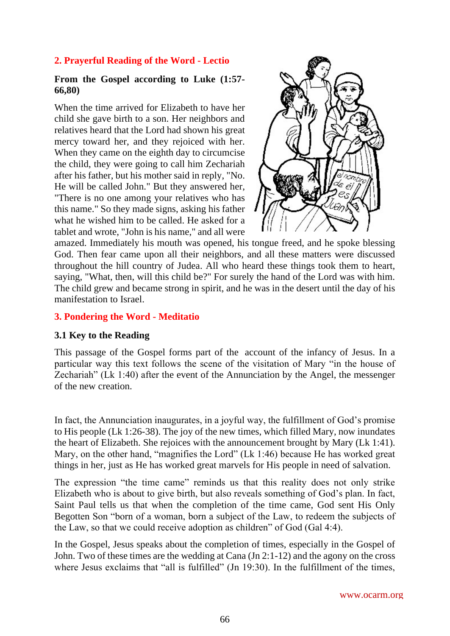# **2. Prayerful Reading of the Word - Lectio**

#### **From the Gospel according to Luke (1:57- 66,80)**

When the time arrived for Elizabeth to have her child she gave birth to a son. Her neighbors and relatives heard that the Lord had shown his great mercy toward her, and they rejoiced with her. When they came on the eighth day to circumcise the child, they were going to call him Zechariah after his father, but his mother said in reply, "No. He will be called John." But they answered her, "There is no one among your relatives who has this name." So they made signs, asking his father what he wished him to be called. He asked for a tablet and wrote, "John is his name," and all were



amazed. Immediately his mouth was opened, his tongue freed, and he spoke blessing God. Then fear came upon all their neighbors, and all these matters were discussed throughout the hill country of Judea. All who heard these things took them to heart, saying, "What, then, will this child be?" For surely the hand of the Lord was with him. The child grew and became strong in spirit, and he was in the desert until the day of his manifestation to Israel.

### **3. Pondering the Word - Meditatio**

#### **3.1 Key to the Reading**

This passage of the Gospel forms part of the account of the infancy of Jesus. In a particular way this text follows the scene of the visitation of Mary "in the house of Zechariah" (Lk 1:40) after the event of the Annunciation by the Angel, the messenger of the new creation.

In fact, the Annunciation inaugurates, in a joyful way, the fulfillment of God's promise to His people (Lk 1:26-38). The joy of the new times, which filled Mary, now inundates the heart of Elizabeth. She rejoices with the announcement brought by Mary (Lk 1:41). Mary, on the other hand, "magnifies the Lord" (Lk 1:46) because He has worked great things in her, just as He has worked great marvels for His people in need of salvation.

The expression "the time came" reminds us that this reality does not only strike Elizabeth who is about to give birth, but also reveals something of God's plan. In fact, Saint Paul tells us that when the completion of the time came, God sent His Only Begotten Son "born of a woman, born a subject of the Law, to redeem the subjects of the Law, so that we could receive adoption as children" of God (Gal 4:4).

In the Gospel, Jesus speaks about the completion of times, especially in the Gospel of John. Two of these times are the wedding at Cana (Jn 2:1-12) and the agony on the cross where Jesus exclaims that "all is fulfilled" (Jn 19:30). In the fulfillment of the times,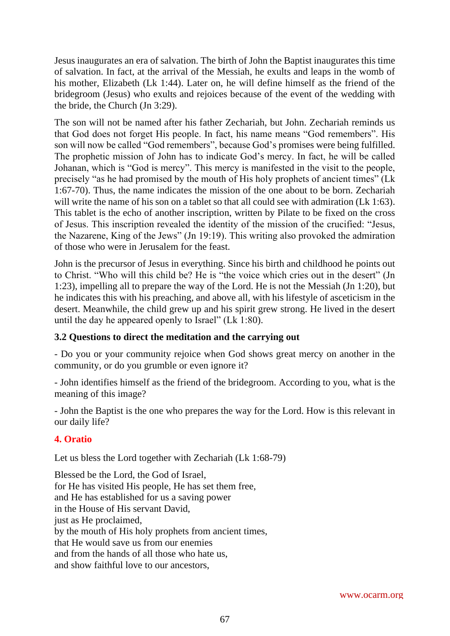Jesus inaugurates an era of salvation. The birth of John the Baptist inaugurates this time of salvation. In fact, at the arrival of the Messiah, he exults and leaps in the womb of his mother, Elizabeth (Lk 1:44). Later on, he will define himself as the friend of the bridegroom (Jesus) who exults and rejoices because of the event of the wedding with the bride, the Church (Jn 3:29).

The son will not be named after his father Zechariah, but John. Zechariah reminds us that God does not forget His people. In fact, his name means "God remembers". His son will now be called "God remembers", because God's promises were being fulfilled. The prophetic mission of John has to indicate God's mercy. In fact, he will be called Johanan, which is "God is mercy". This mercy is manifested in the visit to the people, precisely "as he had promised by the mouth of His holy prophets of ancient times" (Lk 1:67-70). Thus, the name indicates the mission of the one about to be born. Zechariah will write the name of his son on a tablet so that all could see with admiration (Lk 1:63). This tablet is the echo of another inscription, written by Pilate to be fixed on the cross of Jesus. This inscription revealed the identity of the mission of the crucified: "Jesus, the Nazarene, King of the Jews" (Jn 19:19). This writing also provoked the admiration of those who were in Jerusalem for the feast.

John is the precursor of Jesus in everything. Since his birth and childhood he points out to Christ. "Who will this child be? He is "the voice which cries out in the desert" (Jn 1:23), impelling all to prepare the way of the Lord. He is not the Messiah (Jn 1:20), but he indicates this with his preaching, and above all, with his lifestyle of asceticism in the desert. Meanwhile, the child grew up and his spirit grew strong. He lived in the desert until the day he appeared openly to Israel" (Lk 1:80).

# **3.2 Questions to direct the meditation and the carrying out**

- Do you or your community rejoice when God shows great mercy on another in the community, or do you grumble or even ignore it?

- John identifies himself as the friend of the bridegroom. According to you, what is the meaning of this image?

- John the Baptist is the one who prepares the way for the Lord. How is this relevant in our daily life?

# **4. Oratio**

Let us bless the Lord together with Zechariah (Lk 1:68-79)

Blessed be the Lord, the God of Israel, for He has visited His people, He has set them free, and He has established for us a saving power in the House of His servant David, just as He proclaimed, by the mouth of His holy prophets from ancient times, that He would save us from our enemies and from the hands of all those who hate us, and show faithful love to our ancestors,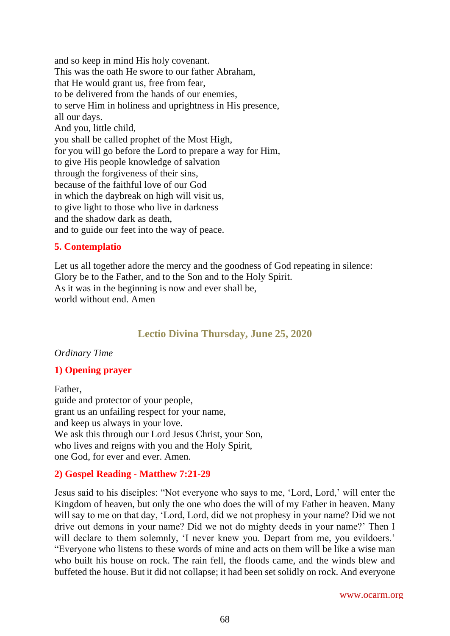and so keep in mind His holy covenant. This was the oath He swore to our father Abraham, that He would grant us, free from fear, to be delivered from the hands of our enemies, to serve Him in holiness and uprightness in His presence, all our days. And you, little child, you shall be called prophet of the Most High, for you will go before the Lord to prepare a way for Him, to give His people knowledge of salvation through the forgiveness of their sins, because of the faithful love of our God in which the daybreak on high will visit us, to give light to those who live in darkness and the shadow dark as death, and to guide our feet into the way of peace.

### **5. Contemplatio**

Let us all together adore the mercy and the goodness of God repeating in silence: Glory be to the Father, and to the Son and to the Holy Spirit. As it was in the beginning is now and ever shall be, world without end. Amen

# **Lectio Divina Thursday, June 25, 2020**

#### *Ordinary Time*

#### **1) Opening prayer**

Father, guide and protector of your people, grant us an unfailing respect for your name, and keep us always in your love. We ask this through our Lord Jesus Christ, your Son, who lives and reigns with you and the Holy Spirit, one God, for ever and ever. Amen.

# **2) Gospel Reading - Matthew 7:21-29**

Jesus said to his disciples: "Not everyone who says to me, 'Lord, Lord,' will enter the Kingdom of heaven, but only the one who does the will of my Father in heaven. Many will say to me on that day, 'Lord, Lord, did we not prophesy in your name? Did we not drive out demons in your name? Did we not do mighty deeds in your name?' Then I will declare to them solemnly, 'I never knew you. Depart from me, you evildoers.' "Everyone who listens to these words of mine and acts on them will be like a wise man who built his house on rock. The rain fell, the floods came, and the winds blew and buffeted the house. But it did not collapse; it had been set solidly on rock. And everyone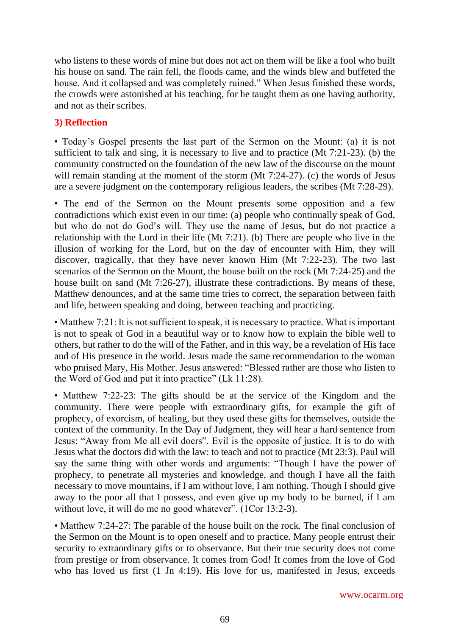who listens to these words of mine but does not act on them will be like a fool who built his house on sand. The rain fell, the floods came, and the winds blew and buffeted the house. And it collapsed and was completely ruined." When Jesus finished these words, the crowds were astonished at his teaching, for he taught them as one having authority, and not as their scribes.

# **3) Reflection**

• Today's Gospel presents the last part of the Sermon on the Mount: (a) it is not sufficient to talk and sing, it is necessary to live and to practice (Mt 7:21-23). (b) the community constructed on the foundation of the new law of the discourse on the mount will remain standing at the moment of the storm (Mt 7:24-27). (c) the words of Jesus are a severe judgment on the contemporary religious leaders, the scribes (Mt 7:28-29).

• The end of the Sermon on the Mount presents some opposition and a few contradictions which exist even in our time: (a) people who continually speak of God, but who do not do God's will. They use the name of Jesus, but do not practice a relationship with the Lord in their life (Mt 7:21). (b) There are people who live in the illusion of working for the Lord, but on the day of encounter with Him, they will discover, tragically, that they have never known Him (Mt 7:22-23). The two last scenarios of the Sermon on the Mount, the house built on the rock (Mt 7:24-25) and the house built on sand (Mt 7:26-27), illustrate these contradictions. By means of these, Matthew denounces, and at the same time tries to correct, the separation between faith and life, between speaking and doing, between teaching and practicing.

• Matthew 7:21: It is not sufficient to speak, it is necessary to practice. What is important is not to speak of God in a beautiful way or to know how to explain the bible well to others, but rather to do the will of the Father, and in this way, be a revelation of His face and of His presence in the world. Jesus made the same recommendation to the woman who praised Mary, His Mother. Jesus answered: "Blessed rather are those who listen to the Word of God and put it into practice" (Lk 11:28).

• Matthew 7:22-23: The gifts should be at the service of the Kingdom and the community. There were people with extraordinary gifts, for example the gift of prophecy, of exorcism, of healing, but they used these gifts for themselves, outside the context of the community. In the Day of Judgment, they will hear a hard sentence from Jesus: "Away from Me all evil doers". Evil is the opposite of justice. It is to do with Jesus what the doctors did with the law: to teach and not to practice (Mt 23:3). Paul will say the same thing with other words and arguments: "Though I have the power of prophecy, to penetrate all mysteries and knowledge, and though I have all the faith necessary to move mountains, if I am without love, I am nothing. Though I should give away to the poor all that I possess, and even give up my body to be burned, if I am without love, it will do me no good whatever". (1Cor 13:2-3).

• Matthew 7:24-27: The parable of the house built on the rock. The final conclusion of the Sermon on the Mount is to open oneself and to practice. Many people entrust their security to extraordinary gifts or to observance. But their true security does not come from prestige or from observance. It comes from God! It comes from the love of God who has loved us first (1 Jn 4:19). His love for us, manifested in Jesus, exceeds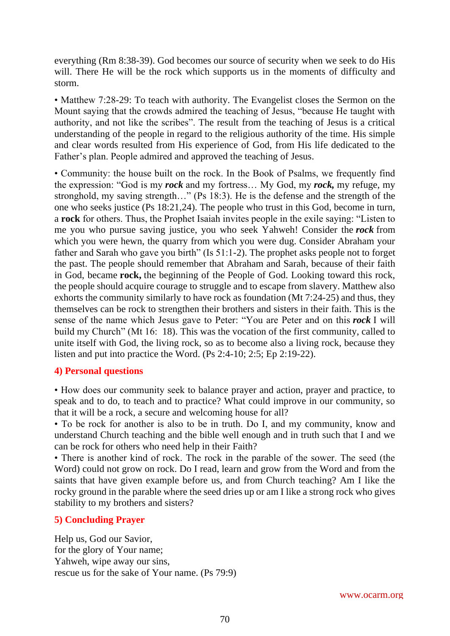everything (Rm 8:38-39). God becomes our source of security when we seek to do His will. There He will be the rock which supports us in the moments of difficulty and storm.

• Matthew 7:28-29: To teach with authority. The Evangelist closes the Sermon on the Mount saying that the crowds admired the teaching of Jesus, "because He taught with authority, and not like the scribes". The result from the teaching of Jesus is a critical understanding of the people in regard to the religious authority of the time. His simple and clear words resulted from His experience of God, from His life dedicated to the Father's plan. People admired and approved the teaching of Jesus.

• Community: the house built on the rock. In the Book of Psalms, we frequently find the expression: "God is my *rock* and my fortress… My God, my *rock,* my refuge, my stronghold, my saving strength…" (Ps 18:3). He is the defense and the strength of the one who seeks justice (Ps 18:21,24). The people who trust in this God, become in turn, a **rock** for others. Thus, the Prophet Isaiah invites people in the exile saying: "Listen to me you who pursue saving justice, you who seek Yahweh! Consider the *rock* from which you were hewn, the quarry from which you were dug. Consider Abraham your father and Sarah who gave you birth" (Is 51:1-2). The prophet asks people not to forget the past. The people should remember that Abraham and Sarah, because of their faith in God, became **rock,** the beginning of the People of God. Looking toward this rock, the people should acquire courage to struggle and to escape from slavery. Matthew also exhorts the community similarly to have rock as foundation (Mt 7:24-25) and thus, they themselves can be rock to strengthen their brothers and sisters in their faith. This is the sense of the name which Jesus gave to Peter: "You are Peter and on this *rock* I will build my Church" (Mt 16: 18). This was the vocation of the first community, called to unite itself with God, the living rock, so as to become also a living rock, because they listen and put into practice the Word. (Ps 2:4-10; 2:5; Ep 2:19-22).

# **4) Personal questions**

• How does our community seek to balance prayer and action, prayer and practice, to speak and to do, to teach and to practice? What could improve in our community, so that it will be a rock, a secure and welcoming house for all?

• To be rock for another is also to be in truth. Do I, and my community, know and understand Church teaching and the bible well enough and in truth such that I and we can be rock for others who need help in their Faith?

• There is another kind of rock. The rock in the parable of the sower. The seed (the Word) could not grow on rock. Do I read, learn and grow from the Word and from the saints that have given example before us, and from Church teaching? Am I like the rocky ground in the parable where the seed dries up or am I like a strong rock who gives stability to my brothers and sisters?

# **5) Concluding Prayer**

Help us, God our Savior, for the glory of Your name; Yahweh, wipe away our sins, rescue us for the sake of Your name. (Ps 79:9)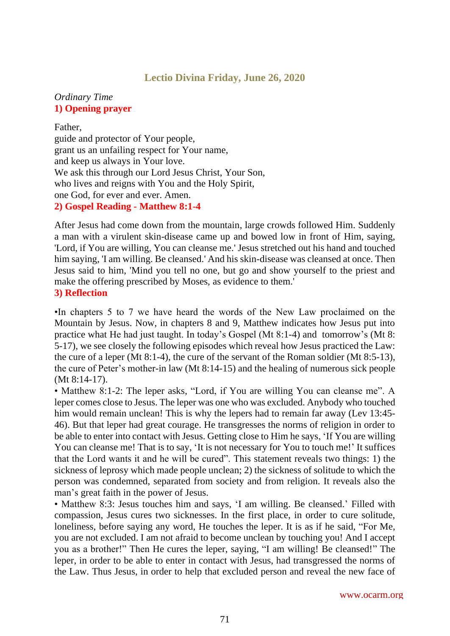# **Lectio Divina Friday, June 26, 2020**

# *Ordinary Time* **1) Opening prayer**

Father, guide and protector of Your people, grant us an unfailing respect for Your name, and keep us always in Your love. We ask this through our Lord Jesus Christ, Your Son, who lives and reigns with You and the Holy Spirit, one God, for ever and ever. Amen. **2) Gospel Reading - Matthew 8:1-4**

After Jesus had come down from the mountain, large crowds followed Him. Suddenly a man with a virulent skin-disease came up and bowed low in front of Him, saying, 'Lord, if You are willing, You can cleanse me.' Jesus stretched out his hand and touched him saying, 'I am willing. Be cleansed.' And his skin-disease was cleansed at once. Then Jesus said to him, 'Mind you tell no one, but go and show yourself to the priest and make the offering prescribed by Moses, as evidence to them.'

#### **3) Reflection**

•In chapters 5 to 7 we have heard the words of the New Law proclaimed on the Mountain by Jesus. Now, in chapters 8 and 9, Matthew indicates how Jesus put into practice what He had just taught. In today's Gospel (Mt 8:1-4) and tomorrow's (Mt 8: 5-17), we see closely the following episodes which reveal how Jesus practiced the Law: the cure of a leper (Mt 8:1-4), the cure of the servant of the Roman soldier (Mt 8:5-13), the cure of Peter's mother-in law (Mt 8:14-15) and the healing of numerous sick people (Mt 8:14-17).

• Matthew 8:1-2: The leper asks, "Lord, if You are willing You can cleanse me". A leper comes close to Jesus. The leper was one who was excluded. Anybody who touched him would remain unclean! This is why the lepers had to remain far away (Lev 13:45-46). But that leper had great courage. He transgresses the norms of religion in order to be able to enter into contact with Jesus. Getting close to Him he says, 'If You are willing You can cleanse me! That is to say, 'It is not necessary for You to touch me!' It suffices that the Lord wants it and he will be cured". This statement reveals two things: 1) the sickness of leprosy which made people unclean; 2) the sickness of solitude to which the person was condemned, separated from society and from religion. It reveals also the man's great faith in the power of Jesus.

• Matthew 8:3: Jesus touches him and says, 'I am willing. Be cleansed.' Filled with compassion, Jesus cures two sicknesses. In the first place, in order to cure solitude, loneliness, before saying any word, He touches the leper. It is as if he said, "For Me, you are not excluded. I am not afraid to become unclean by touching you! And I accept you as a brother!" Then He cures the leper, saying, "I am willing! Be cleansed!" The leper, in order to be able to enter in contact with Jesus, had transgressed the norms of the Law. Thus Jesus, in order to help that excluded person and reveal the new face of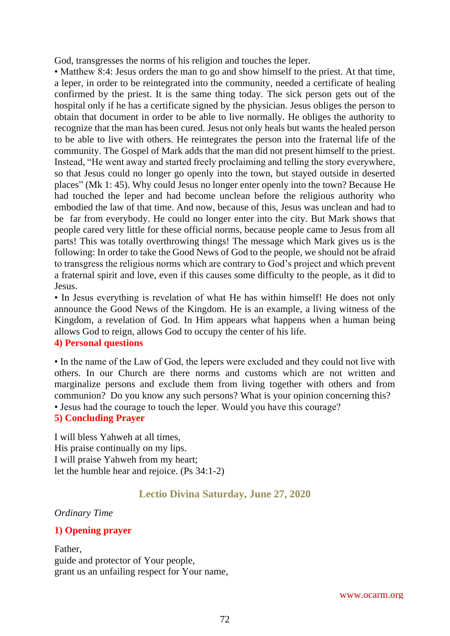God, transgresses the norms of his religion and touches the leper.

• Matthew 8:4: Jesus orders the man to go and show himself to the priest. At that time, a leper, in order to be reintegrated into the community, needed a certificate of healing confirmed by the priest. It is the same thing today. The sick person gets out of the hospital only if he has a certificate signed by the physician. Jesus obliges the person to obtain that document in order to be able to live normally. He obliges the authority to recognize that the man has been cured. Jesus not only heals but wants the healed person to be able to live with others. He reintegrates the person into the fraternal life of the community. The Gospel of Mark adds that the man did not present himself to the priest. Instead, "He went away and started freely proclaiming and telling the story everywhere, so that Jesus could no longer go openly into the town, but stayed outside in deserted places" (Mk 1: 45). Why could Jesus no longer enter openly into the town? Because He had touched the leper and had become unclean before the religious authority who embodied the law of that time. And now, because of this, Jesus was unclean and had to be far from everybody. He could no longer enter into the city. But Mark shows that people cared very little for these official norms, because people came to Jesus from all parts! This was totally overthrowing things! The message which Mark gives us is the following: In order to take the Good News of God to the people, we should not be afraid to transgress the religious norms which are contrary to God's project and which prevent a fraternal spirit and love, even if this causes some difficulty to the people, as it did to Jesus.

• In Jesus everything is revelation of what He has within himself! He does not only announce the Good News of the Kingdom. He is an example, a living witness of the Kingdom, a revelation of God. In Him appears what happens when a human being allows God to reign, allows God to occupy the center of his life.

# **4) Personal questions**

• In the name of the Law of God, the lepers were excluded and they could not live with others. In our Church are there norms and customs which are not written and marginalize persons and exclude them from living together with others and from communion? Do you know any such persons? What is your opinion concerning this? • Jesus had the courage to touch the leper. Would you have this courage?

# **5) Concluding Prayer**

I will bless Yahweh at all times, His praise continually on my lips. I will praise Yahweh from my heart; let the humble hear and rejoice. (Ps 34:1-2)

# **Lectio Divina Saturday, June 27, 2020**

*Ordinary Time*

# **1) Opening prayer**

Father, guide and protector of Your people, grant us an unfailing respect for Your name,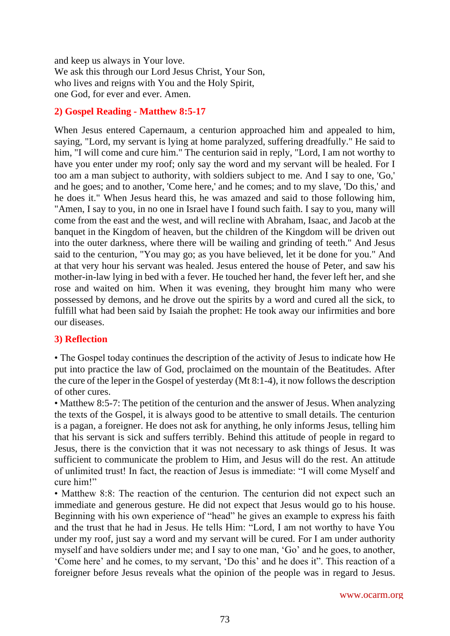and keep us always in Your love. We ask this through our Lord Jesus Christ, Your Son, who lives and reigns with You and the Holy Spirit, one God, for ever and ever. Amen.

### **2) Gospel Reading - Matthew 8:5-17**

When Jesus entered Capernaum, a centurion approached him and appealed to him, saying, "Lord, my servant is lying at home paralyzed, suffering dreadfully." He said to him, "I will come and cure him." The centurion said in reply, "Lord, I am not worthy to have you enter under my roof; only say the word and my servant will be healed. For I too am a man subject to authority, with soldiers subject to me. And I say to one, 'Go,' and he goes; and to another, 'Come here,' and he comes; and to my slave, 'Do this,' and he does it." When Jesus heard this, he was amazed and said to those following him, "Amen, I say to you, in no one in Israel have I found such faith. I say to you, many will come from the east and the west, and will recline with Abraham, Isaac, and Jacob at the banquet in the Kingdom of heaven, but the children of the Kingdom will be driven out into the outer darkness, where there will be wailing and grinding of teeth." And Jesus said to the centurion, "You may go; as you have believed, let it be done for you." And at that very hour his servant was healed. Jesus entered the house of Peter, and saw his mother-in-law lying in bed with a fever. He touched her hand, the fever left her, and she rose and waited on him. When it was evening, they brought him many who were possessed by demons, and he drove out the spirits by a word and cured all the sick, to fulfill what had been said by Isaiah the prophet: He took away our infirmities and bore our diseases.

### **3) Reflection**

• The Gospel today continues the description of the activity of Jesus to indicate how He put into practice the law of God, proclaimed on the mountain of the Beatitudes. After the cure of the leper in the Gospel of yesterday (Mt 8:1-4), it now follows the description of other cures.

• Matthew 8:5-7: The petition of the centurion and the answer of Jesus. When analyzing the texts of the Gospel, it is always good to be attentive to small details. The centurion is a pagan, a foreigner. He does not ask for anything, he only informs Jesus, telling him that his servant is sick and suffers terribly. Behind this attitude of people in regard to Jesus, there is the conviction that it was not necessary to ask things of Jesus. It was sufficient to communicate the problem to Him, and Jesus will do the rest. An attitude of unlimited trust! In fact, the reaction of Jesus is immediate: "I will come Myself and cure him!"

• Matthew 8:8: The reaction of the centurion. The centurion did not expect such an immediate and generous gesture. He did not expect that Jesus would go to his house. Beginning with his own experience of "head" he gives an example to express his faith and the trust that he had in Jesus. He tells Him: "Lord, I am not worthy to have You under my roof, just say a word and my servant will be cured. For I am under authority myself and have soldiers under me; and I say to one man, 'Go' and he goes, to another, 'Come here' and he comes, to my servant, 'Do this' and he does it". This reaction of a foreigner before Jesus reveals what the opinion of the people was in regard to Jesus.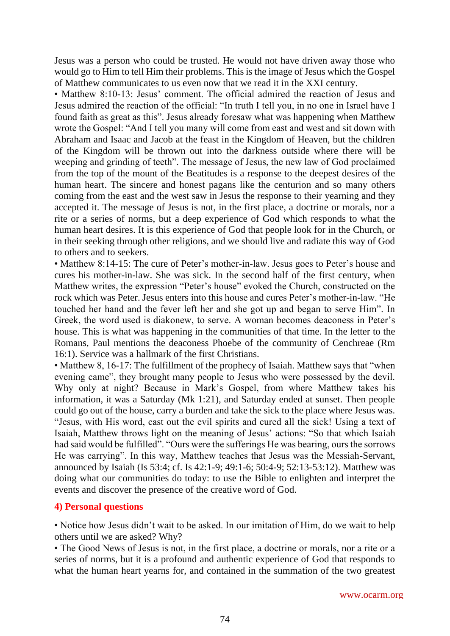Jesus was a person who could be trusted. He would not have driven away those who would go to Him to tell Him their problems. This is the image of Jesus which the Gospel of Matthew communicates to us even now that we read it in the XXI century.

• Matthew 8:10-13: Jesus' comment. The official admired the reaction of Jesus and Jesus admired the reaction of the official: "In truth I tell you, in no one in Israel have I found faith as great as this". Jesus already foresaw what was happening when Matthew wrote the Gospel: "And I tell you many will come from east and west and sit down with Abraham and Isaac and Jacob at the feast in the Kingdom of Heaven, but the children of the Kingdom will be thrown out into the darkness outside where there will be weeping and grinding of teeth". The message of Jesus, the new law of God proclaimed from the top of the mount of the Beatitudes is a response to the deepest desires of the human heart. The sincere and honest pagans like the centurion and so many others coming from the east and the west saw in Jesus the response to their yearning and they accepted it. The message of Jesus is not, in the first place, a doctrine or morals, nor a rite or a series of norms, but a deep experience of God which responds to what the human heart desires. It is this experience of God that people look for in the Church, or in their seeking through other religions, and we should live and radiate this way of God to others and to seekers.

• Matthew 8:14-15: The cure of Peter's mother-in-law. Jesus goes to Peter's house and cures his mother-in-law. She was sick. In the second half of the first century, when Matthew writes, the expression "Peter's house" evoked the Church, constructed on the rock which was Peter. Jesus enters into this house and cures Peter's mother-in-law. "He touched her hand and the fever left her and she got up and began to serve Him". In Greek, the word used is diakonew, to serve. A woman becomes deaconess in Peter's house. This is what was happening in the communities of that time. In the letter to the Romans, Paul mentions the deaconess Phoebe of the community of Cenchreae (Rm 16:1). Service was a hallmark of the first Christians.

• Matthew 8, 16-17: The fulfillment of the prophecy of Isaiah. Matthew says that "when evening came", they brought many people to Jesus who were possessed by the devil. Why only at night? Because in Mark's Gospel, from where Matthew takes his information, it was a Saturday (Mk 1:21), and Saturday ended at sunset. Then people could go out of the house, carry a burden and take the sick to the place where Jesus was. "Jesus, with His word, cast out the evil spirits and cured all the sick! Using a text of Isaiah, Matthew throws light on the meaning of Jesus' actions: "So that which Isaiah had said would be fulfilled". "Ours were the sufferings He was bearing, ours the sorrows He was carrying". In this way, Matthew teaches that Jesus was the Messiah-Servant, announced by Isaiah (Is 53:4; cf. Is 42:1-9; 49:1-6; 50:4-9; 52:13-53:12). Matthew was doing what our communities do today: to use the Bible to enlighten and interpret the events and discover the presence of the creative word of God.

### **4) Personal questions**

• Notice how Jesus didn't wait to be asked. In our imitation of Him, do we wait to help others until we are asked? Why?

• The Good News of Jesus is not, in the first place, a doctrine or morals, nor a rite or a series of norms, but it is a profound and authentic experience of God that responds to what the human heart yearns for, and contained in the summation of the two greatest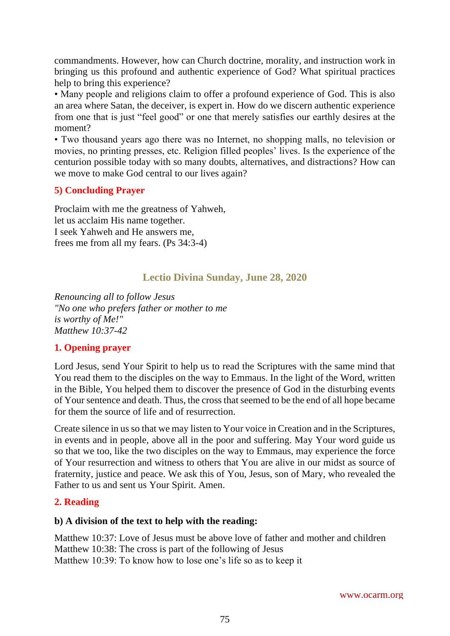commandments. However, how can Church doctrine, morality, and instruction work in bringing us this profound and authentic experience of God? What spiritual practices help to bring this experience?

• Many people and religions claim to offer a profound experience of God. This is also an area where Satan, the deceiver, is expert in. How do we discern authentic experience from one that is just "feel good" or one that merely satisfies our earthly desires at the moment?

• Two thousand years ago there was no Internet, no shopping malls, no television or movies, no printing presses, etc. Religion filled peoples' lives. Is the experience of the centurion possible today with so many doubts, alternatives, and distractions? How can we move to make God central to our lives again?

## **5) Concluding Prayer**

Proclaim with me the greatness of Yahweh, let us acclaim His name together. I seek Yahweh and He answers me, frees me from all my fears. (Ps 34:3-4)

## **Lectio Divina Sunday, June 28, 2020**

*Renouncing all to follow Jesus "No one who prefers father or mother to me is worthy of Me!" Matthew 10:37-42*

## **1. Opening prayer**

Lord Jesus, send Your Spirit to help us to read the Scriptures with the same mind that You read them to the disciples on the way to Emmaus. In the light of the Word, written in the Bible, You helped them to discover the presence of God in the disturbing events of Your sentence and death. Thus, the cross that seemed to be the end of all hope became for them the source of life and of resurrection.

Create silence in us so that we may listen to Your voice in Creation and in the Scriptures, in events and in people, above all in the poor and suffering. May Your word guide us so that we too, like the two disciples on the way to Emmaus, may experience the force of Your resurrection and witness to others that You are alive in our midst as source of fraternity, justice and peace. We ask this of You, Jesus, son of Mary, who revealed the Father to us and sent us Your Spirit. Amen.

## **2. Reading**

## **b) A division of the text to help with the reading:**

Matthew 10:37: Love of Jesus must be above love of father and mother and children Matthew 10:38: The cross is part of the following of Jesus Matthew 10:39: To know how to lose one's life so as to keep it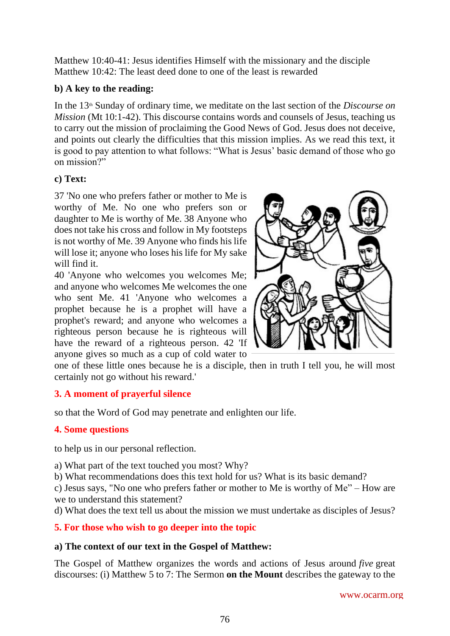Matthew 10:40-41: Jesus identifies Himself with the missionary and the disciple Matthew 10:42: The least deed done to one of the least is rewarded

# **b) A key to the reading:**

In the 13<sup>th</sup> Sunday of ordinary time, we meditate on the last section of the *Discourse on Mission* (Mt 10:1-42). This discourse contains words and counsels of Jesus, teaching us to carry out the mission of proclaiming the Good News of God. Jesus does not deceive, and points out clearly the difficulties that this mission implies. As we read this text, it is good to pay attention to what follows: "What is Jesus' basic demand of those who go on mission?"

## **c) Text:**

37 'No one who prefers father or mother to Me is worthy of Me. No one who prefers son or daughter to Me is worthy of Me. 38 Anyone who does not take his cross and follow in My footsteps is not worthy of Me. 39 Anyone who finds his life will lose it; anyone who loses his life for My sake will find it.

40 'Anyone who welcomes you welcomes Me; and anyone who welcomes Me welcomes the one who sent Me. 41 'Anyone who welcomes a prophet because he is a prophet will have a prophet's reward; and anyone who welcomes a righteous person because he is righteous will have the reward of a righteous person. 42 'If anyone gives so much as a cup of cold water to



one of these little ones because he is a disciple, then in truth I tell you, he will most certainly not go without his reward.'

# **3. A moment of prayerful silence**

so that the Word of God may penetrate and enlighten our life.

## **4. Some questions**

to help us in our personal reflection.

a) What part of the text touched you most? Why?

b) What recommendations does this text hold for us? What is its basic demand?

c) Jesus says, "No one who prefers father or mother to Me is worthy of Me" – How are we to understand this statement?

d) What does the text tell us about the mission we must undertake as disciples of Jesus?

# **5. For those who wish to go deeper into the topic**

# **a) The context of our text in the Gospel of Matthew:**

The Gospel of Matthew organizes the words and actions of Jesus around *five* great discourses: (i) Matthew 5 to 7: The Sermon **on the Mount** describes the gateway to the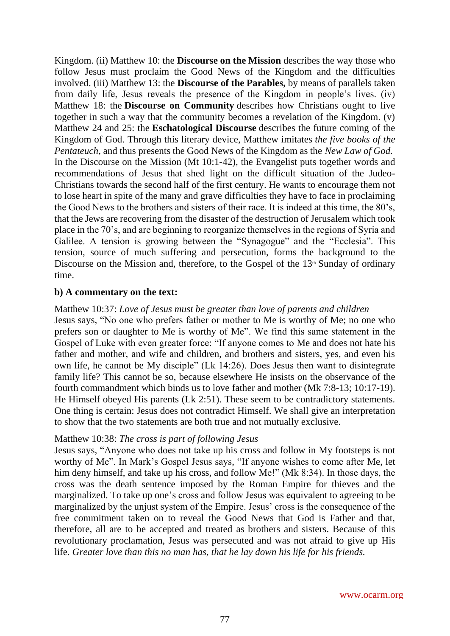Kingdom. (ii) Matthew 10: the **Discourse on the Mission** describes the way those who follow Jesus must proclaim the Good News of the Kingdom and the difficulties involved. (iii) Matthew 13: the **Discourse of the Parables,** by means of parallels taken from daily life, Jesus reveals the presence of the Kingdom in people's lives. (iv) Matthew 18: the **Discourse on Community** describes how Christians ought to live together in such a way that the community becomes a revelation of the Kingdom. (v) Matthew 24 and 25: the **Eschatological Discourse** describes the future coming of the Kingdom of God. Through this literary device, Matthew imitates *the five books of the Pentateuch*, and thus presents the Good News of the Kingdom as the *New Law of God.* In the Discourse on the Mission (Mt 10:1-42), the Evangelist puts together words and recommendations of Jesus that shed light on the difficult situation of the Judeo-Christians towards the second half of the first century. He wants to encourage them not to lose heart in spite of the many and grave difficulties they have to face in proclaiming the Good News to the brothers and sisters of their race. It is indeed at this time, the 80's, that the Jews are recovering from the disaster of the destruction of Jerusalem which took place in the 70's, and are beginning to reorganize themselves in the regions of Syria and Galilee. A tension is growing between the "Synagogue" and the "Ecclesia". This tension, source of much suffering and persecution, forms the background to the Discourse on the Mission and, therefore, to the Gospel of the  $13<sup>th</sup>$  Sunday of ordinary time.

### **b) A commentary on the text:**

#### Matthew 10:37: *Love of Jesus must be greater than love of parents and children*

Jesus says, "No one who prefers father or mother to Me is worthy of Me; no one who prefers son or daughter to Me is worthy of Me". We find this same statement in the Gospel of Luke with even greater force: "If anyone comes to Me and does not hate his father and mother, and wife and children, and brothers and sisters, yes, and even his own life, he cannot be My disciple" (Lk 14:26). Does Jesus then want to disintegrate family life? This cannot be so, because elsewhere He insists on the observance of the fourth commandment which binds us to love father and mother (Mk 7:8-13; 10:17-19). He Himself obeyed His parents (Lk 2:51). These seem to be contradictory statements. One thing is certain: Jesus does not contradict Himself. We shall give an interpretation to show that the two statements are both true and not mutually exclusive.

#### Matthew 10:38: *The cross is part of following Jesus*

Jesus says, "Anyone who does not take up his cross and follow in My footsteps is not worthy of Me". In Mark's Gospel Jesus says, "If anyone wishes to come after Me, let him deny himself, and take up his cross, and follow Me!" (Mk 8:34). In those days, the cross was the death sentence imposed by the Roman Empire for thieves and the marginalized. To take up one's cross and follow Jesus was equivalent to agreeing to be marginalized by the unjust system of the Empire. Jesus' cross is the consequence of the free commitment taken on to reveal the Good News that God is Father and that, therefore, all are to be accepted and treated as brothers and sisters. Because of this revolutionary proclamation, Jesus was persecuted and was not afraid to give up His life. *Greater love than this no man has, that he lay down his life for his friends.*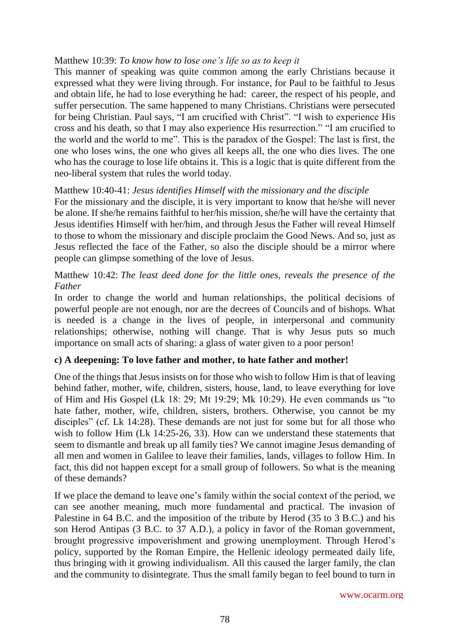### Matthew 10:39: *To know how to lose one's life so as to keep it*

This manner of speaking was quite common among the early Christians because it expressed what they were living through. For instance, for Paul to be faithful to Jesus and obtain life, he had to lose everything he had: career, the respect of his people, and suffer persecution. The same happened to many Christians. Christians were persecuted for being Christian. Paul says, "I am crucified with Christ". "I wish to experience His cross and his death, so that I may also experience His resurrection." "I am crucified to the world and the world to me". This is the paradox of the Gospel: The last is first, the one who loses wins, the one who gives all keeps all, the one who dies lives. The one who has the courage to lose life obtains it. This is a logic that is quite different from the neo-liberal system that rules the world today.

### Matthew 10:40-41: *Jesus identifies Himself with the missionary and the disciple*

For the missionary and the disciple, it is very important to know that he/she will never be alone. If she/he remains faithful to her/his mission, she/he will have the certainty that Jesus identifies Himself with her/him, and through Jesus the Father will reveal Himself to those to whom the missionary and disciple proclaim the Good News. And so, just as Jesus reflected the face of the Father, so also the disciple should be a mirror where people can glimpse something of the love of Jesus.

## Matthew 10:42: *The least deed done for the little ones, reveals the presence of the Father*

In order to change the world and human relationships, the political decisions of powerful people are not enough, nor are the decrees of Councils and of bishops. What is needed is a change in the lives of people, in interpersonal and community relationships; otherwise, nothing will change. That is why Jesus puts so much importance on small acts of sharing: a glass of water given to a poor person!

## **c) A deepening: To love father and mother, to hate father and mother!**

One of the things that Jesus insists on for those who wish to follow Him is that of leaving behind father, mother, wife, children, sisters, house, land, to leave everything for love of Him and His Gospel (Lk 18: 29; Mt 19:29; Mk 10:29). He even commands us "to hate father, mother, wife, children, sisters, brothers. Otherwise, you cannot be my disciples" (cf. Lk 14:28). These demands are not just for some but for all those who wish to follow Him (Lk 14:25-26, 33). How can we understand these statements that seem to dismantle and break up all family ties? We cannot imagine Jesus demanding of all men and women in Galilee to leave their families, lands, villages to follow Him. In fact, this did not happen except for a small group of followers. So what is the meaning of these demands?

If we place the demand to leave one's family within the social context of the period, we can see another meaning, much more fundamental and practical. The invasion of Palestine in 64 B.C. and the imposition of the tribute by Herod (35 to 3 B.C.) and his son Herod Antipas (3 B.C. to 37 A.D.), a policy in favor of the Roman government, brought progressive impoverishment and growing unemployment. Through Herod's policy, supported by the Roman Empire, the Hellenic ideology permeated daily life, thus bringing with it growing individualism. All this caused the larger family, the clan and the community to disintegrate. Thus the small family began to feel bound to turn in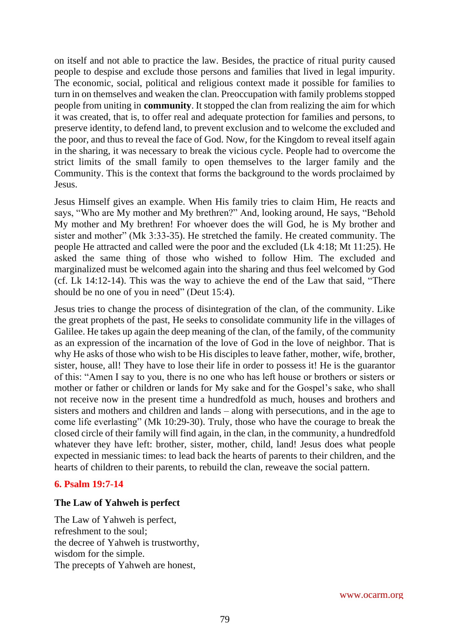on itself and not able to practice the law. Besides, the practice of ritual purity caused people to despise and exclude those persons and families that lived in legal impurity. The economic, social, political and religious context made it possible for families to turn in on themselves and weaken the clan. Preoccupation with family problems stopped people from uniting in **community**. It stopped the clan from realizing the aim for which it was created, that is, to offer real and adequate protection for families and persons, to preserve identity, to defend land, to prevent exclusion and to welcome the excluded and the poor, and thus to reveal the face of God. Now, for the Kingdom to reveal itself again in the sharing, it was necessary to break the vicious cycle. People had to overcome the strict limits of the small family to open themselves to the larger family and the Community. This is the context that forms the background to the words proclaimed by Jesus.

Jesus Himself gives an example. When His family tries to claim Him, He reacts and says, "Who are My mother and My brethren?" And, looking around, He says, "Behold My mother and My brethren! For whoever does the will God, he is My brother and sister and mother" (Mk 3:33-35). He stretched the family. He created community. The people He attracted and called were the poor and the excluded (Lk 4:18; Mt 11:25). He asked the same thing of those who wished to follow Him. The excluded and marginalized must be welcomed again into the sharing and thus feel welcomed by God (cf. Lk 14:12-14). This was the way to achieve the end of the Law that said, "There should be no one of you in need" (Deut 15:4).

Jesus tries to change the process of disintegration of the clan, of the community. Like the great prophets of the past, He seeks to consolidate community life in the villages of Galilee. He takes up again the deep meaning of the clan, of the family, of the community as an expression of the incarnation of the love of God in the love of neighbor. That is why He asks of those who wish to be His disciples to leave father, mother, wife, brother, sister, house, all! They have to lose their life in order to possess it! He is the guarantor of this: "Amen I say to you, there is no one who has left house or brothers or sisters or mother or father or children or lands for My sake and for the Gospel's sake, who shall not receive now in the present time a hundredfold as much, houses and brothers and sisters and mothers and children and lands – along with persecutions, and in the age to come life everlasting" (Mk 10:29-30). Truly, those who have the courage to break the closed circle of their family will find again, in the clan, in the community, a hundredfold whatever they have left: brother, sister, mother, child, land! Jesus does what people expected in messianic times: to lead back the hearts of parents to their children, and the hearts of children to their parents, to rebuild the clan, reweave the social pattern.

### **6. Psalm 19:7-14**

### **The Law of Yahweh is perfect**

The Law of Yahweh is perfect, refreshment to the soul; the decree of Yahweh is trustworthy, wisdom for the simple. The precepts of Yahweh are honest,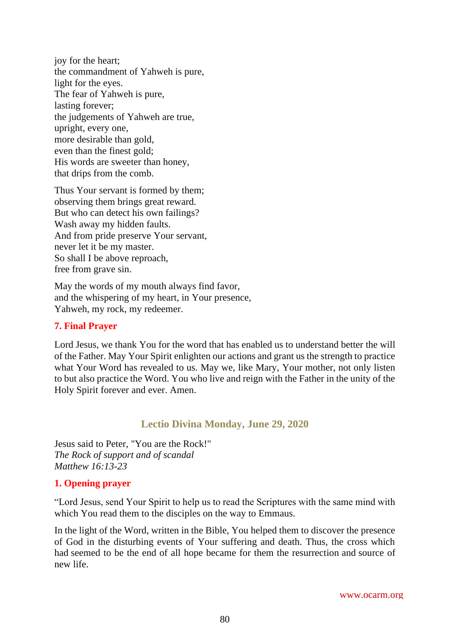joy for the heart; the commandment of Yahweh is pure, light for the eyes. The fear of Yahweh is pure, lasting forever; the judgements of Yahweh are true, upright, every one, more desirable than gold, even than the finest gold; His words are sweeter than honey, that drips from the comb.

Thus Your servant is formed by them; observing them brings great reward. But who can detect his own failings? Wash away my hidden faults. And from pride preserve Your servant, never let it be my master. So shall I be above reproach, free from grave sin.

May the words of my mouth always find favor, and the whispering of my heart, in Your presence, Yahweh, my rock, my redeemer.

## **7. Final Prayer**

Lord Jesus, we thank You for the word that has enabled us to understand better the will of the Father. May Your Spirit enlighten our actions and grant us the strength to practice what Your Word has revealed to us. May we, like Mary, Your mother, not only listen to but also practice the Word. You who live and reign with the Father in the unity of the Holy Spirit forever and ever. Amen.

# **Lectio Divina Monday, June 29, 2020**

Jesus said to Peter, "You are the Rock!" *The Rock of support and of scandal Matthew 16:13-23*

### **1. Opening prayer**

"Lord Jesus, send Your Spirit to help us to read the Scriptures with the same mind with which You read them to the disciples on the way to Emmaus.

In the light of the Word, written in the Bible, You helped them to discover the presence of God in the disturbing events of Your suffering and death. Thus, the cross which had seemed to be the end of all hope became for them the resurrection and source of new life.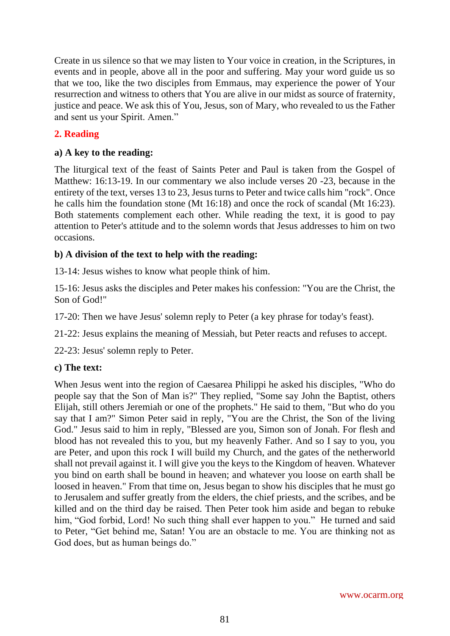Create in us silence so that we may listen to Your voice in creation, in the Scriptures, in events and in people, above all in the poor and suffering. May your word guide us so that we too, like the two disciples from Emmaus, may experience the power of Your resurrection and witness to others that You are alive in our midst as source of fraternity, justice and peace. We ask this of You, Jesus, son of Mary, who revealed to us the Father and sent us your Spirit. Amen."

# **2. Reading**

## **a) A key to the reading:**

The liturgical text of the feast of Saints Peter and Paul is taken from the Gospel of Matthew: 16:13-19. In our commentary we also include verses 20 -23, because in the entirety of the text, verses 13 to 23, Jesus turns to Peter and twice calls him "rock". Once he calls him the foundation stone (Mt 16:18) and once the rock of scandal (Mt 16:23). Both statements complement each other. While reading the text, it is good to pay attention to Peter's attitude and to the solemn words that Jesus addresses to him on two occasions.

## **b) A division of the text to help with the reading:**

13-14: Jesus wishes to know what people think of him.

15-16: Jesus asks the disciples and Peter makes his confession: "You are the Christ, the Son of God!"

17-20: Then we have Jesus' solemn reply to Peter (a key phrase for today's feast).

21-22: Jesus explains the meaning of Messiah, but Peter reacts and refuses to accept.

22-23: Jesus' solemn reply to Peter.

## **c) The text:**

When Jesus went into the region of Caesarea Philippi he asked his disciples, "Who do people say that the Son of Man is?" They replied, "Some say John the Baptist, others Elijah, still others Jeremiah or one of the prophets." He said to them, "But who do you say that I am?" Simon Peter said in reply, "You are the Christ, the Son of the living God." Jesus said to him in reply, "Blessed are you, Simon son of Jonah. For flesh and blood has not revealed this to you, but my heavenly Father. And so I say to you, you are Peter, and upon this rock I will build my Church, and the gates of the netherworld shall not prevail against it. I will give you the keys to the Kingdom of heaven. Whatever you bind on earth shall be bound in heaven; and whatever you loose on earth shall be loosed in heaven." From that time on, Jesus began to show his disciples that he must go to Jerusalem and suffer greatly from the elders, the chief priests, and the scribes, and be killed and on the third day be raised. Then Peter took him aside and began to rebuke him, "God forbid, Lord! No such thing shall ever happen to you." He turned and said to Peter, "Get behind me, Satan! You are an obstacle to me. You are thinking not as God does, but as human beings do."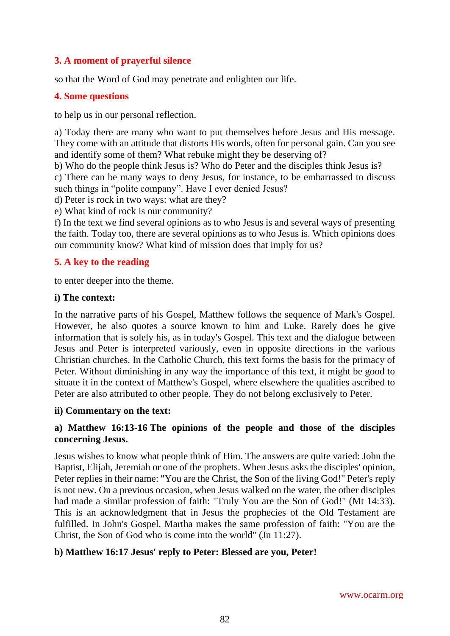# **3. A moment of prayerful silence**

so that the Word of God may penetrate and enlighten our life.

### **4. Some questions**

to help us in our personal reflection.

a) Today there are many who want to put themselves before Jesus and His message. They come with an attitude that distorts His words, often for personal gain. Can you see and identify some of them? What rebuke might they be deserving of?

b) Who do the people think Jesus is? Who do Peter and the disciples think Jesus is? c) There can be many ways to deny Jesus, for instance, to be embarrassed to discuss such things in "polite company". Have I ever denied Jesus?

d) Peter is rock in two ways: what are they?

e) What kind of rock is our community?

f) In the text we find several opinions as to who Jesus is and several ways of presenting the faith. Today too, there are several opinions as to who Jesus is. Which opinions does our community know? What kind of mission does that imply for us?

### **5. A key to the reading**

to enter deeper into the theme.

### **i) The context:**

In the narrative parts of his Gospel, Matthew follows the sequence of Mark's Gospel. However, he also quotes a source known to him and Luke. Rarely does he give information that is solely his, as in today's Gospel. This text and the dialogue between Jesus and Peter is interpreted variously, even in opposite directions in the various Christian churches. In the Catholic Church, this text forms the basis for the primacy of Peter. Without diminishing in any way the importance of this text, it might be good to situate it in the context of Matthew's Gospel, where elsewhere the qualities ascribed to Peter are also attributed to other people. They do not belong exclusively to Peter.

### **ii) Commentary on the text:**

## **a) Matthew 16:13-16 The opinions of the people and those of the disciples concerning Jesus.**

Jesus wishes to know what people think of Him. The answers are quite varied: John the Baptist, Elijah, Jeremiah or one of the prophets. When Jesus asks the disciples' opinion, Peter replies in their name: "You are the Christ, the Son of the living God!" Peter's reply is not new. On a previous occasion, when Jesus walked on the water, the other disciples had made a similar profession of faith: "Truly You are the Son of God!" (Mt 14:33). This is an acknowledgment that in Jesus the prophecies of the Old Testament are fulfilled. In John's Gospel, Martha makes the same profession of faith: "You are the Christ, the Son of God who is come into the world" (Jn 11:27).

## **b) Matthew 16:17 Jesus' reply to Peter: Blessed are you, Peter!**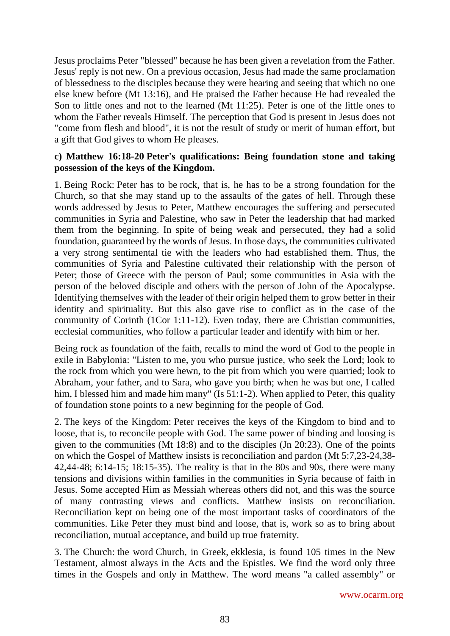Jesus proclaims Peter "blessed" because he has been given a revelation from the Father. Jesus' reply is not new. On a previous occasion, Jesus had made the same proclamation of blessedness to the disciples because they were hearing and seeing that which no one else knew before (Mt 13:16), and He praised the Father because He had revealed the Son to little ones and not to the learned (Mt 11:25). Peter is one of the little ones to whom the Father reveals Himself. The perception that God is present in Jesus does not "come from flesh and blood", it is not the result of study or merit of human effort, but a gift that God gives to whom He pleases.

### **c) Matthew 16:18-20 Peter's qualifications: Being foundation stone and taking possession of the keys of the Kingdom.**

1. Being Rock: Peter has to be rock, that is, he has to be a strong foundation for the Church, so that she may stand up to the assaults of the gates of hell. Through these words addressed by Jesus to Peter, Matthew encourages the suffering and persecuted communities in Syria and Palestine, who saw in Peter the leadership that had marked them from the beginning. In spite of being weak and persecuted, they had a solid foundation, guaranteed by the words of Jesus. In those days, the communities cultivated a very strong sentimental tie with the leaders who had established them. Thus, the communities of Syria and Palestine cultivated their relationship with the person of Peter; those of Greece with the person of Paul; some communities in Asia with the person of the beloved disciple and others with the person of John of the Apocalypse. Identifying themselves with the leader of their origin helped them to grow better in their identity and spirituality. But this also gave rise to conflict as in the case of the community of Corinth (1Cor 1:11-12). Even today, there are Christian communities, ecclesial communities, who follow a particular leader and identify with him or her.

Being rock as foundation of the faith, recalls to mind the word of God to the people in exile in Babylonia: "Listen to me, you who pursue justice, who seek the Lord; look to the rock from which you were hewn, to the pit from which you were quarried; look to Abraham, your father, and to Sara, who gave you birth; when he was but one, I called him, I blessed him and made him many" (Is 51:1-2). When applied to Peter, this quality of foundation stone points to a new beginning for the people of God.

2. The keys of the Kingdom: Peter receives the keys of the Kingdom to bind and to loose, that is, to reconcile people with God. The same power of binding and loosing is given to the communities (Mt 18:8) and to the disciples (Jn 20:23). One of the points on which the Gospel of Matthew insists is reconciliation and pardon (Mt 5:7,23-24,38- 42,44-48; 6:14-15; 18:15-35). The reality is that in the 80s and 90s, there were many tensions and divisions within families in the communities in Syria because of faith in Jesus. Some accepted Him as Messiah whereas others did not, and this was the source of many contrasting views and conflicts. Matthew insists on reconciliation. Reconciliation kept on being one of the most important tasks of coordinators of the communities. Like Peter they must bind and loose, that is, work so as to bring about reconciliation, mutual acceptance, and build up true fraternity.

3. The Church: the word Church, in Greek, ekklesia, is found 105 times in the New Testament, almost always in the Acts and the Epistles. We find the word only three times in the Gospels and only in Matthew. The word means "a called assembly" or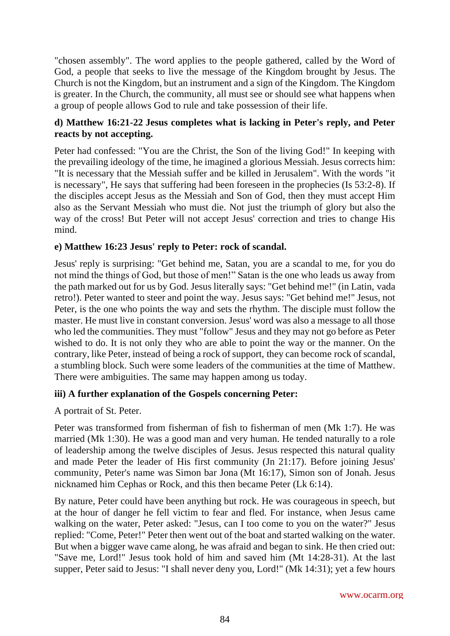"chosen assembly". The word applies to the people gathered, called by the Word of God, a people that seeks to live the message of the Kingdom brought by Jesus. The Church is not the Kingdom, but an instrument and a sign of the Kingdom. The Kingdom is greater. In the Church, the community, all must see or should see what happens when a group of people allows God to rule and take possession of their life.

# **d) Matthew 16:21-22 Jesus completes what is lacking in Peter's reply, and Peter reacts by not accepting.**

Peter had confessed: "You are the Christ, the Son of the living God!" In keeping with the prevailing ideology of the time, he imagined a glorious Messiah. Jesus corrects him: "It is necessary that the Messiah suffer and be killed in Jerusalem". With the words "it is necessary", He says that suffering had been foreseen in the prophecies (Is 53:2-8). If the disciples accept Jesus as the Messiah and Son of God, then they must accept Him also as the Servant Messiah who must die. Not just the triumph of glory but also the way of the cross! But Peter will not accept Jesus' correction and tries to change His mind.

# **e) Matthew 16:23 Jesus' reply to Peter: rock of scandal.**

Jesus' reply is surprising: "Get behind me, Satan, you are a scandal to me, for you do not mind the things of God, but those of men!" Satan is the one who leads us away from the path marked out for us by God. Jesus literally says: "Get behind me!" (in Latin, vada retro!). Peter wanted to steer and point the way. Jesus says: "Get behind me!" Jesus, not Peter, is the one who points the way and sets the rhythm. The disciple must follow the master. He must live in constant conversion. Jesus' word was also a message to all those who led the communities. They must "follow" Jesus and they may not go before as Peter wished to do. It is not only they who are able to point the way or the manner. On the contrary, like Peter, instead of being a rock of support, they can become rock of scandal, a stumbling block. Such were some leaders of the communities at the time of Matthew. There were ambiguities. The same may happen among us today.

# **iii) A further explanation of the Gospels concerning Peter:**

A portrait of St. Peter.

Peter was transformed from fisherman of fish to fisherman of men (Mk 1:7). He was married (Mk 1:30). He was a good man and very human. He tended naturally to a role of leadership among the twelve disciples of Jesus. Jesus respected this natural quality and made Peter the leader of His first community (Jn 21:17). Before joining Jesus' community, Peter's name was Simon bar Jona (Mt 16:17), Simon son of Jonah. Jesus nicknamed him Cephas or Rock, and this then became Peter (Lk 6:14).

By nature, Peter could have been anything but rock. He was courageous in speech, but at the hour of danger he fell victim to fear and fled. For instance, when Jesus came walking on the water, Peter asked: "Jesus, can I too come to you on the water?" Jesus replied: "Come, Peter!" Peter then went out of the boat and started walking on the water. But when a bigger wave came along, he was afraid and began to sink. He then cried out: "Save me, Lord!" Jesus took hold of him and saved him (Mt 14:28-31). At the last supper, Peter said to Jesus: "I shall never deny you, Lord!" (Mk 14:31); yet a few hours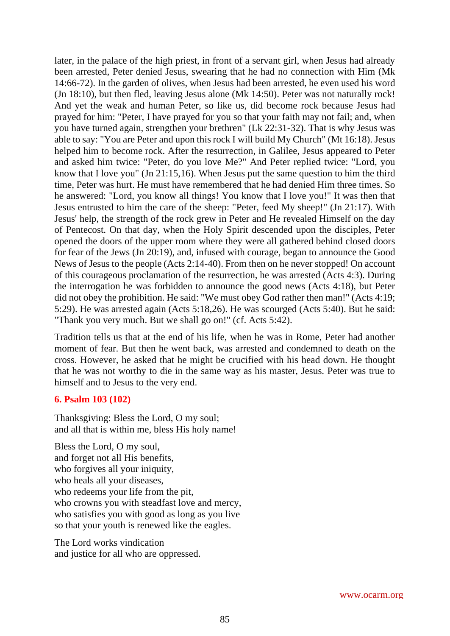later, in the palace of the high priest, in front of a servant girl, when Jesus had already been arrested, Peter denied Jesus, swearing that he had no connection with Him (Mk 14:66-72). In the garden of olives, when Jesus had been arrested, he even used his word (Jn 18:10), but then fled, leaving Jesus alone (Mk 14:50). Peter was not naturally rock! And yet the weak and human Peter, so like us, did become rock because Jesus had prayed for him: "Peter, I have prayed for you so that your faith may not fail; and, when you have turned again, strengthen your brethren" (Lk 22:31-32). That is why Jesus was able to say: "You are Peter and upon this rock I will build My Church" (Mt 16:18). Jesus helped him to become rock. After the resurrection, in Galilee, Jesus appeared to Peter and asked him twice: "Peter, do you love Me?" And Peter replied twice: "Lord, you know that I love you" (Jn 21:15,16). When Jesus put the same question to him the third time, Peter was hurt. He must have remembered that he had denied Him three times. So he answered: "Lord, you know all things! You know that I love you!" It was then that Jesus entrusted to him the care of the sheep: "Peter, feed My sheep!" (Jn 21:17). With Jesus' help, the strength of the rock grew in Peter and He revealed Himself on the day of Pentecost. On that day, when the Holy Spirit descended upon the disciples, Peter opened the doors of the upper room where they were all gathered behind closed doors for fear of the Jews (Jn 20:19), and, infused with courage, began to announce the Good News of Jesus to the people (Acts 2:14-40). From then on he never stopped! On account of this courageous proclamation of the resurrection, he was arrested (Acts 4:3). During the interrogation he was forbidden to announce the good news (Acts 4:18), but Peter did not obey the prohibition. He said: "We must obey God rather then man!" (Acts 4:19; 5:29). He was arrested again (Acts 5:18,26). He was scourged (Acts 5:40). But he said: "Thank you very much. But we shall go on!" (cf. Acts 5:42).

Tradition tells us that at the end of his life, when he was in Rome, Peter had another moment of fear. But then he went back, was arrested and condemned to death on the cross. However, he asked that he might be crucified with his head down. He thought that he was not worthy to die in the same way as his master, Jesus. Peter was true to himself and to Jesus to the very end.

### **6. Psalm 103 (102)**

Thanksgiving: Bless the Lord, O my soul; and all that is within me, bless His holy name!

Bless the Lord, O my soul, and forget not all His benefits, who forgives all your iniquity, who heals all your diseases, who redeems your life from the pit, who crowns you with steadfast love and mercy, who satisfies you with good as long as you live so that your youth is renewed like the eagles.

The Lord works vindication and justice for all who are oppressed.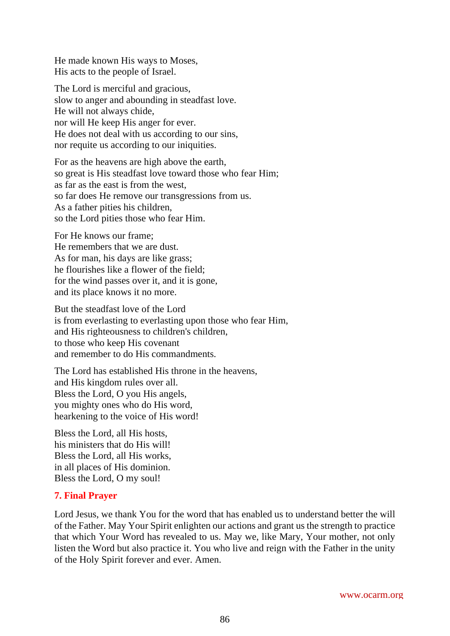He made known His ways to Moses, His acts to the people of Israel.

The Lord is merciful and gracious, slow to anger and abounding in steadfast love. He will not always chide, nor will He keep His anger for ever. He does not deal with us according to our sins, nor requite us according to our iniquities.

For as the heavens are high above the earth, so great is His steadfast love toward those who fear Him; as far as the east is from the west, so far does He remove our transgressions from us. As a father pities his children, so the Lord pities those who fear Him.

For He knows our frame; He remembers that we are dust. As for man, his days are like grass; he flourishes like a flower of the field; for the wind passes over it, and it is gone, and its place knows it no more.

But the steadfast love of the Lord is from everlasting to everlasting upon those who fear Him, and His righteousness to children's children, to those who keep His covenant and remember to do His commandments.

The Lord has established His throne in the heavens, and His kingdom rules over all. Bless the Lord, O you His angels, you mighty ones who do His word, hearkening to the voice of His word!

Bless the Lord, all His hosts, his ministers that do His will! Bless the Lord, all His works, in all places of His dominion. Bless the Lord, O my soul!

### **7. Final Prayer**

Lord Jesus, we thank You for the word that has enabled us to understand better the will of the Father. May Your Spirit enlighten our actions and grant us the strength to practice that which Your Word has revealed to us. May we, like Mary, Your mother, not only listen the Word but also practice it. You who live and reign with the Father in the unity of the Holy Spirit forever and ever. Amen.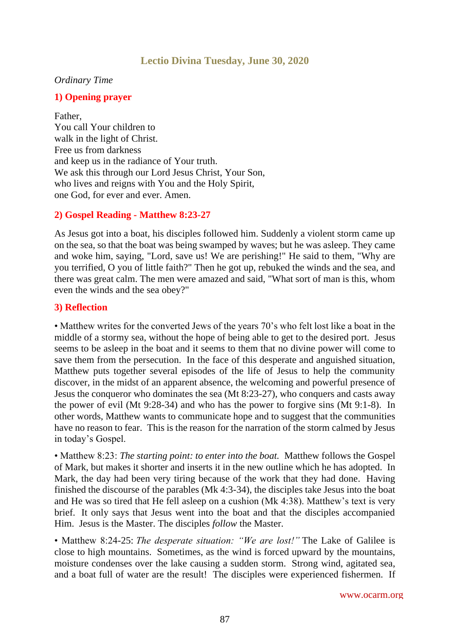## **Lectio Divina Tuesday, June 30, 2020**

*Ordinary Time*

### **1) Opening prayer**

Father, You call Your children to walk in the light of Christ. Free us from darkness and keep us in the radiance of Your truth. We ask this through our Lord Jesus Christ, Your Son, who lives and reigns with You and the Holy Spirit, one God, for ever and ever. Amen.

### **2) Gospel Reading - Matthew 8:23-27**

As Jesus got into a boat, his disciples followed him. Suddenly a violent storm came up on the sea, so that the boat was being swamped by waves; but he was asleep. They came and woke him, saying, "Lord, save us! We are perishing!" He said to them, "Why are you terrified, O you of little faith?" Then he got up, rebuked the winds and the sea, and there was great calm. The men were amazed and said, "What sort of man is this, whom even the winds and the sea obey?"

### **3) Reflection**

• Matthew writes for the converted Jews of the years 70's who felt lost like a boat in the middle of a stormy sea, without the hope of being able to get to the desired port. Jesus seems to be asleep in the boat and it seems to them that no divine power will come to save them from the persecution. In the face of this desperate and anguished situation, Matthew puts together several episodes of the life of Jesus to help the community discover, in the midst of an apparent absence, the welcoming and powerful presence of Jesus the conqueror who dominates the sea (Mt 8:23-27), who conquers and casts away the power of evil (Mt 9:28-34) and who has the power to forgive sins (Mt 9:1-8). In other words, Matthew wants to communicate hope and to suggest that the communities have no reason to fear. This is the reason for the narration of the storm calmed by Jesus in today's Gospel.

• Matthew 8:23: *The starting point: to enter into the boat.* Matthew follows the Gospel of Mark, but makes it shorter and inserts it in the new outline which he has adopted. In Mark, the day had been very tiring because of the work that they had done. Having finished the discourse of the parables (Mk 4:3-34), the disciples take Jesus into the boat and He was so tired that He fell asleep on a cushion (Mk 4:38). Matthew's text is very brief. It only says that Jesus went into the boat and that the disciples accompanied Him. Jesus is the Master. The disciples *follow* the Master.

• Matthew 8:24-25: *The desperate situation: "We are lost!"* The Lake of Galilee is close to high mountains. Sometimes, as the wind is forced upward by the mountains, moisture condenses over the lake causing a sudden storm. Strong wind, agitated sea, and a boat full of water are the result! The disciples were experienced fishermen. If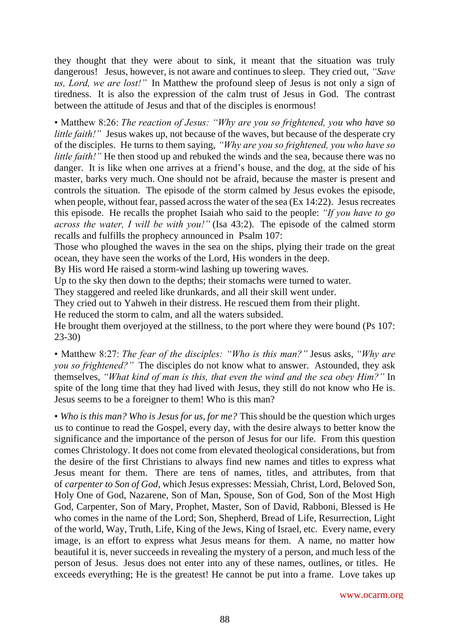they thought that they were about to sink, it meant that the situation was truly dangerous! Jesus, however, is not aware and continues to sleep. They cried out, *"Save us, Lord, we are lost!"* In Matthew the profound sleep of Jesus is not only a sign of tiredness. It is also the expression of the calm trust of Jesus in God. The contrast between the attitude of Jesus and that of the disciples is enormous!

• Matthew 8:26: *The reaction of Jesus: "Why are you so frightened, you who have so little faith!"* Jesus wakes up, not because of the waves, but because of the desperate cry of the disciples. He turns to them saying, *"Why are you so frightened, you who have so little faith!*" He then stood up and rebuked the winds and the sea, because there was no danger. It is like when one arrives at a friend's house, and the dog, at the side of his master, barks very much. One should not be afraid, because the master is present and controls the situation. The episode of the storm calmed by Jesus evokes the episode, when people, without fear, passed across the water of the sea (Ex 14:22). Jesus recreates this episode. He recalls the prophet Isaiah who said to the people: *"If you have to go across the water, I will be with you!"* (Isa 43:2). The episode of the calmed storm recalls and fulfills the prophecy announced in Psalm 107:

Those who ploughed the waves in the sea on the ships, plying their trade on the great ocean, they have seen the works of the Lord, His wonders in the deep.

By His word He raised a storm-wind lashing up towering waves.

Up to the sky then down to the depths; their stomachs were turned to water.

They staggered and reeled like drunkards, and all their skill went under.

They cried out to Yahweh in their distress. He rescued them from their plight.

He reduced the storm to calm, and all the waters subsided.

He brought them overjoyed at the stillness, to the port where they were bound (Ps 107: 23-30)

• Matthew 8:27: *The fear of the disciples: "Who is this man?"* Jesus asks, *"Why are you so frightened?"* The disciples do not know what to answer. Astounded, they ask themselves, *"What kind of man is this, that even the wind and the sea obey Him?"* In spite of the long time that they had lived with Jesus, they still do not know who He is. Jesus seems to be a foreigner to them! Who is this man?

• *Who is this man? Who is Jesus for us, for me?* This should be the question which urges us to continue to read the Gospel, every day, with the desire always to better know the significance and the importance of the person of Jesus for our life. From this question comes Christology. It does not come from elevated theological considerations, but from the desire of the first Christians to always find new names and titles to express what Jesus meant for them. There are tens of names, titles, and attributes, from that of *carpenter to Son of God*, which Jesus expresses: Messiah, Christ, Lord, Beloved Son, Holy One of God, Nazarene, Son of Man, Spouse, Son of God, Son of the Most High God, Carpenter, Son of Mary, Prophet, Master, Son of David, Rabboni, Blessed is He who comes in the name of the Lord; Son, Shepherd, Bread of Life, Resurrection, Light of the world, Way, Truth, Life, King of the Jews, King of Israel, etc. Every name, every image, is an effort to express what Jesus means for them. A name, no matter how beautiful it is, never succeeds in revealing the mystery of a person, and much less of the person of Jesus. Jesus does not enter into any of these names, outlines, or titles. He exceeds everything; He is the greatest! He cannot be put into a frame. Love takes up